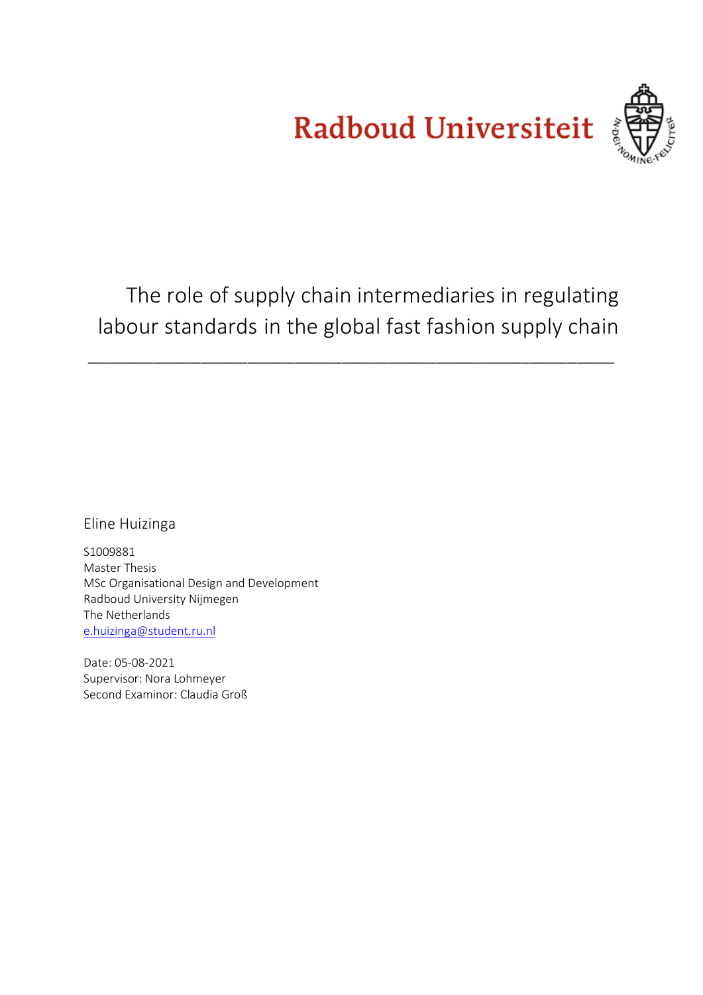Radboud Universiteit



The role of supply chain intermediaries in regulating labour standards in the global fast fashion supply chain

\_\_\_\_\_\_\_\_\_\_\_\_\_\_\_\_\_\_\_\_\_\_\_\_\_\_\_\_\_\_\_\_\_\_\_\_\_\_\_\_\_\_\_\_\_\_\_\_\_\_\_\_\_\_\_\_

Eline Huizinga

S1009881 Master Thesis MSc Organisational Design and Development Radboud University Nijmegen The Netherlands [e.huizinga@student.ru.nl](mailto:e.huizinga@student.ru.nl)

Date: 05-08-2021 Supervisor: Nora Lohmeyer Second Examinor: Claudia Groß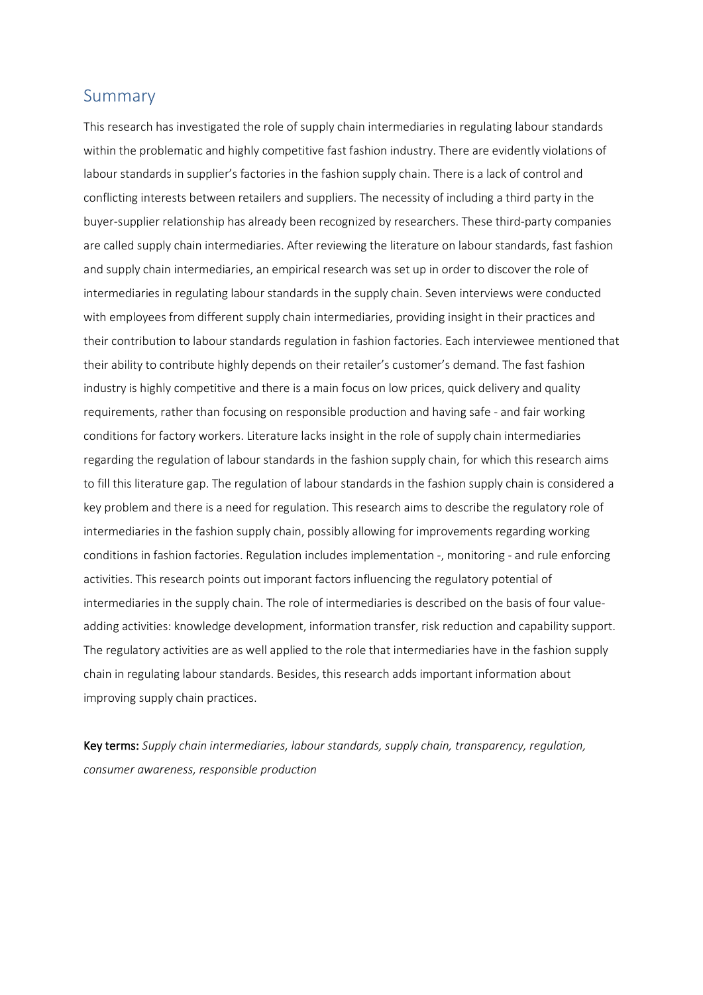## <span id="page-1-0"></span>Summary

This research has investigated the role of supply chain intermediaries in regulating labour standards within the problematic and highly competitive fast fashion industry. There are evidently violations of labour standards in supplier's factories in the fashion supply chain. There is a lack of control and conflicting interests between retailers and suppliers. The necessity of including a third party in the buyer-supplier relationship has already been recognized by researchers. These third-party companies are called supply chain intermediaries. After reviewing the literature on labour standards, fast fashion and supply chain intermediaries, an empirical research was set up in order to discover the role of intermediaries in regulating labour standards in the supply chain. Seven interviews were conducted with employees from different supply chain intermediaries, providing insight in their practices and their contribution to labour standards regulation in fashion factories. Each interviewee mentioned that their ability to contribute highly depends on their retailer's customer's demand. The fast fashion industry is highly competitive and there is a main focus on low prices, quick delivery and quality requirements, rather than focusing on responsible production and having safe - and fair working conditions for factory workers. Literature lacks insight in the role of supply chain intermediaries regarding the regulation of labour standards in the fashion supply chain, for which this research aims to fill this literature gap. The regulation of labour standards in the fashion supply chain is considered a key problem and there is a need for regulation. This research aims to describe the regulatory role of intermediaries in the fashion supply chain, possibly allowing for improvements regarding working conditions in fashion factories. Regulation includes implementation -, monitoring - and rule enforcing activities. This research points out imporant factors influencing the regulatory potential of intermediaries in the supply chain. The role of intermediaries is described on the basis of four valueadding activities: knowledge development, information transfer, risk reduction and capability support. The regulatory activities are as well applied to the role that intermediaries have in the fashion supply chain in regulating labour standards. Besides, this research adds important information about improving supply chain practices.

Key terms: *Supply chain intermediaries, labour standards, supply chain, transparency, regulation, consumer awareness, responsible production*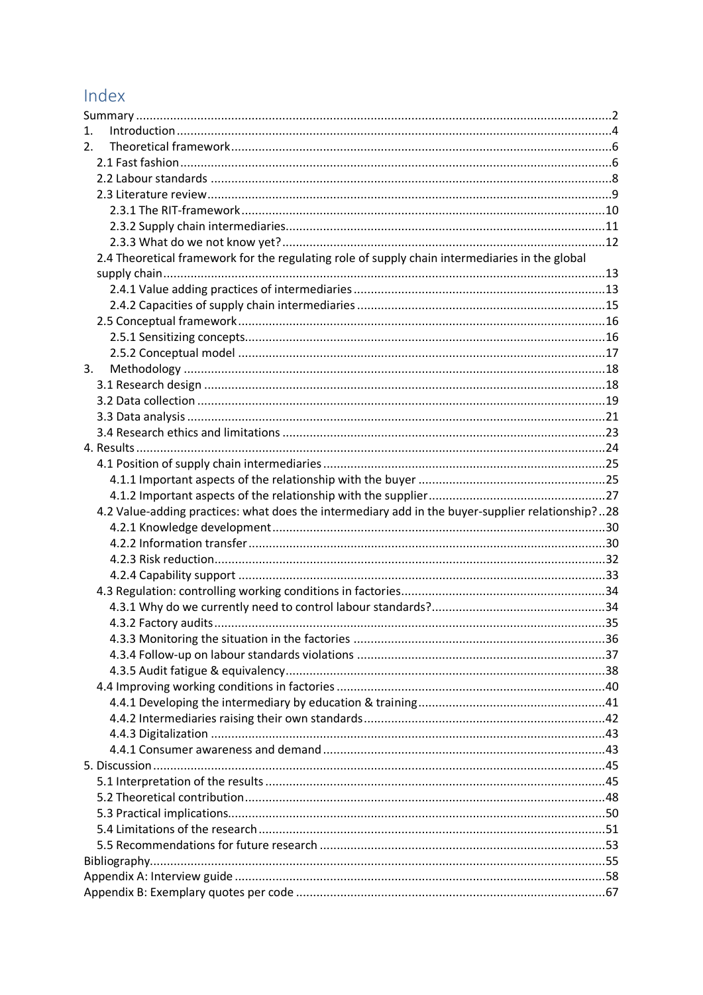# Index

| 1.                                                                                               |  |
|--------------------------------------------------------------------------------------------------|--|
| $2_{-}$                                                                                          |  |
|                                                                                                  |  |
|                                                                                                  |  |
|                                                                                                  |  |
|                                                                                                  |  |
|                                                                                                  |  |
|                                                                                                  |  |
| 2.4 Theoretical framework for the regulating role of supply chain intermediaries in the global   |  |
|                                                                                                  |  |
|                                                                                                  |  |
|                                                                                                  |  |
|                                                                                                  |  |
|                                                                                                  |  |
|                                                                                                  |  |
| 3.                                                                                               |  |
|                                                                                                  |  |
|                                                                                                  |  |
|                                                                                                  |  |
|                                                                                                  |  |
|                                                                                                  |  |
|                                                                                                  |  |
|                                                                                                  |  |
|                                                                                                  |  |
| 4.2 Value-adding practices: what does the intermediary add in the buyer-supplier relationship?28 |  |
|                                                                                                  |  |
|                                                                                                  |  |
|                                                                                                  |  |
|                                                                                                  |  |
|                                                                                                  |  |
|                                                                                                  |  |
|                                                                                                  |  |
|                                                                                                  |  |
|                                                                                                  |  |
|                                                                                                  |  |
|                                                                                                  |  |
|                                                                                                  |  |
|                                                                                                  |  |
|                                                                                                  |  |
|                                                                                                  |  |
|                                                                                                  |  |
|                                                                                                  |  |
|                                                                                                  |  |
|                                                                                                  |  |
|                                                                                                  |  |
|                                                                                                  |  |
|                                                                                                  |  |
|                                                                                                  |  |
|                                                                                                  |  |
|                                                                                                  |  |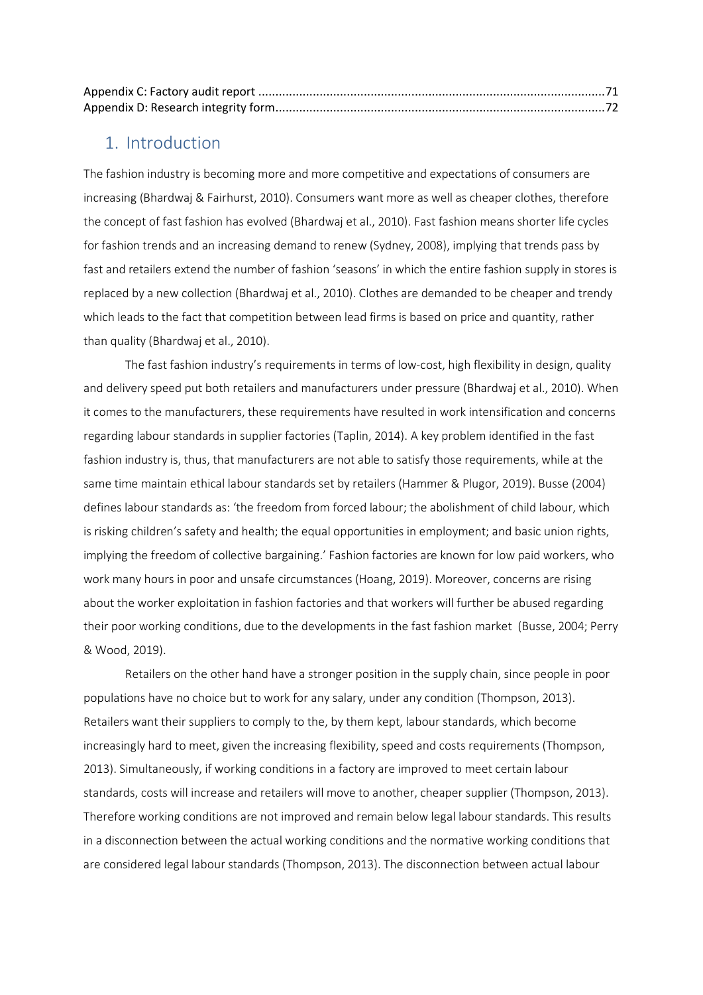## <span id="page-3-0"></span>1. Introduction

The fashion industry is becoming more and more competitive and expectations of consumers are increasing (Bhardwaj & Fairhurst, 2010). Consumers want more as well as cheaper clothes, therefore the concept of fast fashion has evolved (Bhardwaj et al., 2010). Fast fashion means shorter life cycles for fashion trends and an increasing demand to renew (Sydney, 2008), implying that trends pass by fast and retailers extend the number of fashion 'seasons' in which the entire fashion supply in stores is replaced by a new collection (Bhardwaj et al., 2010). Clothes are demanded to be cheaper and trendy which leads to the fact that competition between lead firms is based on price and quantity, rather than quality (Bhardwaj et al., 2010).

The fast fashion industry's requirements in terms of low-cost, high flexibility in design, quality and delivery speed put both retailers and manufacturers under pressure (Bhardwaj et al., 2010). When it comes to the manufacturers, these requirements have resulted in work intensification and concerns regarding labour standards in supplier factories (Taplin, 2014). A key problem identified in the fast fashion industry is, thus, that manufacturers are not able to satisfy those requirements, while at the same time maintain ethical labour standards set by retailers (Hammer & Plugor, 2019). Busse (2004) defines labour standards as: 'the freedom from forced labour; the abolishment of child labour, which is risking children's safety and health; the equal opportunities in employment; and basic union rights, implying the freedom of collective bargaining.' Fashion factories are known for low paid workers, who work many hours in poor and unsafe circumstances (Hoang, 2019). Moreover, concerns are rising about the worker exploitation in fashion factories and that workers will further be abused regarding their poor working conditions, due to the developments in the fast fashion market (Busse, 2004; Perry & Wood, 2019).

Retailers on the other hand have a stronger position in the supply chain, since people in poor populations have no choice but to work for any salary, under any condition (Thompson, 2013). Retailers want their suppliers to comply to the, by them kept, labour standards, which become increasingly hard to meet, given the increasing flexibility, speed and costs requirements (Thompson, 2013). Simultaneously, if working conditions in a factory are improved to meet certain labour standards, costs will increase and retailers will move to another, cheaper supplier (Thompson, 2013). Therefore working conditions are not improved and remain below legal labour standards. This results in a disconnection between the actual working conditions and the normative working conditions that are considered legal labour standards (Thompson, 2013). The disconnection between actual labour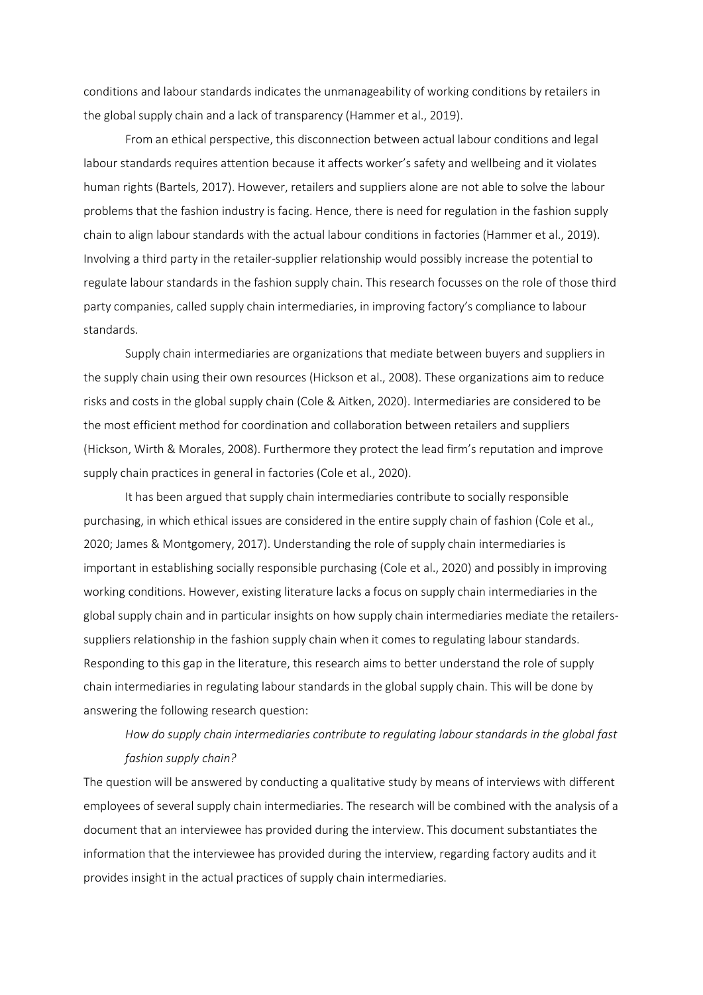conditions and labour standards indicates the unmanageability of working conditions by retailers in the global supply chain and a lack of transparency (Hammer et al., 2019).

From an ethical perspective, this disconnection between actual labour conditions and legal labour standards requires attention because it affects worker's safety and wellbeing and it violates human rights (Bartels, 2017). However, retailers and suppliers alone are not able to solve the labour problems that the fashion industry is facing. Hence, there is need for regulation in the fashion supply chain to align labour standards with the actual labour conditions in factories (Hammer et al., 2019). Involving a third party in the retailer-supplier relationship would possibly increase the potential to regulate labour standards in the fashion supply chain. This research focusses on the role of those third party companies, called supply chain intermediaries, in improving factory's compliance to labour standards.

Supply chain intermediaries are organizations that mediate between buyers and suppliers in the supply chain using their own resources (Hickson et al., 2008). These organizations aim to reduce risks and costs in the global supply chain (Cole & Aitken, 2020). Intermediaries are considered to be the most efficient method for coordination and collaboration between retailers and suppliers (Hickson, Wirth & Morales, 2008). Furthermore they protect the lead firm's reputation and improve supply chain practices in general in factories (Cole et al., 2020).

It has been argued that supply chain intermediaries contribute to socially responsible purchasing, in which ethical issues are considered in the entire supply chain of fashion (Cole et al., 2020; James & Montgomery, 2017). Understanding the role of supply chain intermediaries is important in establishing socially responsible purchasing (Cole et al., 2020) and possibly in improving working conditions. However, existing literature lacks a focus on supply chain intermediaries in the global supply chain and in particular insights on how supply chain intermediaries mediate the retailerssuppliers relationship in the fashion supply chain when it comes to regulating labour standards. Responding to this gap in the literature, this research aims to better understand the role of supply chain intermediaries in regulating labour standards in the global supply chain. This will be done by answering the following research question:

## *How do supply chain intermediaries contribute to regulating labour standards in the global fast fashion supply chain?*

The question will be answered by conducting a qualitative study by means of interviews with different employees of several supply chain intermediaries. The research will be combined with the analysis of a document that an interviewee has provided during the interview. This document substantiates the information that the interviewee has provided during the interview, regarding factory audits and it provides insight in the actual practices of supply chain intermediaries.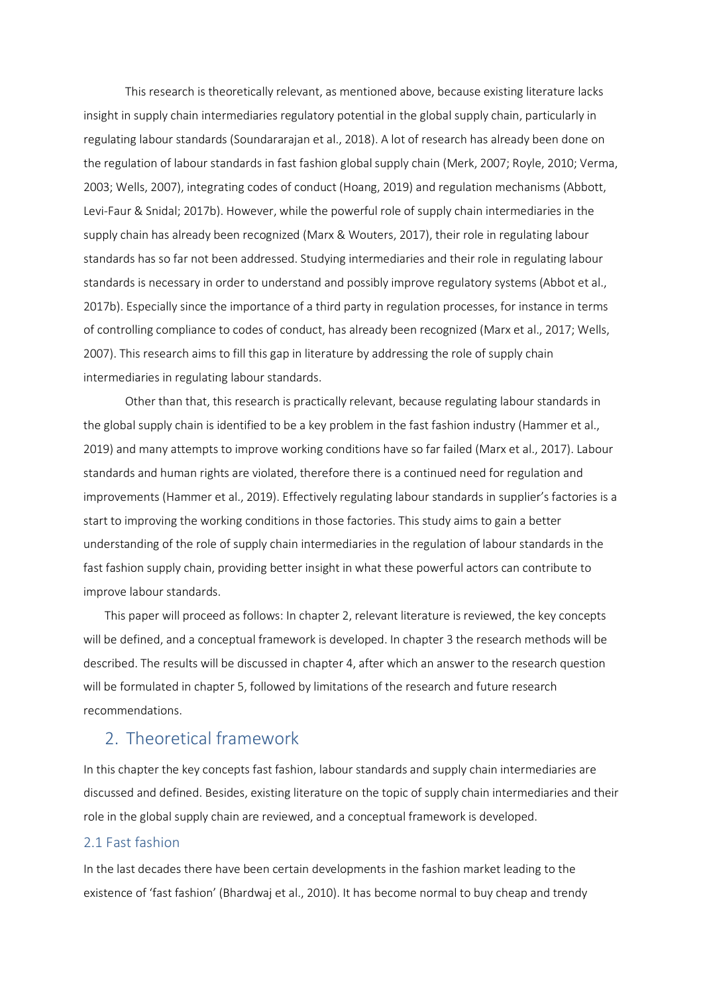This research is theoretically relevant, as mentioned above, because existing literature lacks insight in supply chain intermediaries regulatory potential in the global supply chain, particularly in regulating labour standards (Soundararajan et al., 2018). A lot of research has already been done on the regulation of labour standards in fast fashion global supply chain (Merk, 2007; Royle, 2010; Verma, 2003; Wells, 2007), integrating codes of conduct (Hoang, 2019) and regulation mechanisms (Abbott, Levi-Faur & Snidal; 2017b). However, while the powerful role of supply chain intermediaries in the supply chain has already been recognized (Marx & Wouters, 2017), their role in regulating labour standards has so far not been addressed. Studying intermediaries and their role in regulating labour standards is necessary in order to understand and possibly improve regulatory systems (Abbot et al., 2017b). Especially since the importance of a third party in regulation processes, for instance in terms of controlling compliance to codes of conduct, has already been recognized (Marx et al., 2017; Wells, 2007). This research aims to fill this gap in literature by addressing the role of supply chain intermediaries in regulating labour standards.

Other than that, this research is practically relevant, because regulating labour standards in the global supply chain is identified to be a key problem in the fast fashion industry (Hammer et al., 2019) and many attempts to improve working conditions have so far failed (Marx et al., 2017). Labour standards and human rights are violated, therefore there is a continued need for regulation and improvements (Hammer et al., 2019). Effectively regulating labour standards in supplier's factories is a start to improving the working conditions in those factories. This study aims to gain a better understanding of the role of supply chain intermediaries in the regulation of labour standards in the fast fashion supply chain, providing better insight in what these powerful actors can contribute to improve labour standards.

This paper will proceed as follows: In chapter 2, relevant literature is reviewed, the key concepts will be defined, and a conceptual framework is developed. In chapter 3 the research methods will be described. The results will be discussed in chapter 4, after which an answer to the research question will be formulated in chapter 5, followed by limitations of the research and future research recommendations.

## <span id="page-5-0"></span>2. Theoretical framework

In this chapter the key concepts fast fashion, labour standards and supply chain intermediaries are discussed and defined. Besides, existing literature on the topic of supply chain intermediaries and their role in the global supply chain are reviewed, and a conceptual framework is developed.

## <span id="page-5-1"></span>2.1 Fast fashion

In the last decades there have been certain developments in the fashion market leading to the existence of 'fast fashion' (Bhardwaj et al., 2010). It has become normal to buy cheap and trendy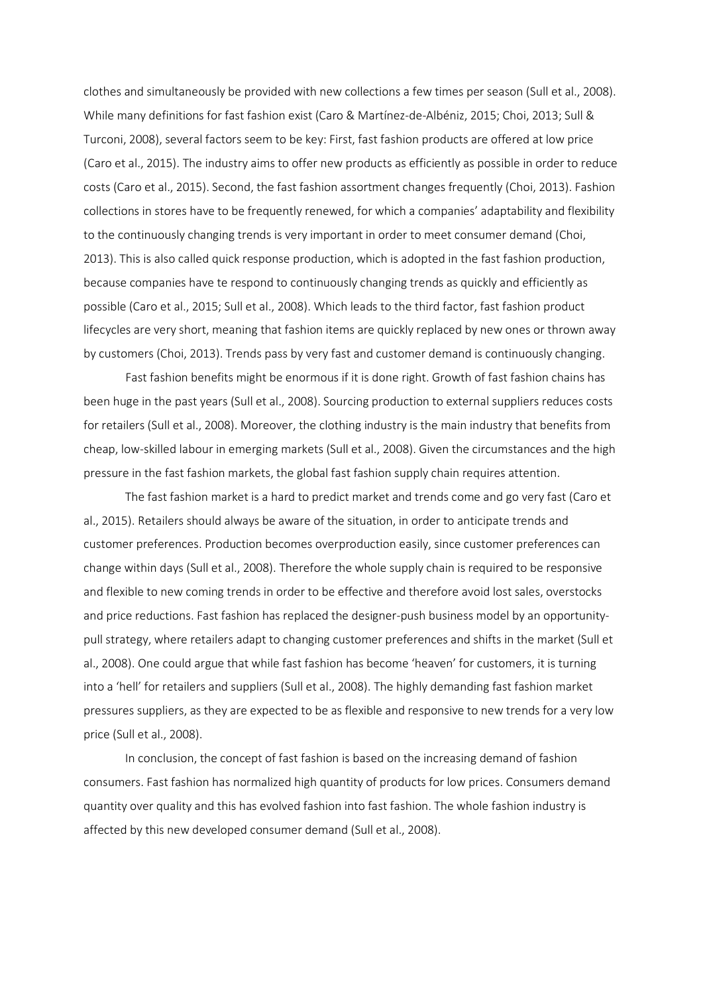clothes and simultaneously be provided with new collections a few times per season (Sull et al., 2008). While many definitions for fast fashion exist (Caro & Martínez-de-Albéniz, 2015; Choi, 2013; Sull & Turconi, 2008), several factors seem to be key: First, fast fashion products are offered at low price (Caro et al., 2015). The industry aims to offer new products as efficiently as possible in order to reduce costs (Caro et al., 2015). Second, the fast fashion assortment changes frequently (Choi, 2013). Fashion collections in stores have to be frequently renewed, for which a companies' adaptability and flexibility to the continuously changing trends is very important in order to meet consumer demand (Choi, 2013). This is also called quick response production, which is adopted in the fast fashion production, because companies have te respond to continuously changing trends as quickly and efficiently as possible (Caro et al., 2015; Sull et al., 2008). Which leads to the third factor, fast fashion product lifecycles are very short, meaning that fashion items are quickly replaced by new ones or thrown away by customers (Choi, 2013). Trends pass by very fast and customer demand is continuously changing.

Fast fashion benefits might be enormous if it is done right. Growth of fast fashion chains has been huge in the past years (Sull et al., 2008). Sourcing production to external suppliers reduces costs for retailers (Sull et al., 2008). Moreover, the clothing industry is the main industry that benefits from cheap, low-skilled labour in emerging markets (Sull et al., 2008). Given the circumstances and the high pressure in the fast fashion markets, the global fast fashion supply chain requires attention.

The fast fashion market is a hard to predict market and trends come and go very fast (Caro et al., 2015). Retailers should always be aware of the situation, in order to anticipate trends and customer preferences. Production becomes overproduction easily, since customer preferences can change within days (Sull et al., 2008). Therefore the whole supply chain is required to be responsive and flexible to new coming trends in order to be effective and therefore avoid lost sales, overstocks and price reductions. Fast fashion has replaced the designer-push business model by an opportunitypull strategy, where retailers adapt to changing customer preferences and shifts in the market (Sull et al., 2008). One could argue that while fast fashion has become 'heaven' for customers, it is turning into a 'hell' for retailers and suppliers (Sull et al., 2008). The highly demanding fast fashion market pressures suppliers, as they are expected to be as flexible and responsive to new trends for a very low price (Sull et al., 2008).

In conclusion, the concept of fast fashion is based on the increasing demand of fashion consumers. Fast fashion has normalized high quantity of products for low prices. Consumers demand quantity over quality and this has evolved fashion into fast fashion. The whole fashion industry is affected by this new developed consumer demand (Sull et al., 2008).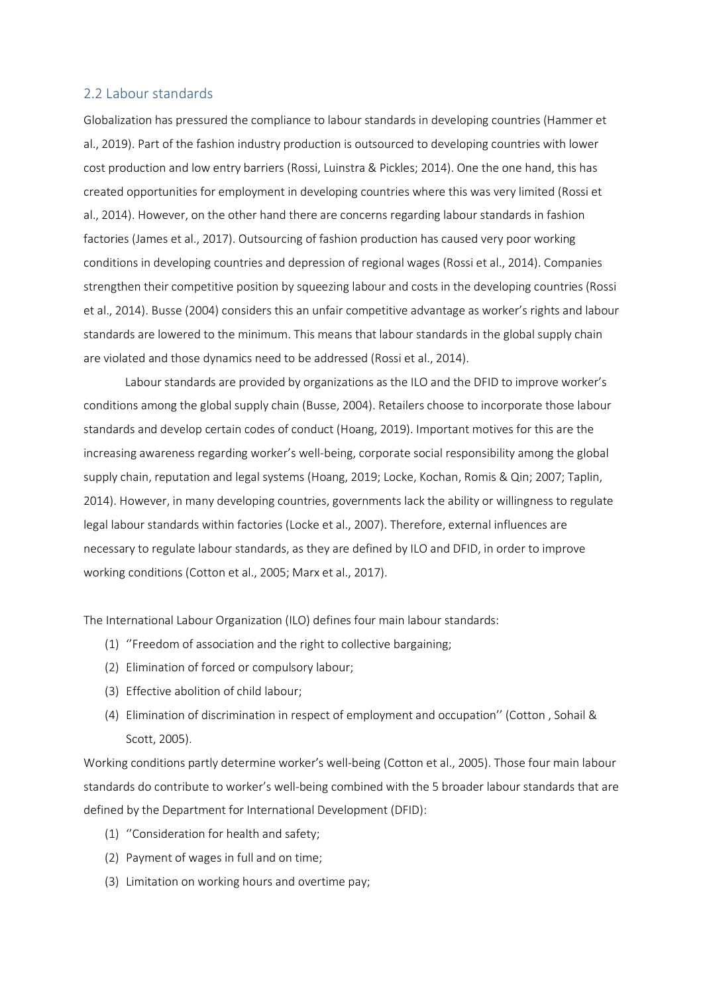### <span id="page-7-0"></span>2.2 Labour standards

Globalization has pressured the compliance to labour standards in developing countries (Hammer et al., 2019). Part of the fashion industry production is outsourced to developing countries with lower cost production and low entry barriers (Rossi, Luinstra & Pickles; 2014). One the one hand, this has created opportunities for employment in developing countries where this was very limited (Rossi et al., 2014). However, on the other hand there are concerns regarding labour standards in fashion factories (James et al., 2017). Outsourcing of fashion production has caused very poor working conditions in developing countries and depression of regional wages (Rossi et al., 2014). Companies strengthen their competitive position by squeezing labour and costs in the developing countries (Rossi et al., 2014). Busse (2004) considers this an unfair competitive advantage as worker's rights and labour standards are lowered to the minimum. This means that labour standards in the global supply chain are violated and those dynamics need to be addressed (Rossi et al., 2014).

Labour standards are provided by organizations as the ILO and the DFID to improve worker's conditions among the global supply chain (Busse, 2004). Retailers choose to incorporate those labour standards and develop certain codes of conduct (Hoang, 2019). Important motives for this are the increasing awareness regarding worker's well-being, corporate social responsibility among the global supply chain, reputation and legal systems (Hoang, 2019; Locke, Kochan, Romis & Qin; 2007; Taplin, 2014). However, in many developing countries, governments lack the ability or willingness to regulate legal labour standards within factories (Locke et al., 2007). Therefore, external influences are necessary to regulate labour standards, as they are defined by ILO and DFID, in order to improve working conditions (Cotton et al., 2005; Marx et al., 2017).

The International Labour Organization (ILO) defines four main labour standards:

- (1) ''Freedom of association and the right to collective bargaining;
- (2) Elimination of forced or compulsory labour;
- (3) Effective abolition of child labour;
- (4) Elimination of discrimination in respect of employment and occupation'' (Cotton , Sohail & Scott, 2005).

Working conditions partly determine worker's well-being (Cotton et al., 2005). Those four main labour standards do contribute to worker's well-being combined with the 5 broader labour standards that are defined by the Department for International Development (DFID):

- (1) ''Consideration for health and safety;
- (2) Payment of wages in full and on time;
- (3) Limitation on working hours and overtime pay;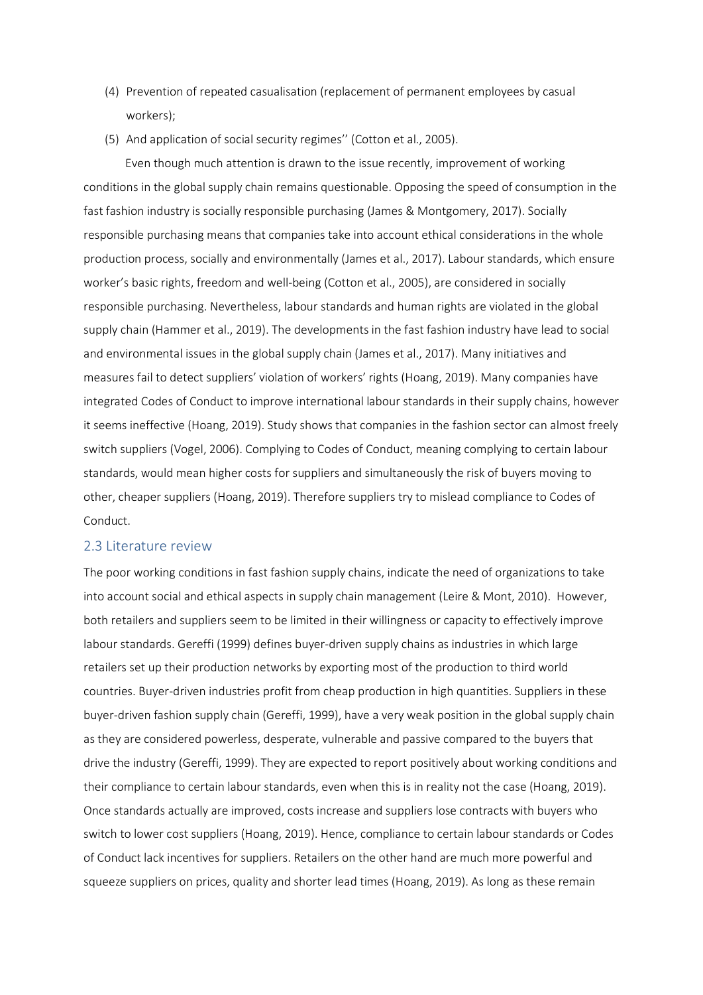- (4) Prevention of repeated casualisation (replacement of permanent employees by casual workers);
- (5) And application of social security regimes'' (Cotton et al., 2005).

Even though much attention is drawn to the issue recently, improvement of working conditions in the global supply chain remains questionable. Opposing the speed of consumption in the fast fashion industry is socially responsible purchasing (James & Montgomery, 2017). Socially responsible purchasing means that companies take into account ethical considerations in the whole production process, socially and environmentally (James et al., 2017). Labour standards, which ensure worker's basic rights, freedom and well-being (Cotton et al., 2005), are considered in socially responsible purchasing. Nevertheless, labour standards and human rights are violated in the global supply chain (Hammer et al., 2019). The developments in the fast fashion industry have lead to social and environmental issues in the global supply chain (James et al., 2017). Many initiatives and measures fail to detect suppliers' violation of workers' rights (Hoang, 2019). Many companies have integrated Codes of Conduct to improve international labour standards in their supply chains, however it seems ineffective (Hoang, 2019). Study shows that companies in the fashion sector can almost freely switch suppliers (Vogel, 2006). Complying to Codes of Conduct, meaning complying to certain labour standards, would mean higher costs for suppliers and simultaneously the risk of buyers moving to other, cheaper suppliers (Hoang, 2019). Therefore suppliers try to mislead compliance to Codes of Conduct.

#### <span id="page-8-0"></span>2.3 Literature review

The poor working conditions in fast fashion supply chains, indicate the need of organizations to take into account social and ethical aspects in supply chain management (Leire & Mont, 2010). However, both retailers and suppliers seem to be limited in their willingness or capacity to effectively improve labour standards. Gereffi (1999) defines buyer-driven supply chains as industries in which large retailers set up their production networks by exporting most of the production to third world countries. Buyer-driven industries profit from cheap production in high quantities. Suppliers in these buyer-driven fashion supply chain (Gereffi, 1999), have a very weak position in the global supply chain as they are considered powerless, desperate, vulnerable and passive compared to the buyers that drive the industry (Gereffi, 1999). They are expected to report positively about working conditions and their compliance to certain labour standards, even when this is in reality not the case (Hoang, 2019). Once standards actually are improved, costs increase and suppliers lose contracts with buyers who switch to lower cost suppliers (Hoang, 2019). Hence, compliance to certain labour standards or Codes of Conduct lack incentives for suppliers. Retailers on the other hand are much more powerful and squeeze suppliers on prices, quality and shorter lead times (Hoang, 2019). As long as these remain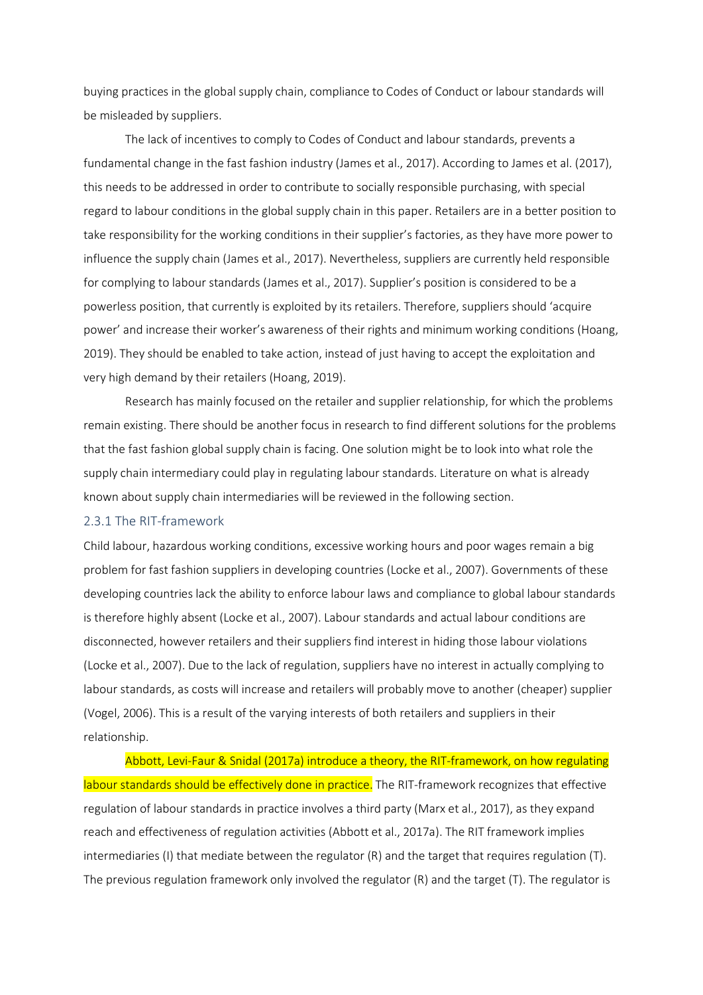buying practices in the global supply chain, compliance to Codes of Conduct or labour standards will be misleaded by suppliers.

The lack of incentives to comply to Codes of Conduct and labour standards, prevents a fundamental change in the fast fashion industry (James et al., 2017). According to James et al. (2017), this needs to be addressed in order to contribute to socially responsible purchasing, with special regard to labour conditions in the global supply chain in this paper. Retailers are in a better position to take responsibility for the working conditions in their supplier's factories, as they have more power to influence the supply chain (James et al., 2017). Nevertheless, suppliers are currently held responsible for complying to labour standards (James et al., 2017). Supplier's position is considered to be a powerless position, that currently is exploited by its retailers. Therefore, suppliers should 'acquire power' and increase their worker's awareness of their rights and minimum working conditions (Hoang, 2019). They should be enabled to take action, instead of just having to accept the exploitation and very high demand by their retailers (Hoang, 2019).

Research has mainly focused on the retailer and supplier relationship, for which the problems remain existing. There should be another focus in research to find different solutions for the problems that the fast fashion global supply chain is facing. One solution might be to look into what role the supply chain intermediary could play in regulating labour standards. Literature on what is already known about supply chain intermediaries will be reviewed in the following section.

#### <span id="page-9-0"></span>2.3.1 The RIT-framework

Child labour, hazardous working conditions, excessive working hours and poor wages remain a big problem for fast fashion suppliers in developing countries (Locke et al., 2007). Governments of these developing countries lack the ability to enforce labour laws and compliance to global labour standards is therefore highly absent (Locke et al., 2007). Labour standards and actual labour conditions are disconnected, however retailers and their suppliers find interest in hiding those labour violations (Locke et al., 2007). Due to the lack of regulation, suppliers have no interest in actually complying to labour standards, as costs will increase and retailers will probably move to another (cheaper) supplier (Vogel, 2006). This is a result of the varying interests of both retailers and suppliers in their relationship.

Abbott, Levi-Faur & Snidal (2017a) introduce a theory, the RIT-framework, on how regulating labour standards should be effectively done in practice. The RIT-framework recognizes that effective regulation of labour standards in practice involves a third party (Marx et al., 2017), as they expand reach and effectiveness of regulation activities (Abbott et al., 2017a). The RIT framework implies intermediaries (I) that mediate between the regulator (R) and the target that requires regulation (T). The previous regulation framework only involved the regulator (R) and the target (T). The regulator is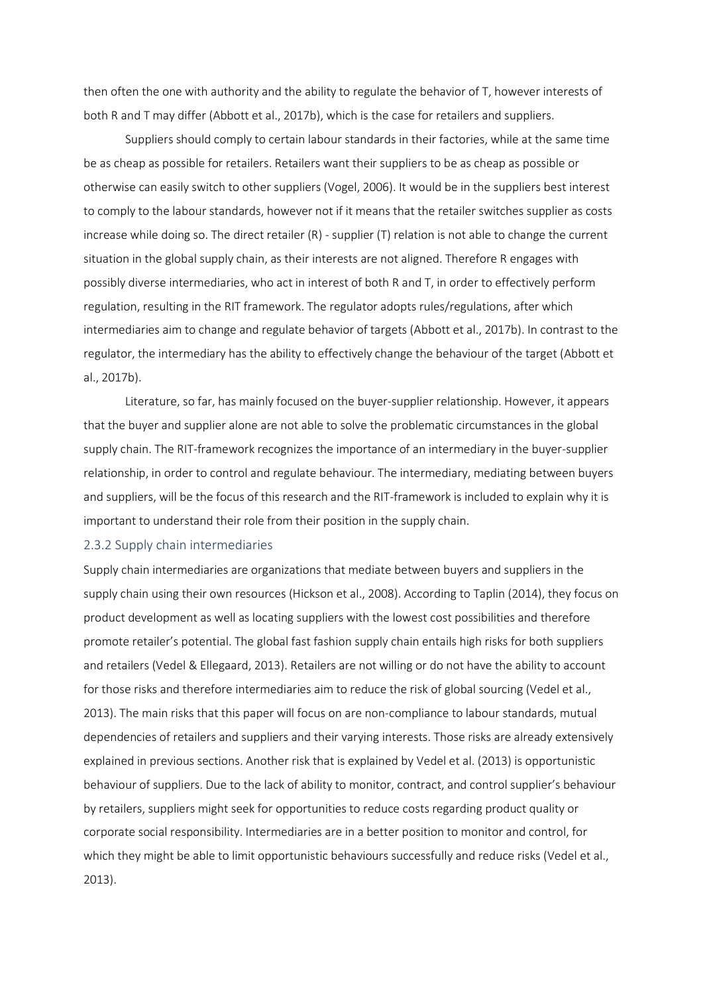then often the one with authority and the ability to regulate the behavior of T, however interests of both R and T may differ (Abbott et al., 2017b), which is the case for retailers and suppliers.

Suppliers should comply to certain labour standards in their factories, while at the same time be as cheap as possible for retailers. Retailers want their suppliers to be as cheap as possible or otherwise can easily switch to other suppliers (Vogel, 2006). It would be in the suppliers best interest to comply to the labour standards, however not if it means that the retailer switches supplier as costs increase while doing so. The direct retailer (R) - supplier (T) relation is not able to change the current situation in the global supply chain, as their interests are not aligned. Therefore R engages with possibly diverse intermediaries, who act in interest of both R and T, in order to effectively perform regulation, resulting in the RIT framework. The regulator adopts rules/regulations, after which intermediaries aim to change and regulate behavior of targets (Abbott et al., 2017b). In contrast to the regulator, the intermediary has the ability to effectively change the behaviour of the target (Abbott et al., 2017b).

Literature, so far, has mainly focused on the buyer-supplier relationship. However, it appears that the buyer and supplier alone are not able to solve the problematic circumstances in the global supply chain. The RIT-framework recognizes the importance of an intermediary in the buyer-supplier relationship, in order to control and regulate behaviour. The intermediary, mediating between buyers and suppliers, will be the focus of this research and the RIT-framework is included to explain why it is important to understand their role from their position in the supply chain.

#### <span id="page-10-0"></span>2.3.2 Supply chain intermediaries

Supply chain intermediaries are organizations that mediate between buyers and suppliers in the supply chain using their own resources (Hickson et al., 2008). According to Taplin (2014), they focus on product development as well as locating suppliers with the lowest cost possibilities and therefore promote retailer's potential. The global fast fashion supply chain entails high risks for both suppliers and retailers (Vedel & Ellegaard, 2013). Retailers are not willing or do not have the ability to account for those risks and therefore intermediaries aim to reduce the risk of global sourcing (Vedel et al., 2013). The main risks that this paper will focus on are non-compliance to labour standards, mutual dependencies of retailers and suppliers and their varying interests. Those risks are already extensively explained in previous sections. Another risk that is explained by Vedel et al. (2013) is opportunistic behaviour of suppliers. Due to the lack of ability to monitor, contract, and control supplier's behaviour by retailers, suppliers might seek for opportunities to reduce costs regarding product quality or corporate social responsibility. Intermediaries are in a better position to monitor and control, for which they might be able to limit opportunistic behaviours successfully and reduce risks (Vedel et al., 2013).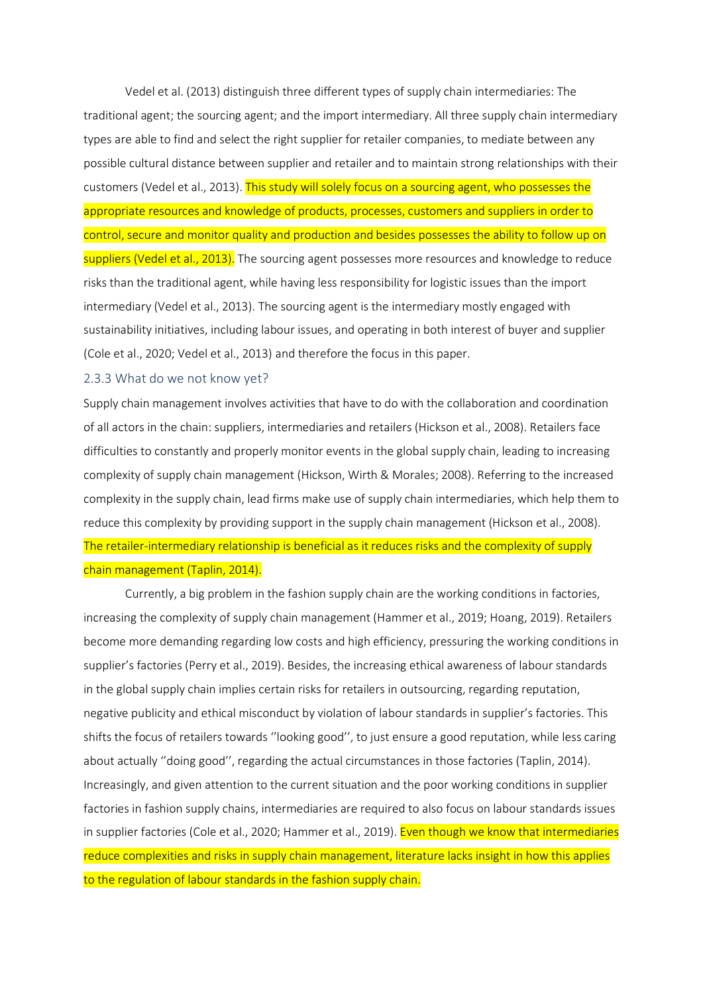Vedel et al. (2013) distinguish three different types of supply chain intermediaries: The traditional agent; the sourcing agent; and the import intermediary. All three supply chain intermediary types are able to find and select the right supplier for retailer companies, to mediate between any possible cultural distance between supplier and retailer and to maintain strong relationships with their customers (Vedel et al., 2013). This study will solely focus on a sourcing agent, who possesses the appropriate resources and knowledge of products, processes, customers and suppliers in order to control, secure and monitor quality and production and besides possesses the ability to follow up on suppliers (Vedel et al., 2013). The sourcing agent possesses more resources and knowledge to reduce risks than the traditional agent, while having less responsibility for logistic issues than the import intermediary (Vedel et al., 2013). The sourcing agent is the intermediary mostly engaged with sustainability initiatives, including labour issues, and operating in both interest of buyer and supplier (Cole et al., 2020; Vedel et al., 2013) and therefore the focus in this paper.

#### <span id="page-11-0"></span>2.3.3 What do we not know yet?

Supply chain management involves activities that have to do with the collaboration and coordination of all actors in the chain: suppliers, intermediaries and retailers (Hickson et al., 2008). Retailers face difficulties to constantly and properly monitor events in the global supply chain, leading to increasing complexity of supply chain management (Hickson, Wirth & Morales; 2008). Referring to the increased complexity in the supply chain, lead firms make use of supply chain intermediaries, which help them to reduce this complexity by providing support in the supply chain management (Hickson et al., 2008). The retailer-intermediary relationship is beneficial as it reduces risks and the complexity of supply chain management (Taplin, 2014).

Currently, a big problem in the fashion supply chain are the working conditions in factories, increasing the complexity of supply chain management (Hammer et al., 2019; Hoang, 2019). Retailers become more demanding regarding low costs and high efficiency, pressuring the working conditions in supplier's factories (Perry et al., 2019). Besides, the increasing ethical awareness of labour standards in the global supply chain implies certain risks for retailers in outsourcing, regarding reputation, negative publicity and ethical misconduct by violation of labour standards in supplier's factories. This shifts the focus of retailers towards ''looking good'', to just ensure a good reputation, while less caring about actually ''doing good'', regarding the actual circumstances in those factories (Taplin, 2014). Increasingly, and given attention to the current situation and the poor working conditions in supplier factories in fashion supply chains, intermediaries are required to also focus on labour standards issues in supplier factories (Cole et al., 2020; Hammer et al., 2019). Even though we know that intermediaries reduce complexities and risks in supply chain management, literature lacks insight in how this applies to the regulation of labour standards in the fashion supply chain.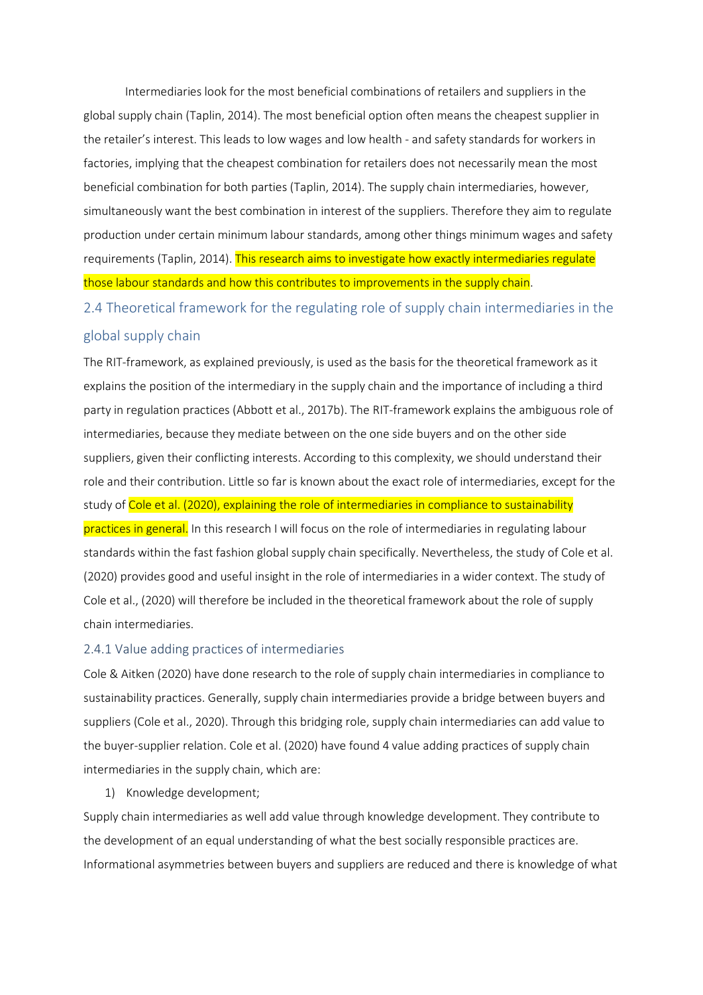Intermediaries look for the most beneficial combinations of retailers and suppliers in the global supply chain (Taplin, 2014). The most beneficial option often means the cheapest supplier in the retailer's interest. This leads to low wages and low health - and safety standards for workers in factories, implying that the cheapest combination for retailers does not necessarily mean the most beneficial combination for both parties (Taplin, 2014). The supply chain intermediaries, however, simultaneously want the best combination in interest of the suppliers. Therefore they aim to regulate production under certain minimum labour standards, among other things minimum wages and safety requirements (Taplin, 2014). This research aims to investigate how exactly intermediaries regulate those labour standards and how this contributes to improvements in the supply chain.

<span id="page-12-0"></span>2.4 Theoretical framework for the regulating role of supply chain intermediaries in the global supply chain

The RIT-framework, as explained previously, is used as the basis for the theoretical framework as it explains the position of the intermediary in the supply chain and the importance of including a third party in regulation practices (Abbott et al., 2017b). The RIT-framework explains the ambiguous role of intermediaries, because they mediate between on the one side buyers and on the other side suppliers, given their conflicting interests. According to this complexity, we should understand their role and their contribution. Little so far is known about the exact role of intermediaries, except for the study of Cole et al. (2020), explaining the role of intermediaries in compliance to sustainability practices in general. In this research I will focus on the role of intermediaries in regulating labour standards within the fast fashion global supply chain specifically. Nevertheless, the study of Cole et al. (2020) provides good and useful insight in the role of intermediaries in a wider context. The study of Cole et al., (2020) will therefore be included in the theoretical framework about the role of supply chain intermediaries.

#### <span id="page-12-1"></span>2.4.1 Value adding practices of intermediaries

Cole & Aitken (2020) have done research to the role of supply chain intermediaries in compliance to sustainability practices. Generally, supply chain intermediaries provide a bridge between buyers and suppliers (Cole et al., 2020). Through this bridging role, supply chain intermediaries can add value to the buyer-supplier relation. Cole et al. (2020) have found 4 value adding practices of supply chain intermediaries in the supply chain, which are:

1) Knowledge development;

Supply chain intermediaries as well add value through knowledge development. They contribute to the development of an equal understanding of what the best socially responsible practices are. Informational asymmetries between buyers and suppliers are reduced and there is knowledge of what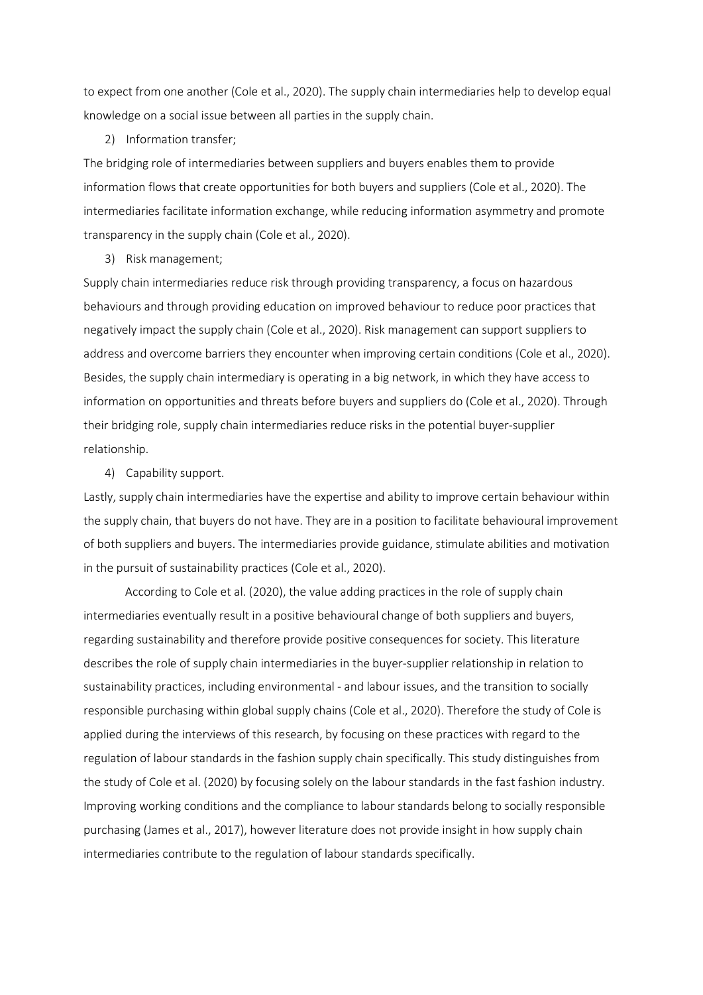to expect from one another (Cole et al., 2020). The supply chain intermediaries help to develop equal knowledge on a social issue between all parties in the supply chain.

#### 2) Information transfer;

The bridging role of intermediaries between suppliers and buyers enables them to provide information flows that create opportunities for both buyers and suppliers (Cole et al., 2020). The intermediaries facilitate information exchange, while reducing information asymmetry and promote transparency in the supply chain (Cole et al., 2020).

3) Risk management;

Supply chain intermediaries reduce risk through providing transparency, a focus on hazardous behaviours and through providing education on improved behaviour to reduce poor practices that negatively impact the supply chain (Cole et al., 2020). Risk management can support suppliers to address and overcome barriers they encounter when improving certain conditions (Cole et al., 2020). Besides, the supply chain intermediary is operating in a big network, in which they have access to information on opportunities and threats before buyers and suppliers do (Cole et al., 2020). Through their bridging role, supply chain intermediaries reduce risks in the potential buyer-supplier relationship.

4) Capability support.

Lastly, supply chain intermediaries have the expertise and ability to improve certain behaviour within the supply chain, that buyers do not have. They are in a position to facilitate behavioural improvement of both suppliers and buyers. The intermediaries provide guidance, stimulate abilities and motivation in the pursuit of sustainability practices (Cole et al., 2020).

According to Cole et al. (2020), the value adding practices in the role of supply chain intermediaries eventually result in a positive behavioural change of both suppliers and buyers, regarding sustainability and therefore provide positive consequences for society. This literature describes the role of supply chain intermediaries in the buyer-supplier relationship in relation to sustainability practices, including environmental - and labour issues, and the transition to socially responsible purchasing within global supply chains (Cole et al., 2020). Therefore the study of Cole is applied during the interviews of this research, by focusing on these practices with regard to the regulation of labour standards in the fashion supply chain specifically. This study distinguishes from the study of Cole et al. (2020) by focusing solely on the labour standards in the fast fashion industry. Improving working conditions and the compliance to labour standards belong to socially responsible purchasing (James et al., 2017), however literature does not provide insight in how supply chain intermediaries contribute to the regulation of labour standards specifically.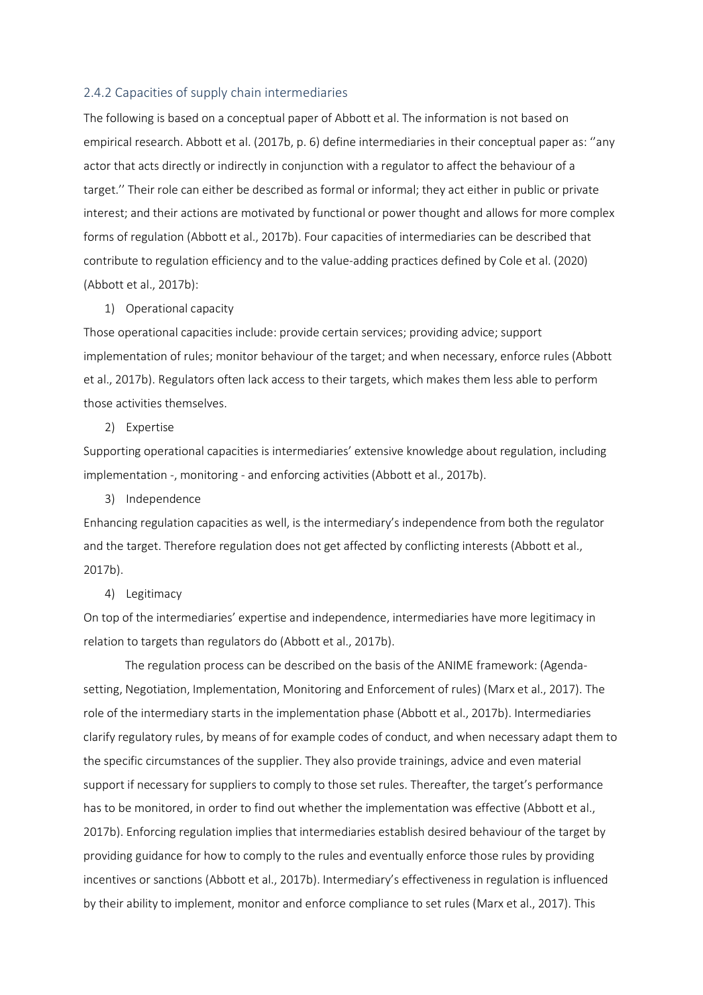#### <span id="page-14-0"></span>2.4.2 Capacities of supply chain intermediaries

The following is based on a conceptual paper of Abbott et al. The information is not based on empirical research. Abbott et al. (2017b, p. 6) define intermediaries in their conceptual paper as: ''any actor that acts directly or indirectly in conjunction with a regulator to affect the behaviour of a target.'' Their role can either be described as formal or informal; they act either in public or private interest; and their actions are motivated by functional or power thought and allows for more complex forms of regulation (Abbott et al., 2017b). Four capacities of intermediaries can be described that contribute to regulation efficiency and to the value-adding practices defined by Cole et al. (2020) (Abbott et al., 2017b):

#### 1) Operational capacity

Those operational capacities include: provide certain services; providing advice; support implementation of rules; monitor behaviour of the target; and when necessary, enforce rules (Abbott et al., 2017b). Regulators often lack access to their targets, which makes them less able to perform those activities themselves.

#### 2) Expertise

Supporting operational capacities is intermediaries' extensive knowledge about regulation, including implementation -, monitoring - and enforcing activities (Abbott et al., 2017b).

#### 3) Independence

Enhancing regulation capacities as well, is the intermediary's independence from both the regulator and the target. Therefore regulation does not get affected by conflicting interests (Abbott et al., 2017b).

### 4) Legitimacy

On top of the intermediaries' expertise and independence, intermediaries have more legitimacy in relation to targets than regulators do (Abbott et al., 2017b).

The regulation process can be described on the basis of the ANIME framework: (Agendasetting, Negotiation, Implementation, Monitoring and Enforcement of rules) (Marx et al., 2017). The role of the intermediary starts in the implementation phase (Abbott et al., 2017b). Intermediaries clarify regulatory rules, by means of for example codes of conduct, and when necessary adapt them to the specific circumstances of the supplier. They also provide trainings, advice and even material support if necessary for suppliers to comply to those set rules. Thereafter, the target's performance has to be monitored, in order to find out whether the implementation was effective (Abbott et al., 2017b). Enforcing regulation implies that intermediaries establish desired behaviour of the target by providing guidance for how to comply to the rules and eventually enforce those rules by providing incentives or sanctions (Abbott et al., 2017b). Intermediary's effectiveness in regulation is influenced by their ability to implement, monitor and enforce compliance to set rules (Marx et al., 2017). This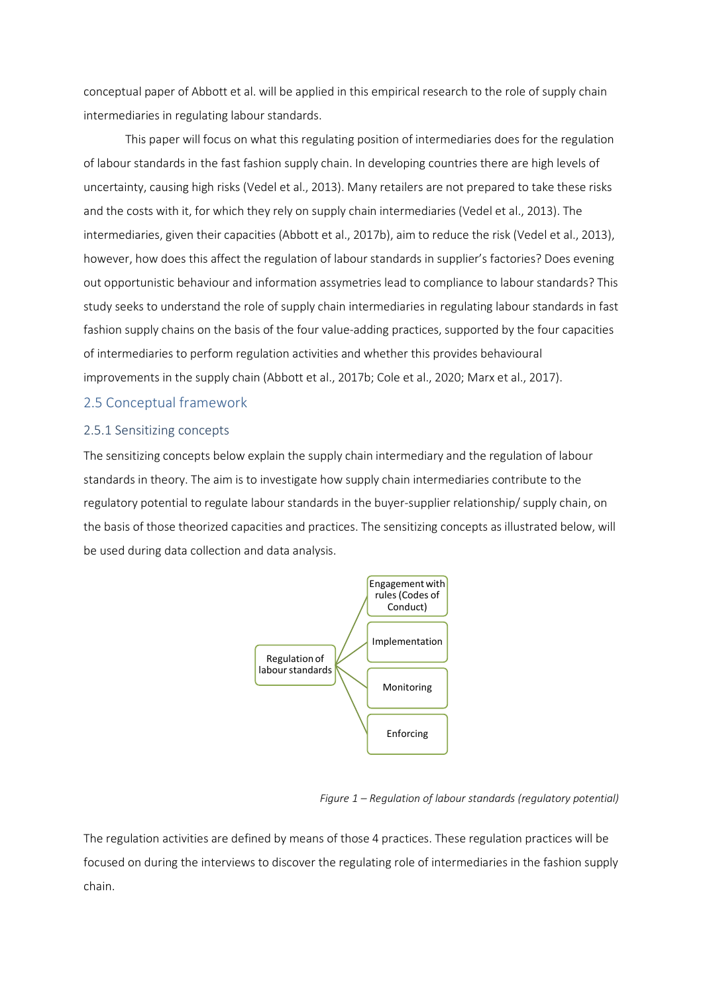conceptual paper of Abbott et al. will be applied in this empirical research to the role of supply chain intermediaries in regulating labour standards.

This paper will focus on what this regulating position of intermediaries does for the regulation of labour standards in the fast fashion supply chain. In developing countries there are high levels of uncertainty, causing high risks (Vedel et al., 2013). Many retailers are not prepared to take these risks and the costs with it, for which they rely on supply chain intermediaries (Vedel et al., 2013). The intermediaries, given their capacities (Abbott et al., 2017b), aim to reduce the risk (Vedel et al., 2013), however, how does this affect the regulation of labour standards in supplier's factories? Does evening out opportunistic behaviour and information assymetries lead to compliance to labour standards? This study seeks to understand the role of supply chain intermediaries in regulating labour standards in fast fashion supply chains on the basis of the four value-adding practices, supported by the four capacities of intermediaries to perform regulation activities and whether this provides behavioural improvements in the supply chain (Abbott et al., 2017b; Cole et al., 2020; Marx et al., 2017).

## <span id="page-15-0"></span>2.5 Conceptual framework

### <span id="page-15-1"></span>2.5.1 Sensitizing concepts

The sensitizing concepts below explain the supply chain intermediary and the regulation of labour standards in theory. The aim is to investigate how supply chain intermediaries contribute to the regulatory potential to regulate labour standards in the buyer-supplier relationship/ supply chain, on the basis of those theorized capacities and practices. The sensitizing concepts as illustrated below, will be used during data collection and data analysis.



#### *Figure 1 – Regulation of labour standards (regulatory potential)*

The regulation activities are defined by means of those 4 practices. These regulation practices will be focused on during the interviews to discover the regulating role of intermediaries in the fashion supply chain.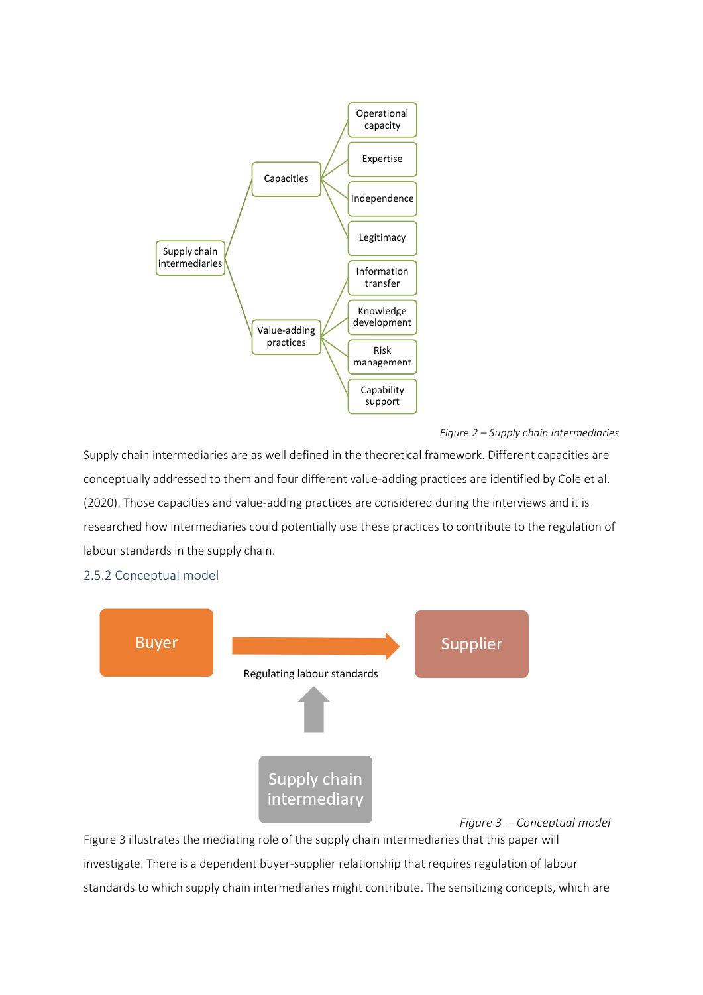

#### *Figure 2 – Supply chain intermediaries*

Supply chain intermediaries are as well defined in the theoretical framework. Different capacities are conceptually addressed to them and four different value-adding practices are identified by Cole et al. (2020). Those capacities and value-adding practices are considered during the interviews and it is researched how intermediaries could potentially use these practices to contribute to the regulation of labour standards in the supply chain.

<span id="page-16-0"></span>



Figure 3 illustrates the mediating role of the supply chain intermediaries that this paper will investigate. There is a dependent buyer-supplier relationship that requires regulation of labour standards to which supply chain intermediaries might contribute. The sensitizing concepts, which are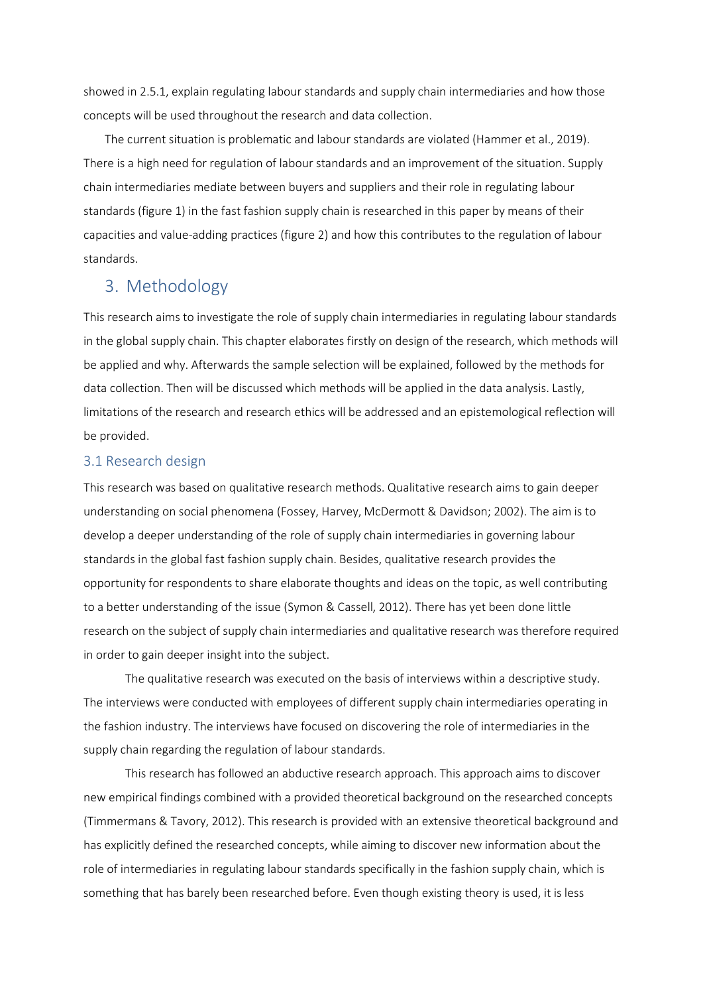showed in 2.5.1, explain regulating labour standards and supply chain intermediaries and how those concepts will be used throughout the research and data collection.

The current situation is problematic and labour standards are violated (Hammer et al., 2019). There is a high need for regulation of labour standards and an improvement of the situation. Supply chain intermediaries mediate between buyers and suppliers and their role in regulating labour standards (figure 1) in the fast fashion supply chain is researched in this paper by means of their capacities and value-adding practices (figure 2) and how this contributes to the regulation of labour standards.

## <span id="page-17-0"></span>3. Methodology

This research aims to investigate the role of supply chain intermediaries in regulating labour standards in the global supply chain. This chapter elaborates firstly on design of the research, which methods will be applied and why. Afterwards the sample selection will be explained, followed by the methods for data collection. Then will be discussed which methods will be applied in the data analysis. Lastly, limitations of the research and research ethics will be addressed and an epistemological reflection will be provided.

## <span id="page-17-1"></span>3.1 Research design

This research was based on qualitative research methods. Qualitative research aims to gain deeper understanding on social phenomena (Fossey, Harvey, McDermott & Davidson; 2002). The aim is to develop a deeper understanding of the role of supply chain intermediaries in governing labour standards in the global fast fashion supply chain. Besides, qualitative research provides the opportunity for respondents to share elaborate thoughts and ideas on the topic, as well contributing to a better understanding of the issue (Symon & Cassell, 2012). There has yet been done little research on the subject of supply chain intermediaries and qualitative research was therefore required in order to gain deeper insight into the subject.

The qualitative research was executed on the basis of interviews within a descriptive study. The interviews were conducted with employees of different supply chain intermediaries operating in the fashion industry. The interviews have focused on discovering the role of intermediaries in the supply chain regarding the regulation of labour standards.

This research has followed an abductive research approach. This approach aims to discover new empirical findings combined with a provided theoretical background on the researched concepts (Timmermans & Tavory, 2012). This research is provided with an extensive theoretical background and has explicitly defined the researched concepts, while aiming to discover new information about the role of intermediaries in regulating labour standards specifically in the fashion supply chain, which is something that has barely been researched before. Even though existing theory is used, it is less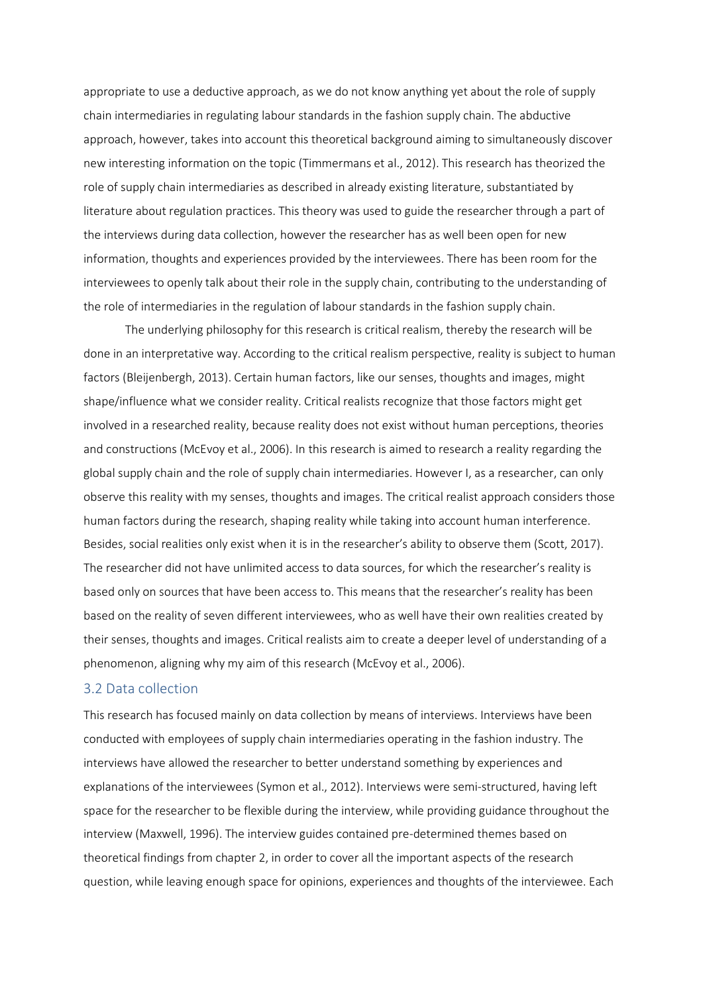appropriate to use a deductive approach, as we do not know anything yet about the role of supply chain intermediaries in regulating labour standards in the fashion supply chain. The abductive approach, however, takes into account this theoretical background aiming to simultaneously discover new interesting information on the topic (Timmermans et al., 2012). This research has theorized the role of supply chain intermediaries as described in already existing literature, substantiated by literature about regulation practices. This theory was used to guide the researcher through a part of the interviews during data collection, however the researcher has as well been open for new information, thoughts and experiences provided by the interviewees. There has been room for the interviewees to openly talk about their role in the supply chain, contributing to the understanding of the role of intermediaries in the regulation of labour standards in the fashion supply chain.

The underlying philosophy for this research is critical realism, thereby the research will be done in an interpretative way. According to the critical realism perspective, reality is subject to human factors (Bleijenbergh, 2013). Certain human factors, like our senses, thoughts and images, might shape/influence what we consider reality. Critical realists recognize that those factors might get involved in a researched reality, because reality does not exist without human perceptions, theories and constructions (McEvoy et al., 2006). In this research is aimed to research a reality regarding the global supply chain and the role of supply chain intermediaries. However I, as a researcher, can only observe this reality with my senses, thoughts and images. The critical realist approach considers those human factors during the research, shaping reality while taking into account human interference. Besides, social realities only exist when it is in the researcher's ability to observe them (Scott, 2017). The researcher did not have unlimited access to data sources, for which the researcher's reality is based only on sources that have been access to. This means that the researcher's reality has been based on the reality of seven different interviewees, who as well have their own realities created by their senses, thoughts and images. Critical realists aim to create a deeper level of understanding of a phenomenon, aligning why my aim of this research (McEvoy et al., 2006).

#### <span id="page-18-0"></span>3.2 Data collection

This research has focused mainly on data collection by means of interviews. Interviews have been conducted with employees of supply chain intermediaries operating in the fashion industry. The interviews have allowed the researcher to better understand something by experiences and explanations of the interviewees (Symon et al., 2012). Interviews were semi-structured, having left space for the researcher to be flexible during the interview, while providing guidance throughout the interview (Maxwell, 1996). The interview guides contained pre-determined themes based on theoretical findings from chapter 2, in order to cover all the important aspects of the research question, while leaving enough space for opinions, experiences and thoughts of the interviewee. Each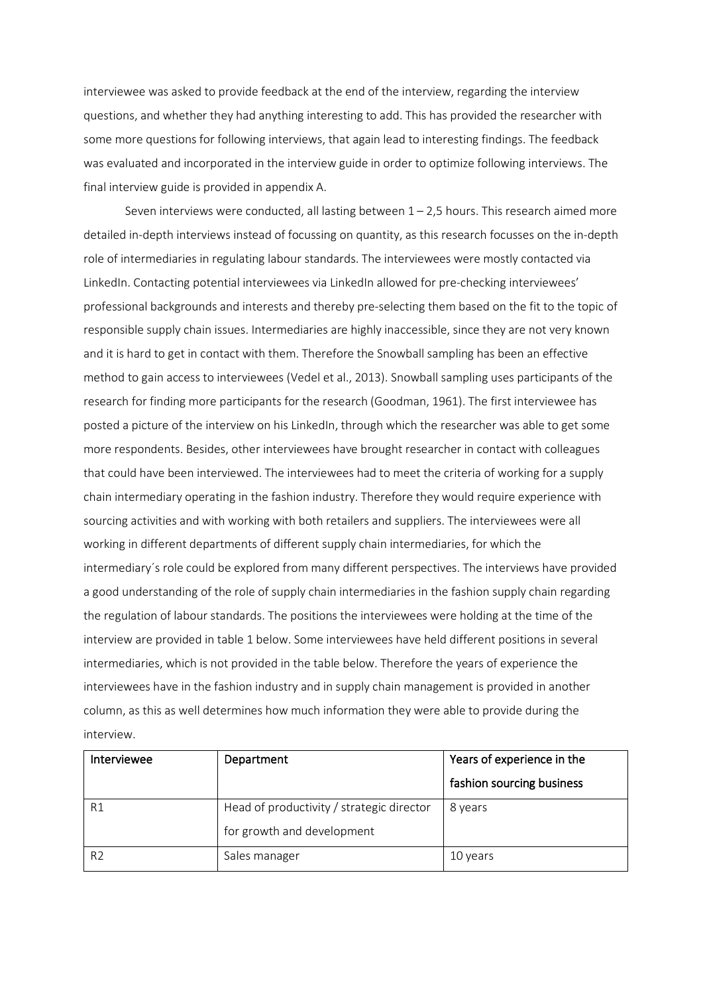interviewee was asked to provide feedback at the end of the interview, regarding the interview questions, and whether they had anything interesting to add. This has provided the researcher with some more questions for following interviews, that again lead to interesting findings. The feedback was evaluated and incorporated in the interview guide in order to optimize following interviews. The final interview guide is provided in appendix A.

Seven interviews were conducted, all lasting between  $1 - 2.5$  hours. This research aimed more detailed in-depth interviews instead of focussing on quantity, as this research focusses on the in-depth role of intermediaries in regulating labour standards. The interviewees were mostly contacted via LinkedIn. Contacting potential interviewees via LinkedIn allowed for pre-checking interviewees' professional backgrounds and interests and thereby pre-selecting them based on the fit to the topic of responsible supply chain issues. Intermediaries are highly inaccessible, since they are not very known and it is hard to get in contact with them. Therefore the Snowball sampling has been an effective method to gain access to interviewees (Vedel et al., 2013). Snowball sampling uses participants of the research for finding more participants for the research (Goodman, 1961). The first interviewee has posted a picture of the interview on his LinkedIn, through which the researcher was able to get some more respondents. Besides, other interviewees have brought researcher in contact with colleagues that could have been interviewed. The interviewees had to meet the criteria of working for a supply chain intermediary operating in the fashion industry. Therefore they would require experience with sourcing activities and with working with both retailers and suppliers. The interviewees were all working in different departments of different supply chain intermediaries, for which the intermediary´s role could be explored from many different perspectives. The interviews have provided a good understanding of the role of supply chain intermediaries in the fashion supply chain regarding the regulation of labour standards. The positions the interviewees were holding at the time of the interview are provided in table 1 below. Some interviewees have held different positions in several intermediaries, which is not provided in the table below. Therefore the years of experience the interviewees have in the fashion industry and in supply chain management is provided in another column, as this as well determines how much information they were able to provide during the interview.

| Interviewee    | Department                                | Years of experience in the |
|----------------|-------------------------------------------|----------------------------|
|                |                                           | fashion sourcing business  |
| R1             | Head of productivity / strategic director | 8 years                    |
|                | for growth and development                |                            |
| R <sub>2</sub> | Sales manager                             | 10 years                   |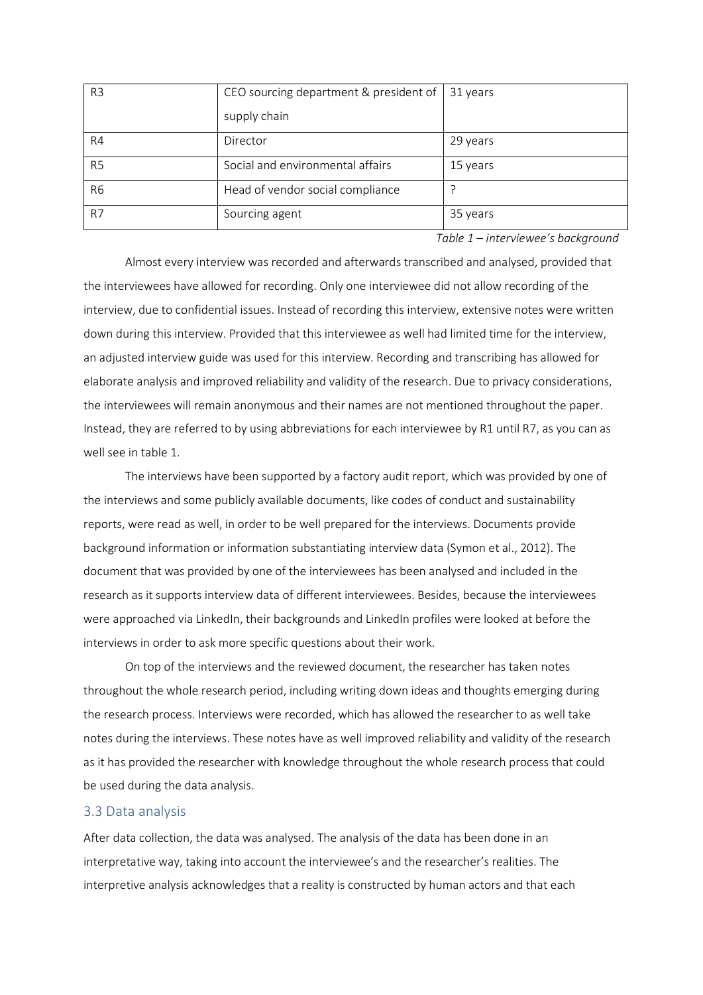| R <sub>3</sub> | CEO sourcing department & president of | 31 years |
|----------------|----------------------------------------|----------|
|                | supply chain                           |          |
| R4             | Director                               | 29 years |
| R <sub>5</sub> | Social and environmental affairs       | 15 years |
| R <sub>6</sub> | Head of vendor social compliance       |          |
| R7             | Sourcing agent                         | 35 years |

*Table 1 – interviewee's background*

Almost every interview was recorded and afterwards transcribed and analysed, provided that the interviewees have allowed for recording. Only one interviewee did not allow recording of the interview, due to confidential issues. Instead of recording this interview, extensive notes were written down during this interview. Provided that this interviewee as well had limited time for the interview, an adjusted interview guide was used for this interview. Recording and transcribing has allowed for elaborate analysis and improved reliability and validity of the research. Due to privacy considerations, the interviewees will remain anonymous and their names are not mentioned throughout the paper. Instead, they are referred to by using abbreviations for each interviewee by R1 until R7, as you can as well see in table 1.

The interviews have been supported by a factory audit report, which was provided by one of the interviews and some publicly available documents, like codes of conduct and sustainability reports, were read as well, in order to be well prepared for the interviews. Documents provide background information or information substantiating interview data (Symon et al., 2012). The document that was provided by one of the interviewees has been analysed and included in the research as it supports interview data of different interviewees. Besides, because the interviewees were approached via LinkedIn, their backgrounds and LinkedIn profiles were looked at before the interviews in order to ask more specific questions about their work.

On top of the interviews and the reviewed document, the researcher has taken notes throughout the whole research period, including writing down ideas and thoughts emerging during the research process. Interviews were recorded, which has allowed the researcher to as well take notes during the interviews. These notes have as well improved reliability and validity of the research as it has provided the researcher with knowledge throughout the whole research process that could be used during the data analysis.

## <span id="page-20-0"></span>3.3 Data analysis

After data collection, the data was analysed. The analysis of the data has been done in an interpretative way, taking into account the interviewee's and the researcher's realities. The interpretive analysis acknowledges that a reality is constructed by human actors and that each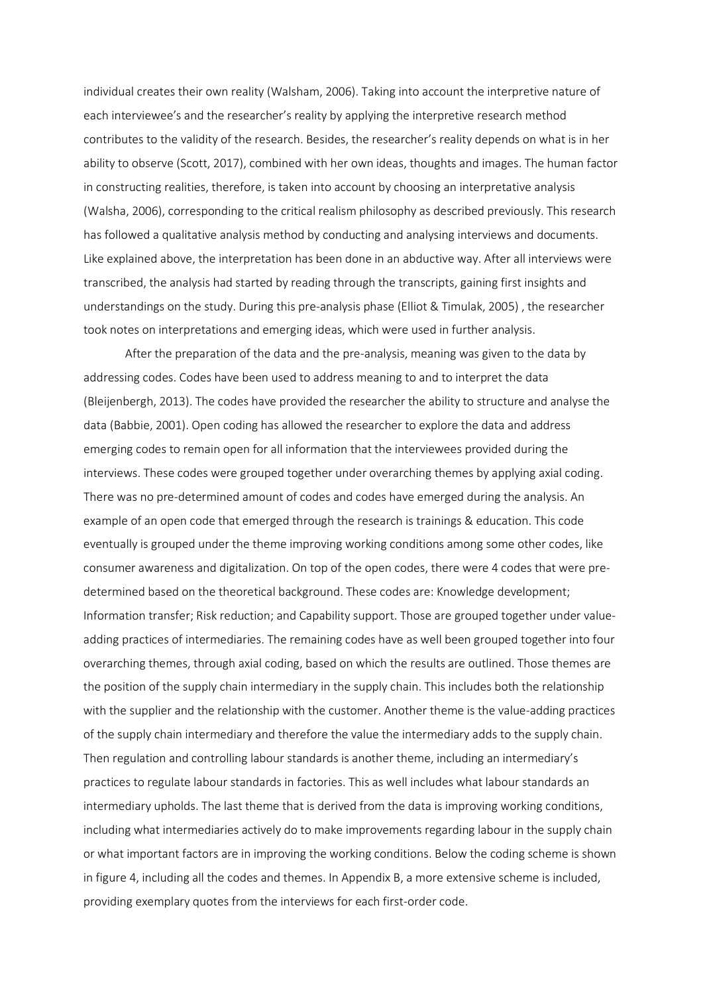individual creates their own reality (Walsham, 2006). Taking into account the interpretive nature of each interviewee's and the researcher's reality by applying the interpretive research method contributes to the validity of the research. Besides, the researcher's reality depends on what is in her ability to observe (Scott, 2017), combined with her own ideas, thoughts and images. The human factor in constructing realities, therefore, is taken into account by choosing an interpretative analysis (Walsha, 2006), corresponding to the critical realism philosophy as described previously. This research has followed a qualitative analysis method by conducting and analysing interviews and documents. Like explained above, the interpretation has been done in an abductive way. After all interviews were transcribed, the analysis had started by reading through the transcripts, gaining first insights and understandings on the study. During this pre-analysis phase (Elliot & Timulak, 2005) , the researcher took notes on interpretations and emerging ideas, which were used in further analysis.

After the preparation of the data and the pre-analysis, meaning was given to the data by addressing codes. Codes have been used to address meaning to and to interpret the data (Bleijenbergh, 2013). The codes have provided the researcher the ability to structure and analyse the data (Babbie, 2001). Open coding has allowed the researcher to explore the data and address emerging codes to remain open for all information that the interviewees provided during the interviews. These codes were grouped together under overarching themes by applying axial coding. There was no pre-determined amount of codes and codes have emerged during the analysis. An example of an open code that emerged through the research is trainings & education. This code eventually is grouped under the theme improving working conditions among some other codes, like consumer awareness and digitalization. On top of the open codes, there were 4 codes that were predetermined based on the theoretical background. These codes are: Knowledge development; Information transfer; Risk reduction; and Capability support. Those are grouped together under valueadding practices of intermediaries. The remaining codes have as well been grouped together into four overarching themes, through axial coding, based on which the results are outlined. Those themes are the position of the supply chain intermediary in the supply chain. This includes both the relationship with the supplier and the relationship with the customer. Another theme is the value-adding practices of the supply chain intermediary and therefore the value the intermediary adds to the supply chain. Then regulation and controlling labour standards is another theme, including an intermediary's practices to regulate labour standards in factories. This as well includes what labour standards an intermediary upholds. The last theme that is derived from the data is improving working conditions, including what intermediaries actively do to make improvements regarding labour in the supply chain or what important factors are in improving the working conditions. Below the coding scheme is shown in figure 4, including all the codes and themes. In Appendix B, a more extensive scheme is included, providing exemplary quotes from the interviews for each first-order code.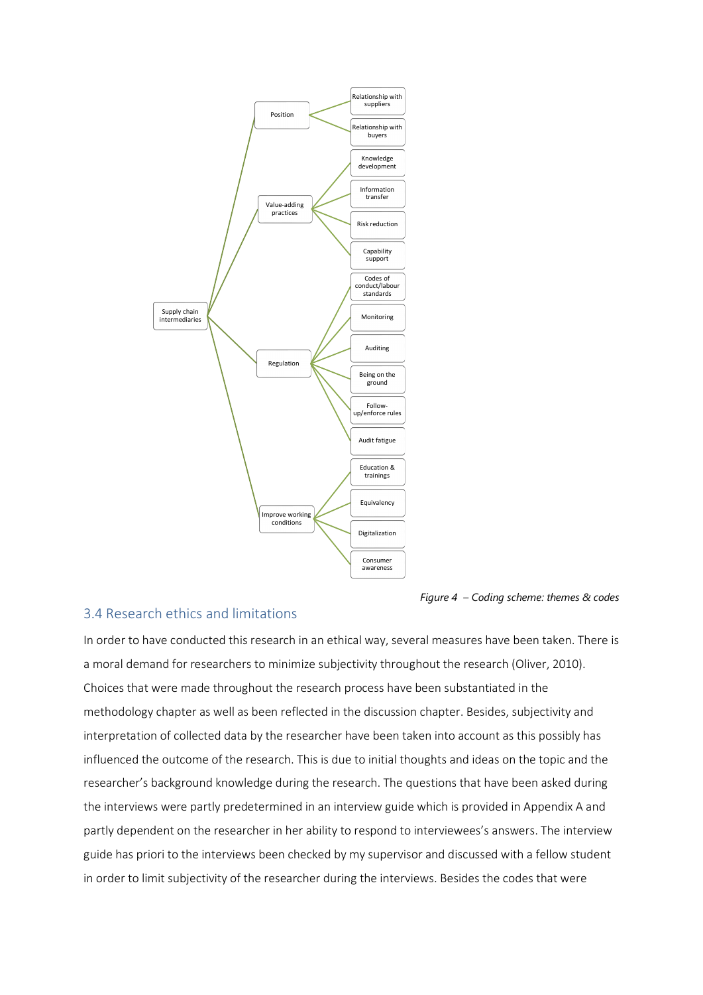

*Figure 4 – Coding scheme: themes & codes*

## <span id="page-22-0"></span>3.4 Research ethics and limitations

In order to have conducted this research in an ethical way, several measures have been taken. There is a moral demand for researchers to minimize subjectivity throughout the research (Oliver, 2010). Choices that were made throughout the research process have been substantiated in the methodology chapter as well as been reflected in the discussion chapter. Besides, subjectivity and interpretation of collected data by the researcher have been taken into account as this possibly has influenced the outcome of the research. This is due to initial thoughts and ideas on the topic and the researcher's background knowledge during the research. The questions that have been asked during the interviews were partly predetermined in an interview guide which is provided in Appendix A and partly dependent on the researcher in her ability to respond to interviewees's answers. The interview guide has priori to the interviews been checked by my supervisor and discussed with a fellow student in order to limit subjectivity of the researcher during the interviews. Besides the codes that were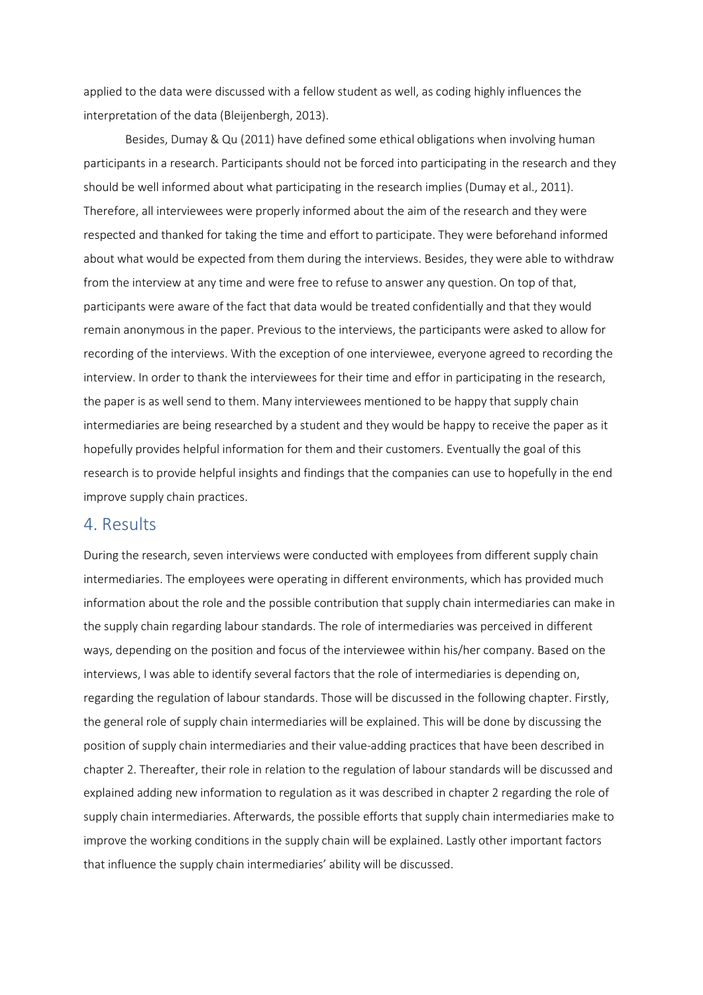applied to the data were discussed with a fellow student as well, as coding highly influences the interpretation of the data (Bleijenbergh, 2013).

Besides, Dumay & Qu (2011) have defined some ethical obligations when involving human participants in a research. Participants should not be forced into participating in the research and they should be well informed about what participating in the research implies (Dumay et al., 2011). Therefore, all interviewees were properly informed about the aim of the research and they were respected and thanked for taking the time and effort to participate. They were beforehand informed about what would be expected from them during the interviews. Besides, they were able to withdraw from the interview at any time and were free to refuse to answer any question. On top of that, participants were aware of the fact that data would be treated confidentially and that they would remain anonymous in the paper. Previous to the interviews, the participants were asked to allow for recording of the interviews. With the exception of one interviewee, everyone agreed to recording the interview. In order to thank the interviewees for their time and effor in participating in the research, the paper is as well send to them. Many interviewees mentioned to be happy that supply chain intermediaries are being researched by a student and they would be happy to receive the paper as it hopefully provides helpful information for them and their customers. Eventually the goal of this research is to provide helpful insights and findings that the companies can use to hopefully in the end improve supply chain practices.

## <span id="page-23-0"></span>4. Results

During the research, seven interviews were conducted with employees from different supply chain intermediaries. The employees were operating in different environments, which has provided much information about the role and the possible contribution that supply chain intermediaries can make in the supply chain regarding labour standards. The role of intermediaries was perceived in different ways, depending on the position and focus of the interviewee within his/her company. Based on the interviews, I was able to identify several factors that the role of intermediaries is depending on, regarding the regulation of labour standards. Those will be discussed in the following chapter. Firstly, the general role of supply chain intermediaries will be explained. This will be done by discussing the position of supply chain intermediaries and their value-adding practices that have been described in chapter 2. Thereafter, their role in relation to the regulation of labour standards will be discussed and explained adding new information to regulation as it was described in chapter 2 regarding the role of supply chain intermediaries. Afterwards, the possible efforts that supply chain intermediaries make to improve the working conditions in the supply chain will be explained. Lastly other important factors that influence the supply chain intermediaries' ability will be discussed.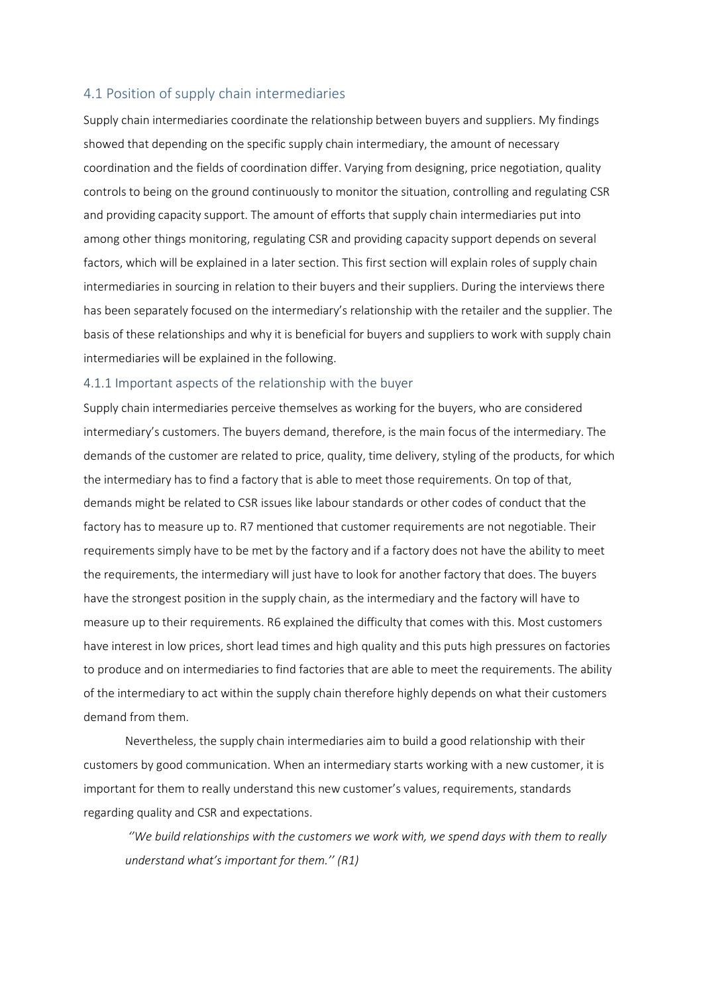## <span id="page-24-0"></span>4.1 Position of supply chain intermediaries

Supply chain intermediaries coordinate the relationship between buyers and suppliers. My findings showed that depending on the specific supply chain intermediary, the amount of necessary coordination and the fields of coordination differ. Varying from designing, price negotiation, quality controls to being on the ground continuously to monitor the situation, controlling and regulating CSR and providing capacity support. The amount of efforts that supply chain intermediaries put into among other things monitoring, regulating CSR and providing capacity support depends on several factors, which will be explained in a later section. This first section will explain roles of supply chain intermediaries in sourcing in relation to their buyers and their suppliers. During the interviews there has been separately focused on the intermediary's relationship with the retailer and the supplier. The basis of these relationships and why it is beneficial for buyers and suppliers to work with supply chain intermediaries will be explained in the following.

### <span id="page-24-1"></span>4.1.1 Important aspects of the relationship with the buyer

Supply chain intermediaries perceive themselves as working for the buyers, who are considered intermediary's customers. The buyers demand, therefore, is the main focus of the intermediary. The demands of the customer are related to price, quality, time delivery, styling of the products, for which the intermediary has to find a factory that is able to meet those requirements. On top of that, demands might be related to CSR issues like labour standards or other codes of conduct that the factory has to measure up to. R7 mentioned that customer requirements are not negotiable. Their requirements simply have to be met by the factory and if a factory does not have the ability to meet the requirements, the intermediary will just have to look for another factory that does. The buyers have the strongest position in the supply chain, as the intermediary and the factory will have to measure up to their requirements. R6 explained the difficulty that comes with this. Most customers have interest in low prices, short lead times and high quality and this puts high pressures on factories to produce and on intermediaries to find factories that are able to meet the requirements. The ability of the intermediary to act within the supply chain therefore highly depends on what their customers demand from them.

Nevertheless, the supply chain intermediaries aim to build a good relationship with their customers by good communication. When an intermediary starts working with a new customer, it is important for them to really understand this new customer's values, requirements, standards regarding quality and CSR and expectations.

*''We build relationships with the customers we work with, we spend days with them to really understand what's important for them.'' (R1)*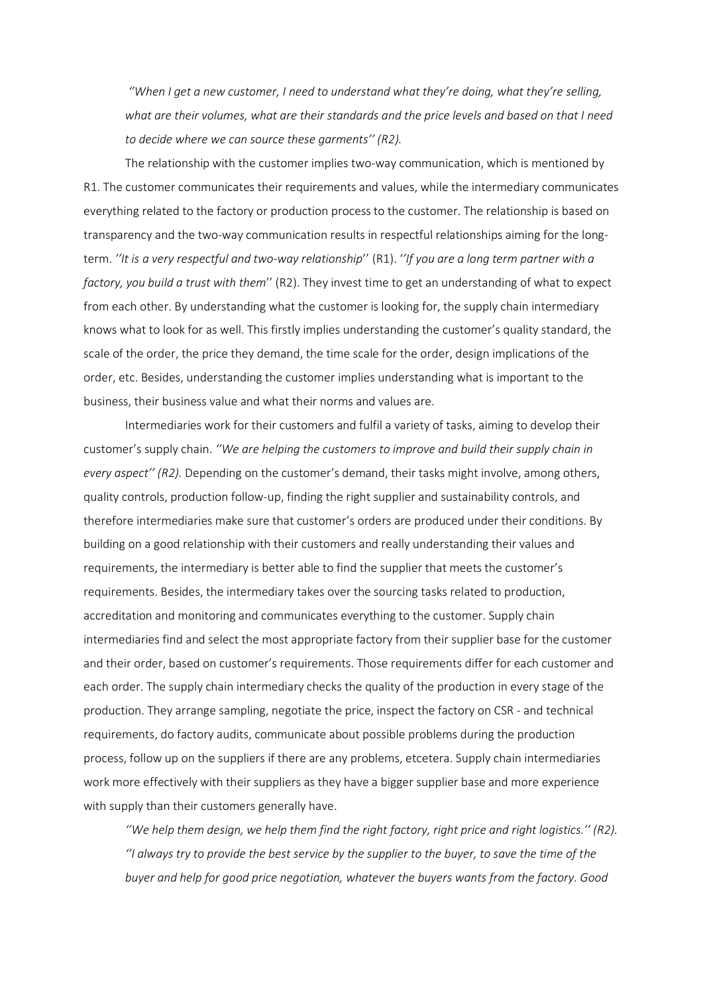*''When I get a new customer, I need to understand what they're doing, what they're selling, what are their volumes, what are their standards and the price levels and based on that I need to decide where we can source these garments'' (R2).* 

The relationship with the customer implies two-way communication, which is mentioned by R1. The customer communicates their requirements and values, while the intermediary communicates everything related to the factory or production process to the customer. The relationship is based on transparency and the two-way communication results in respectful relationships aiming for the longterm. *''It is a very respectful and two-way relationship*'' (R1). '*'If you are a long term partner with a factory, you build a trust with them*'' (R2). They invest time to get an understanding of what to expect from each other. By understanding what the customer is looking for, the supply chain intermediary knows what to look for as well. This firstly implies understanding the customer's quality standard, the scale of the order, the price they demand, the time scale for the order, design implications of the order, etc. Besides, understanding the customer implies understanding what is important to the business, their business value and what their norms and values are.

Intermediaries work for their customers and fulfil a variety of tasks, aiming to develop their customer's supply chain. *''We are helping the customers to improve and build their supply chain in every aspect'' (R2).* Depending on the customer's demand, their tasks might involve, among others, quality controls, production follow-up, finding the right supplier and sustainability controls, and therefore intermediaries make sure that customer's orders are produced under their conditions. By building on a good relationship with their customers and really understanding their values and requirements, the intermediary is better able to find the supplier that meets the customer's requirements. Besides, the intermediary takes over the sourcing tasks related to production, accreditation and monitoring and communicates everything to the customer. Supply chain intermediaries find and select the most appropriate factory from their supplier base for the customer and their order, based on customer's requirements. Those requirements differ for each customer and each order. The supply chain intermediary checks the quality of the production in every stage of the production. They arrange sampling, negotiate the price, inspect the factory on CSR - and technical requirements, do factory audits, communicate about possible problems during the production process, follow up on the suppliers if there are any problems, etcetera. Supply chain intermediaries work more effectively with their suppliers as they have a bigger supplier base and more experience with supply than their customers generally have.

*''We help them design, we help them find the right factory, right price and right logistics.'' (R2). ''I always try to provide the best service by the supplier to the buyer, to save the time of the buyer and help for good price negotiation, whatever the buyers wants from the factory. Good*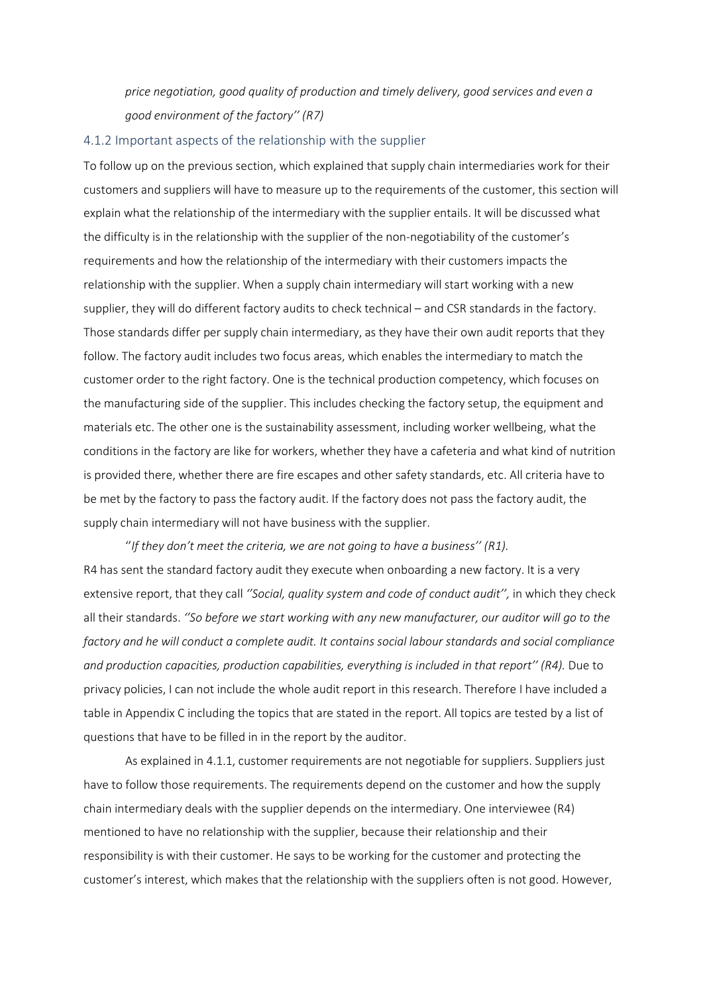*price negotiation, good quality of production and timely delivery, good services and even a good environment of the factory'' (R7)*

#### <span id="page-26-0"></span>4.1.2 Important aspects of the relationship with the supplier

To follow up on the previous section, which explained that supply chain intermediaries work for their customers and suppliers will have to measure up to the requirements of the customer, this section will explain what the relationship of the intermediary with the supplier entails. It will be discussed what the difficulty is in the relationship with the supplier of the non-negotiability of the customer's requirements and how the relationship of the intermediary with their customers impacts the relationship with the supplier. When a supply chain intermediary will start working with a new supplier, they will do different factory audits to check technical – and CSR standards in the factory. Those standards differ per supply chain intermediary, as they have their own audit reports that they follow. The factory audit includes two focus areas, which enables the intermediary to match the customer order to the right factory. One is the technical production competency, which focuses on the manufacturing side of the supplier. This includes checking the factory setup, the equipment and materials etc. The other one is the sustainability assessment, including worker wellbeing, what the conditions in the factory are like for workers, whether they have a cafeteria and what kind of nutrition is provided there, whether there are fire escapes and other safety standards, etc. All criteria have to be met by the factory to pass the factory audit. If the factory does not pass the factory audit, the supply chain intermediary will not have business with the supplier.

''*If they don't meet the criteria, we are not going to have a business'' (R1).*  R4 has sent the standard factory audit they execute when onboarding a new factory. It is a very extensive report, that they call *''Social, quality system and code of conduct audit'',* in which they check all their standards. *''So before we start working with any new manufacturer, our auditor will go to the factory and he will conduct a complete audit. It contains social labour standards and social compliance and production capacities, production capabilities, everything is included in that report'' (R4).* Due to privacy policies, I can not include the whole audit report in this research. Therefore I have included a table in Appendix C including the topics that are stated in the report. All topics are tested by a list of questions that have to be filled in in the report by the auditor.

As explained in 4.1.1, customer requirements are not negotiable for suppliers. Suppliers just have to follow those requirements. The requirements depend on the customer and how the supply chain intermediary deals with the supplier depends on the intermediary. One interviewee (R4) mentioned to have no relationship with the supplier, because their relationship and their responsibility is with their customer. He says to be working for the customer and protecting the customer's interest, which makes that the relationship with the suppliers often is not good. However,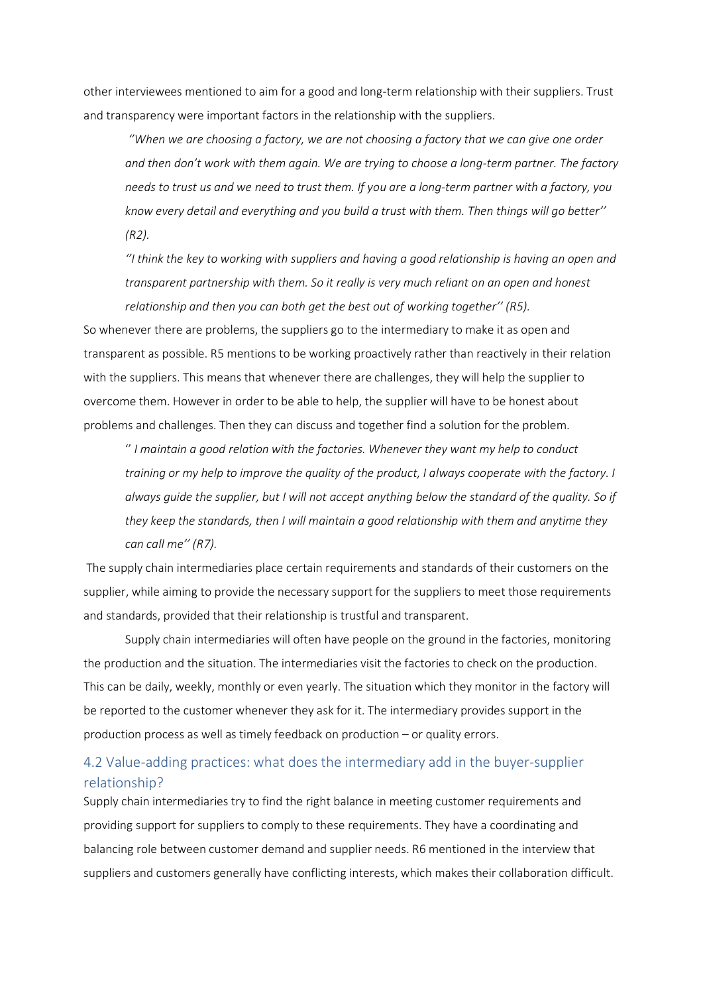other interviewees mentioned to aim for a good and long-term relationship with their suppliers. Trust and transparency were important factors in the relationship with the suppliers.

*''When we are choosing a factory, we are not choosing a factory that we can give one order and then don't work with them again. We are trying to choose a long-term partner. The factory needs to trust us and we need to trust them. If you are a long-term partner with a factory, you know every detail and everything and you build a trust with them. Then things will go better'' (R2).* 

*''I think the key to working with suppliers and having a good relationship is having an open and transparent partnership with them. So it really is very much reliant on an open and honest relationship and then you can both get the best out of working together'' (R5).* 

So whenever there are problems, the suppliers go to the intermediary to make it as open and transparent as possible. R5 mentions to be working proactively rather than reactively in their relation with the suppliers. This means that whenever there are challenges, they will help the supplier to overcome them. However in order to be able to help, the supplier will have to be honest about problems and challenges. Then they can discuss and together find a solution for the problem.

'' *I maintain a good relation with the factories. Whenever they want my help to conduct training or my help to improve the quality of the product, I always cooperate with the factory. I always guide the supplier, but I will not accept anything below the standard of the quality. So if they keep the standards, then I will maintain a good relationship with them and anytime they can call me'' (R7).*

The supply chain intermediaries place certain requirements and standards of their customers on the supplier, while aiming to provide the necessary support for the suppliers to meet those requirements and standards, provided that their relationship is trustful and transparent.

Supply chain intermediaries will often have people on the ground in the factories, monitoring the production and the situation. The intermediaries visit the factories to check on the production. This can be daily, weekly, monthly or even yearly. The situation which they monitor in the factory will be reported to the customer whenever they ask for it. The intermediary provides support in the production process as well as timely feedback on production – or quality errors.

## <span id="page-27-0"></span>4.2 Value-adding practices: what does the intermediary add in the buyer-supplier relationship?

Supply chain intermediaries try to find the right balance in meeting customer requirements and providing support for suppliers to comply to these requirements. They have a coordinating and balancing role between customer demand and supplier needs. R6 mentioned in the interview that suppliers and customers generally have conflicting interests, which makes their collaboration difficult.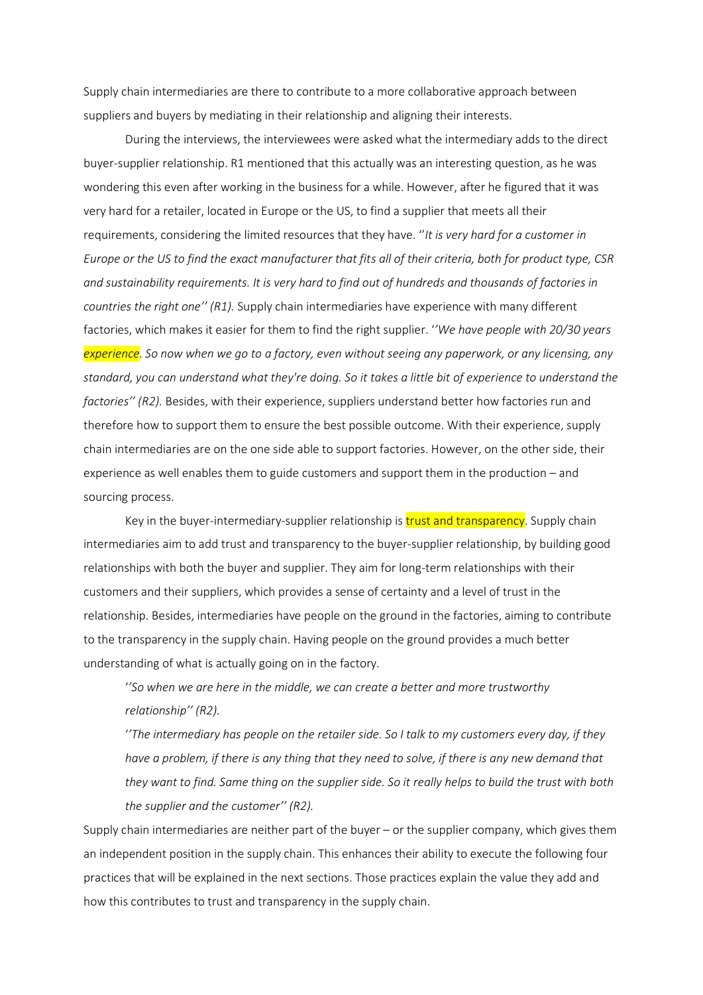Supply chain intermediaries are there to contribute to a more collaborative approach between suppliers and buyers by mediating in their relationship and aligning their interests.

During the interviews, the interviewees were asked what the intermediary adds to the direct buyer-supplier relationship. R1 mentioned that this actually was an interesting question, as he was wondering this even after working in the business for a while. However, after he figured that it was very hard for a retailer, located in Europe or the US, to find a supplier that meets all their requirements, considering the limited resources that they have. ''*It is very hard for a customer in Europe or the US to find the exact manufacturer that fits all of their criteria, both for product type, CSR and sustainability requirements. It is very hard to find out of hundreds and thousands of factories in countries the right one'' (R1).* Supply chain intermediaries have experience with many different factories, which makes it easier for them to find the right supplier. '*'We have people with 20/30 years experience. So now when we go to a factory, even without seeing any paperwork, or any licensing, any standard, you can understand what they're doing. So it takes a little bit of experience to understand the factories'' (R2).* Besides, with their experience, suppliers understand better how factories run and therefore how to support them to ensure the best possible outcome. With their experience, supply chain intermediaries are on the one side able to support factories. However, on the other side, their experience as well enables them to guide customers and support them in the production – and sourcing process.

Key in the buyer-intermediary-supplier relationship is **trust and transparency**. Supply chain intermediaries aim to add trust and transparency to the buyer-supplier relationship, by building good relationships with both the buyer and supplier. They aim for long-term relationships with their customers and their suppliers, which provides a sense of certainty and a level of trust in the relationship. Besides, intermediaries have people on the ground in the factories, aiming to contribute to the transparency in the supply chain. Having people on the ground provides a much better understanding of what is actually going on in the factory.

'*'So when we are here in the middle, we can create a better and more trustworthy relationship'' (R2).*

'*'The intermediary has people on the retailer side. So I talk to my customers every day, if they have a problem, if there is any thing that they need to solve, if there is any new demand that they want to find. Same thing on the supplier side. So it really helps to build the trust with both the supplier and the customer'' (R2).*

Supply chain intermediaries are neither part of the buyer – or the supplier company, which gives them an independent position in the supply chain. This enhances their ability to execute the following four practices that will be explained in the next sections. Those practices explain the value they add and how this contributes to trust and transparency in the supply chain.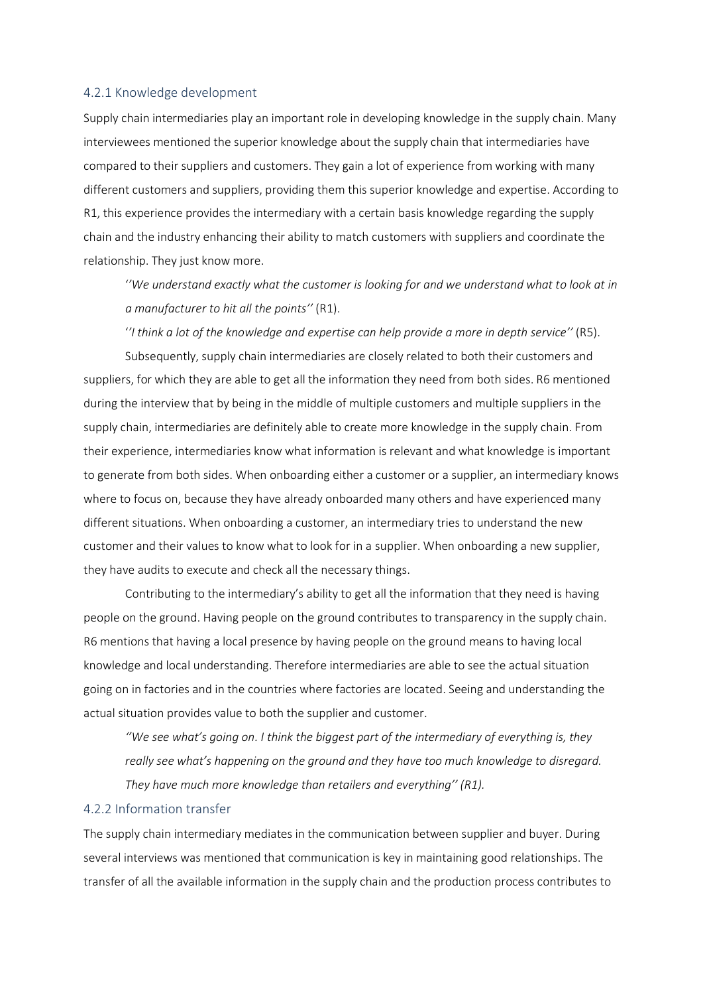#### <span id="page-29-0"></span>4.2.1 Knowledge development

Supply chain intermediaries play an important role in developing knowledge in the supply chain. Many interviewees mentioned the superior knowledge about the supply chain that intermediaries have compared to their suppliers and customers. They gain a lot of experience from working with many different customers and suppliers, providing them this superior knowledge and expertise. According to R1, this experience provides the intermediary with a certain basis knowledge regarding the supply chain and the industry enhancing their ability to match customers with suppliers and coordinate the relationship. They just know more.

'*'We understand exactly what the customer is looking for and we understand what to look at in a manufacturer to hit all the points''* (R1).

'*'I think a lot of the knowledge and expertise can help provide a more in depth service''* (R5).

Subsequently, supply chain intermediaries are closely related to both their customers and suppliers, for which they are able to get all the information they need from both sides. R6 mentioned during the interview that by being in the middle of multiple customers and multiple suppliers in the supply chain, intermediaries are definitely able to create more knowledge in the supply chain. From their experience, intermediaries know what information is relevant and what knowledge is important to generate from both sides. When onboarding either a customer or a supplier, an intermediary knows where to focus on, because they have already onboarded many others and have experienced many different situations. When onboarding a customer, an intermediary tries to understand the new customer and their values to know what to look for in a supplier. When onboarding a new supplier, they have audits to execute and check all the necessary things.

Contributing to the intermediary's ability to get all the information that they need is having people on the ground. Having people on the ground contributes to transparency in the supply chain. R6 mentions that having a local presence by having people on the ground means to having local knowledge and local understanding. Therefore intermediaries are able to see the actual situation going on in factories and in the countries where factories are located. Seeing and understanding the actual situation provides value to both the supplier and customer.

*''We see what's going on. I think the biggest part of the intermediary of everything is, they really see what's happening on the ground and they have too much knowledge to disregard. They have much more knowledge than retailers and everything'' (R1).* 

## <span id="page-29-1"></span>4.2.2 Information transfer

The supply chain intermediary mediates in the communication between supplier and buyer. During several interviews was mentioned that communication is key in maintaining good relationships. The transfer of all the available information in the supply chain and the production process contributes to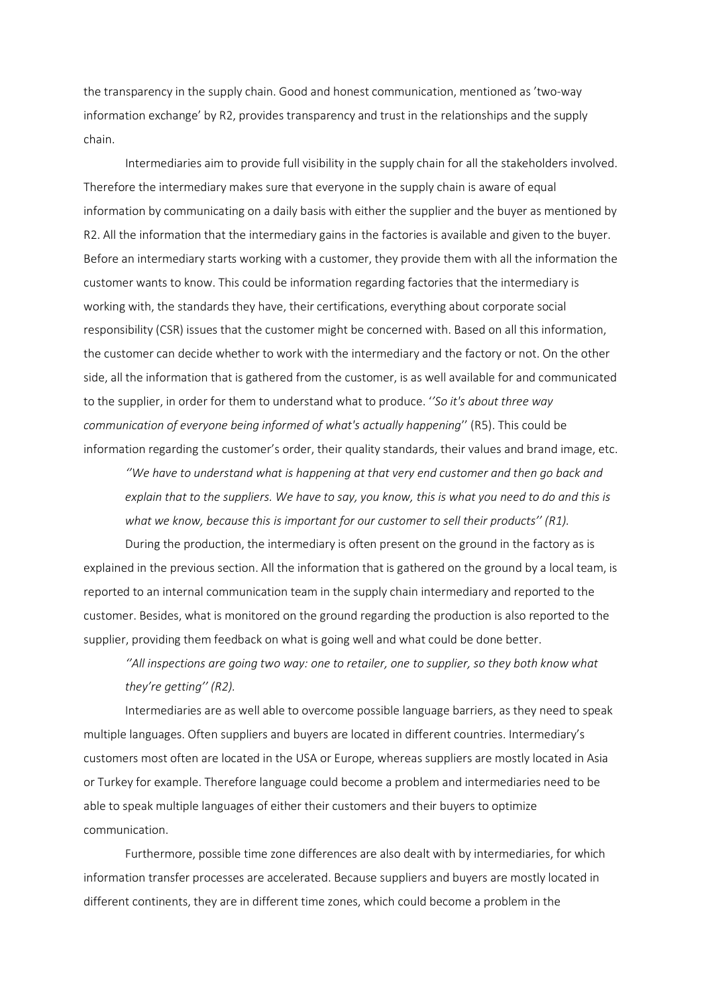the transparency in the supply chain. Good and honest communication, mentioned as 'two-way information exchange' by R2, provides transparency and trust in the relationships and the supply chain.

Intermediaries aim to provide full visibility in the supply chain for all the stakeholders involved. Therefore the intermediary makes sure that everyone in the supply chain is aware of equal information by communicating on a daily basis with either the supplier and the buyer as mentioned by R2. All the information that the intermediary gains in the factories is available and given to the buyer. Before an intermediary starts working with a customer, they provide them with all the information the customer wants to know. This could be information regarding factories that the intermediary is working with, the standards they have, their certifications, everything about corporate social responsibility (CSR) issues that the customer might be concerned with. Based on all this information, the customer can decide whether to work with the intermediary and the factory or not. On the other side, all the information that is gathered from the customer, is as well available for and communicated to the supplier, in order for them to understand what to produce. '*'So it's about three way communication of everyone being informed of what's actually happening*'' (R5). This could be information regarding the customer's order, their quality standards, their values and brand image, etc.

*''We have to understand what is happening at that very end customer and then go back and explain that to the suppliers. We have to say, you know, this is what you need to do and this is what we know, because this is important for our customer to sell their products'' (R1).* 

During the production, the intermediary is often present on the ground in the factory as is explained in the previous section. All the information that is gathered on the ground by a local team, is reported to an internal communication team in the supply chain intermediary and reported to the customer. Besides, what is monitored on the ground regarding the production is also reported to the supplier, providing them feedback on what is going well and what could be done better.

*''All inspections are going two way: one to retailer, one to supplier, so they both know what they're getting'' (R2).* 

Intermediaries are as well able to overcome possible language barriers, as they need to speak multiple languages. Often suppliers and buyers are located in different countries. Intermediary's customers most often are located in the USA or Europe, whereas suppliers are mostly located in Asia or Turkey for example. Therefore language could become a problem and intermediaries need to be able to speak multiple languages of either their customers and their buyers to optimize communication.

Furthermore, possible time zone differences are also dealt with by intermediaries, for which information transfer processes are accelerated. Because suppliers and buyers are mostly located in different continents, they are in different time zones, which could become a problem in the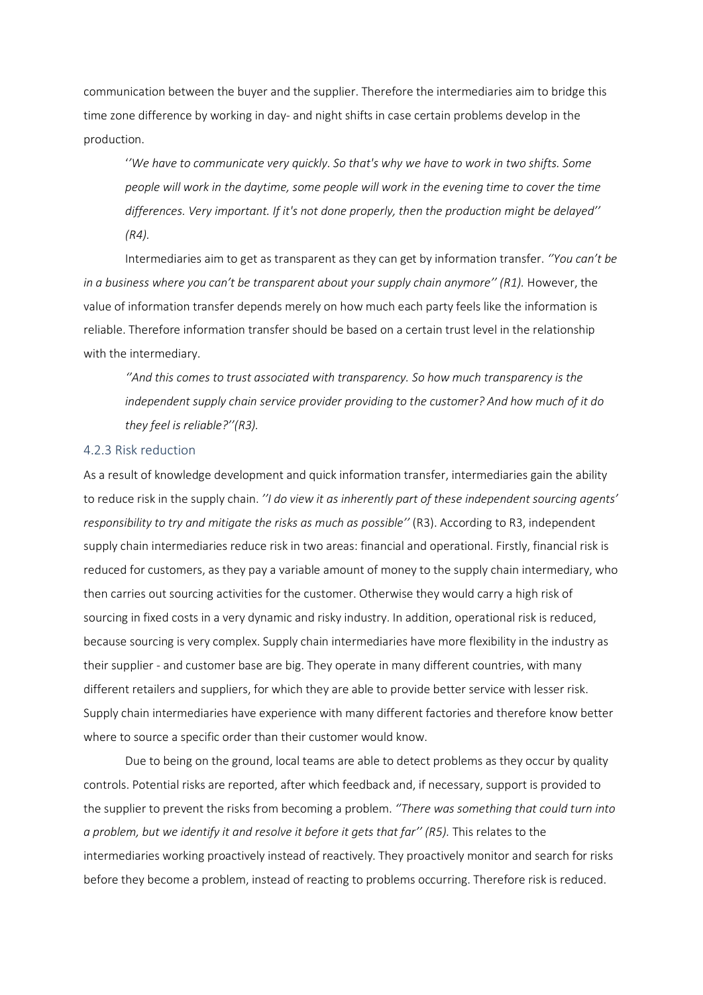communication between the buyer and the supplier. Therefore the intermediaries aim to bridge this time zone difference by working in day- and night shifts in case certain problems develop in the production.

'*'We have to communicate very quickly. So that's why we have to work in two shifts. Some people will work in the daytime, some people will work in the evening time to cover the time differences. Very important. If it's not done properly, then the production might be delayed'' (R4).*

Intermediaries aim to get as transparent as they can get by information transfer. *''You can't be in a business where you can't be transparent about your supply chain anymore'' (R1).* However, the value of information transfer depends merely on how much each party feels like the information is reliable. Therefore information transfer should be based on a certain trust level in the relationship with the intermediary.

*''And this comes to trust associated with transparency. So how much transparency is the independent supply chain service provider providing to the customer? And how much of it do they feel is reliable?''(R3).* 

### <span id="page-31-0"></span>4.2.3 Risk reduction

As a result of knowledge development and quick information transfer, intermediaries gain the ability to reduce risk in the supply chain. *''I do view it as inherently part of these independent sourcing agents' responsibility to try and mitigate the risks as much as possible''* (R3). According to R3, independent supply chain intermediaries reduce risk in two areas: financial and operational. Firstly, financial risk is reduced for customers, as they pay a variable amount of money to the supply chain intermediary, who then carries out sourcing activities for the customer. Otherwise they would carry a high risk of sourcing in fixed costs in a very dynamic and risky industry. In addition, operational risk is reduced, because sourcing is very complex. Supply chain intermediaries have more flexibility in the industry as their supplier - and customer base are big. They operate in many different countries, with many different retailers and suppliers, for which they are able to provide better service with lesser risk. Supply chain intermediaries have experience with many different factories and therefore know better where to source a specific order than their customer would know.

Due to being on the ground, local teams are able to detect problems as they occur by quality controls. Potential risks are reported, after which feedback and, if necessary, support is provided to the supplier to prevent the risks from becoming a problem. *''There was something that could turn into a problem, but we identify it and resolve it before it gets that far'' (R5).* This relates to the intermediaries working proactively instead of reactively. They proactively monitor and search for risks before they become a problem, instead of reacting to problems occurring. Therefore risk is reduced.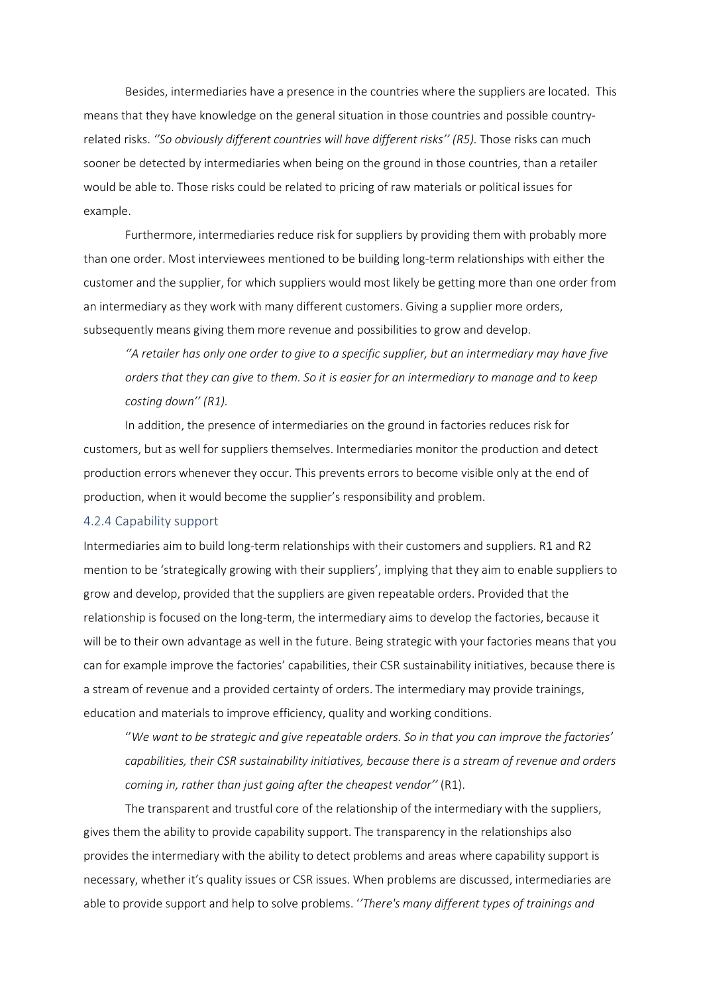Besides, intermediaries have a presence in the countries where the suppliers are located. This means that they have knowledge on the general situation in those countries and possible countryrelated risks. *''So obviously different countries will have different risks'' (R5).* Those risks can much sooner be detected by intermediaries when being on the ground in those countries, than a retailer would be able to. Those risks could be related to pricing of raw materials or political issues for example.

Furthermore, intermediaries reduce risk for suppliers by providing them with probably more than one order. Most interviewees mentioned to be building long-term relationships with either the customer and the supplier, for which suppliers would most likely be getting more than one order from an intermediary as they work with many different customers. Giving a supplier more orders, subsequently means giving them more revenue and possibilities to grow and develop.

*''A retailer has only one order to give to a specific supplier, but an intermediary may have five orders that they can give to them. So it is easier for an intermediary to manage and to keep costing down'' (R1).* 

In addition, the presence of intermediaries on the ground in factories reduces risk for customers, but as well for suppliers themselves. Intermediaries monitor the production and detect production errors whenever they occur. This prevents errors to become visible only at the end of production, when it would become the supplier's responsibility and problem.

#### <span id="page-32-0"></span>4.2.4 Capability support

Intermediaries aim to build long-term relationships with their customers and suppliers. R1 and R2 mention to be 'strategically growing with their suppliers', implying that they aim to enable suppliers to grow and develop, provided that the suppliers are given repeatable orders. Provided that the relationship is focused on the long-term, the intermediary aims to develop the factories, because it will be to their own advantage as well in the future. Being strategic with your factories means that you can for example improve the factories' capabilities, their CSR sustainability initiatives, because there is a stream of revenue and a provided certainty of orders. The intermediary may provide trainings, education and materials to improve efficiency, quality and working conditions.

''*We want to be strategic and give repeatable orders. So in that you can improve the factories' capabilities, their CSR sustainability initiatives, because there is a stream of revenue and orders coming in, rather than just going after the cheapest vendor''* (R1).

The transparent and trustful core of the relationship of the intermediary with the suppliers, gives them the ability to provide capability support. The transparency in the relationships also provides the intermediary with the ability to detect problems and areas where capability support is necessary, whether it's quality issues or CSR issues. When problems are discussed, intermediaries are able to provide support and help to solve problems. '*'There's many different types of trainings and*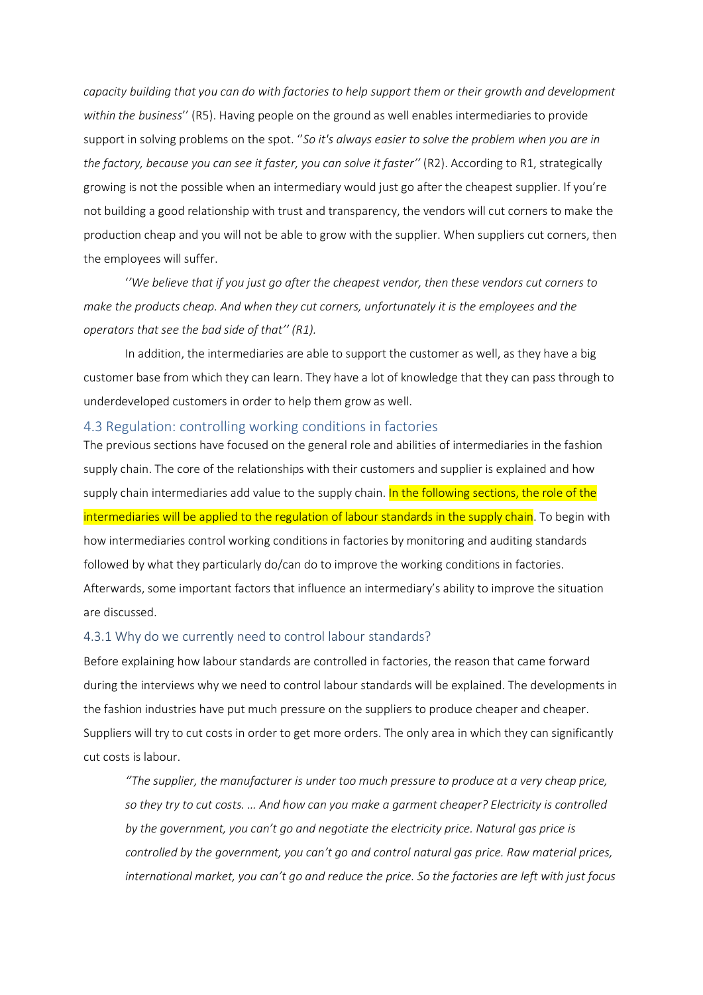*capacity building that you can do with factories to help support them or their growth and development within the business*'' (R5). Having people on the ground as well enables intermediaries to provide support in solving problems on the spot. ''*So it's always easier to solve the problem when you are in the factory, because you can see it faster, you can solve it faster''* (R2). According to R1, strategically growing is not the possible when an intermediary would just go after the cheapest supplier. If you're not building a good relationship with trust and transparency, the vendors will cut corners to make the production cheap and you will not be able to grow with the supplier. When suppliers cut corners, then the employees will suffer.

'*'We believe that if you just go after the cheapest vendor, then these vendors cut corners to make the products cheap. And when they cut corners, unfortunately it is the employees and the operators that see the bad side of that'' (R1).*

In addition, the intermediaries are able to support the customer as well, as they have a big customer base from which they can learn. They have a lot of knowledge that they can pass through to underdeveloped customers in order to help them grow as well.

### <span id="page-33-0"></span>4.3 Regulation: controlling working conditions in factories

The previous sections have focused on the general role and abilities of intermediaries in the fashion supply chain. The core of the relationships with their customers and supplier is explained and how supply chain intermediaries add value to the supply chain. In the following sections, the role of the intermediaries will be applied to the regulation of labour standards in the supply chain. To begin with how intermediaries control working conditions in factories by monitoring and auditing standards followed by what they particularly do/can do to improve the working conditions in factories. Afterwards, some important factors that influence an intermediary's ability to improve the situation are discussed.

#### <span id="page-33-1"></span>4.3.1 Why do we currently need to control labour standards?

Before explaining how labour standards are controlled in factories, the reason that came forward during the interviews why we need to control labour standards will be explained. The developments in the fashion industries have put much pressure on the suppliers to produce cheaper and cheaper. Suppliers will try to cut costs in order to get more orders. The only area in which they can significantly cut costs is labour.

*''The supplier, the manufacturer is under too much pressure to produce at a very cheap price, so they try to cut costs. … And how can you make a garment cheaper? Electricity is controlled by the government, you can't go and negotiate the electricity price. Natural gas price is controlled by the government, you can't go and control natural gas price. Raw material prices, international market, you can't go and reduce the price. So the factories are left with just focus*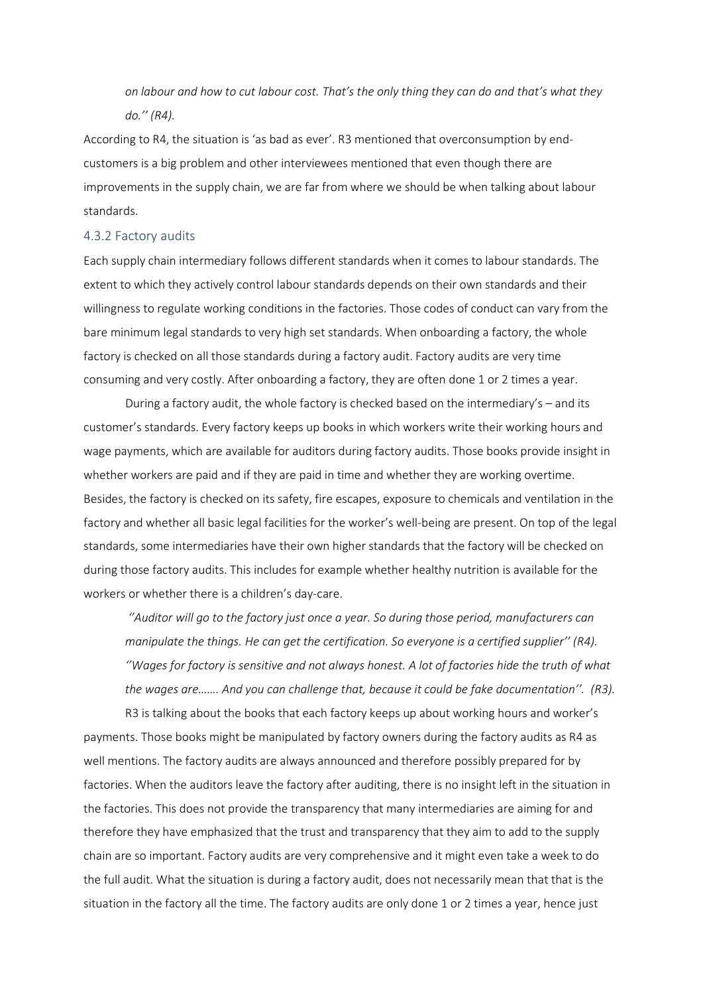*on labour and how to cut labour cost. That's the only thing they can do and that's what they do.'' (R4).*

According to R4, the situation is 'as bad as ever'. R3 mentioned that overconsumption by endcustomers is a big problem and other interviewees mentioned that even though there are improvements in the supply chain, we are far from where we should be when talking about labour standards.

#### <span id="page-34-0"></span>4.3.2 Factory audits

Each supply chain intermediary follows different standards when it comes to labour standards. The extent to which they actively control labour standards depends on their own standards and their willingness to regulate working conditions in the factories. Those codes of conduct can vary from the bare minimum legal standards to very high set standards. When onboarding a factory, the whole factory is checked on all those standards during a factory audit. Factory audits are very time consuming and very costly. After onboarding a factory, they are often done 1 or 2 times a year.

During a factory audit, the whole factory is checked based on the intermediary's – and its customer's standards. Every factory keeps up books in which workers write their working hours and wage payments, which are available for auditors during factory audits. Those books provide insight in whether workers are paid and if they are paid in time and whether they are working overtime. Besides, the factory is checked on its safety, fire escapes, exposure to chemicals and ventilation in the factory and whether all basic legal facilities for the worker's well-being are present. On top of the legal standards, some intermediaries have their own higher standards that the factory will be checked on during those factory audits. This includes for example whether healthy nutrition is available for the workers or whether there is a children's day-care.

*''Auditor will go to the factory just once a year. So during those period, manufacturers can manipulate the things. He can get the certification. So everyone is a certified supplier'' (R4). ''Wages for factory is sensitive and not always honest. A lot of factories hide the truth of what the wages are……. And you can challenge that, because it could be fake documentation''. (R3).* 

R3 is talking about the books that each factory keeps up about working hours and worker's payments. Those books might be manipulated by factory owners during the factory audits as R4 as well mentions. The factory audits are always announced and therefore possibly prepared for by factories. When the auditors leave the factory after auditing, there is no insight left in the situation in the factories. This does not provide the transparency that many intermediaries are aiming for and therefore they have emphasized that the trust and transparency that they aim to add to the supply chain are so important. Factory audits are very comprehensive and it might even take a week to do the full audit. What the situation is during a factory audit, does not necessarily mean that that is the situation in the factory all the time. The factory audits are only done 1 or 2 times a year, hence just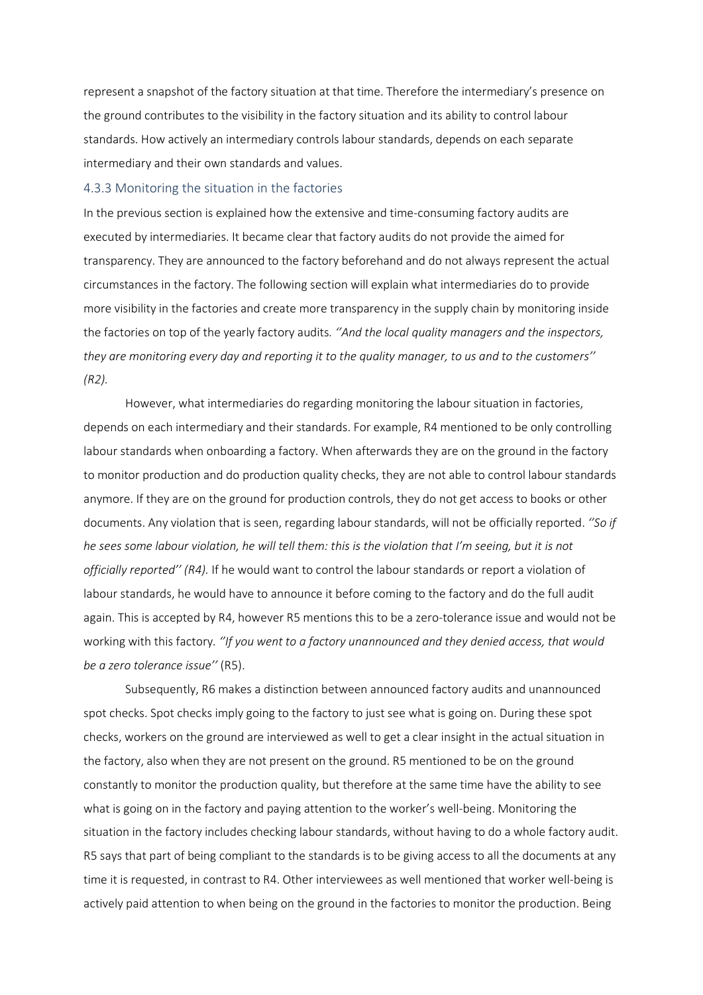represent a snapshot of the factory situation at that time. Therefore the intermediary's presence on the ground contributes to the visibility in the factory situation and its ability to control labour standards. How actively an intermediary controls labour standards, depends on each separate intermediary and their own standards and values.

#### <span id="page-35-0"></span>4.3.3 Monitoring the situation in the factories

In the previous section is explained how the extensive and time-consuming factory audits are executed by intermediaries. It became clear that factory audits do not provide the aimed for transparency. They are announced to the factory beforehand and do not always represent the actual circumstances in the factory. The following section will explain what intermediaries do to provide more visibility in the factories and create more transparency in the supply chain by monitoring inside the factories on top of the yearly factory audits*. ''And the local quality managers and the inspectors, they are monitoring every day and reporting it to the quality manager, to us and to the customers'' (R2).*

However, what intermediaries do regarding monitoring the labour situation in factories, depends on each intermediary and their standards. For example, R4 mentioned to be only controlling labour standards when onboarding a factory. When afterwards they are on the ground in the factory to monitor production and do production quality checks, they are not able to control labour standards anymore. If they are on the ground for production controls, they do not get access to books or other documents. Any violation that is seen, regarding labour standards, will not be officially reported. *''So if he sees some labour violation, he will tell them: this is the violation that I'm seeing, but it is not officially reported'' (R4).* If he would want to control the labour standards or report a violation of labour standards, he would have to announce it before coming to the factory and do the full audit again. This is accepted by R4, however R5 mentions this to be a zero-tolerance issue and would not be working with this factory*. ''If you went to a factory unannounced and they denied access, that would be a zero tolerance issue''* (R5).

Subsequently, R6 makes a distinction between announced factory audits and unannounced spot checks. Spot checks imply going to the factory to just see what is going on. During these spot checks, workers on the ground are interviewed as well to get a clear insight in the actual situation in the factory, also when they are not present on the ground. R5 mentioned to be on the ground constantly to monitor the production quality, but therefore at the same time have the ability to see what is going on in the factory and paying attention to the worker's well-being. Monitoring the situation in the factory includes checking labour standards, without having to do a whole factory audit. R5 says that part of being compliant to the standards is to be giving access to all the documents at any time it is requested, in contrast to R4. Other interviewees as well mentioned that worker well-being is actively paid attention to when being on the ground in the factories to monitor the production. Being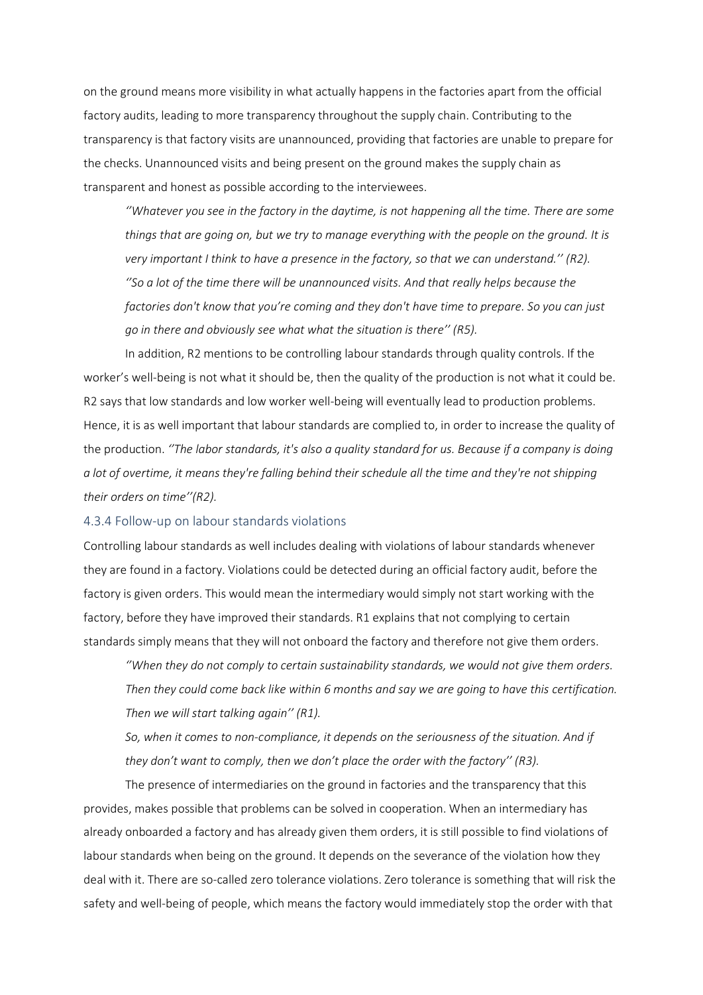on the ground means more visibility in what actually happens in the factories apart from the official factory audits, leading to more transparency throughout the supply chain. Contributing to the transparency is that factory visits are unannounced, providing that factories are unable to prepare for the checks. Unannounced visits and being present on the ground makes the supply chain as transparent and honest as possible according to the interviewees.

*''Whatever you see in the factory in the daytime, is not happening all the time. There are some things that are going on, but we try to manage everything with the people on the ground. It is very important I think to have a presence in the factory, so that we can understand.'' (R2). ''So a lot of the time there will be unannounced visits. And that really helps because the factories don't know that you're coming and they don't have time to prepare. So you can just go in there and obviously see what what the situation is there'' (R5).*

In addition, R2 mentions to be controlling labour standards through quality controls. If the worker's well-being is not what it should be, then the quality of the production is not what it could be. R2 says that low standards and low worker well-being will eventually lead to production problems. Hence, it is as well important that labour standards are complied to, in order to increase the quality of the production. *''The labor standards, it's also a quality standard for us. Because if a company is doing a lot of overtime, it means they're falling behind their schedule all the time and they're not shipping their orders on time''(R2).*

### 4.3.4 Follow-up on labour standards violations

Controlling labour standards as well includes dealing with violations of labour standards whenever they are found in a factory. Violations could be detected during an official factory audit, before the factory is given orders. This would mean the intermediary would simply not start working with the factory, before they have improved their standards. R1 explains that not complying to certain standards simply means that they will not onboard the factory and therefore not give them orders.

*''When they do not comply to certain sustainability standards, we would not give them orders. Then they could come back like within 6 months and say we are going to have this certification. Then we will start talking again'' (R1).* 

*So, when it comes to non-compliance, it depends on the seriousness of the situation. And if they don't want to comply, then we don't place the order with the factory'' (R3).* 

The presence of intermediaries on the ground in factories and the transparency that this provides, makes possible that problems can be solved in cooperation. When an intermediary has already onboarded a factory and has already given them orders, it is still possible to find violations of labour standards when being on the ground. It depends on the severance of the violation how they deal with it. There are so-called zero tolerance violations. Zero tolerance is something that will risk the safety and well-being of people, which means the factory would immediately stop the order with that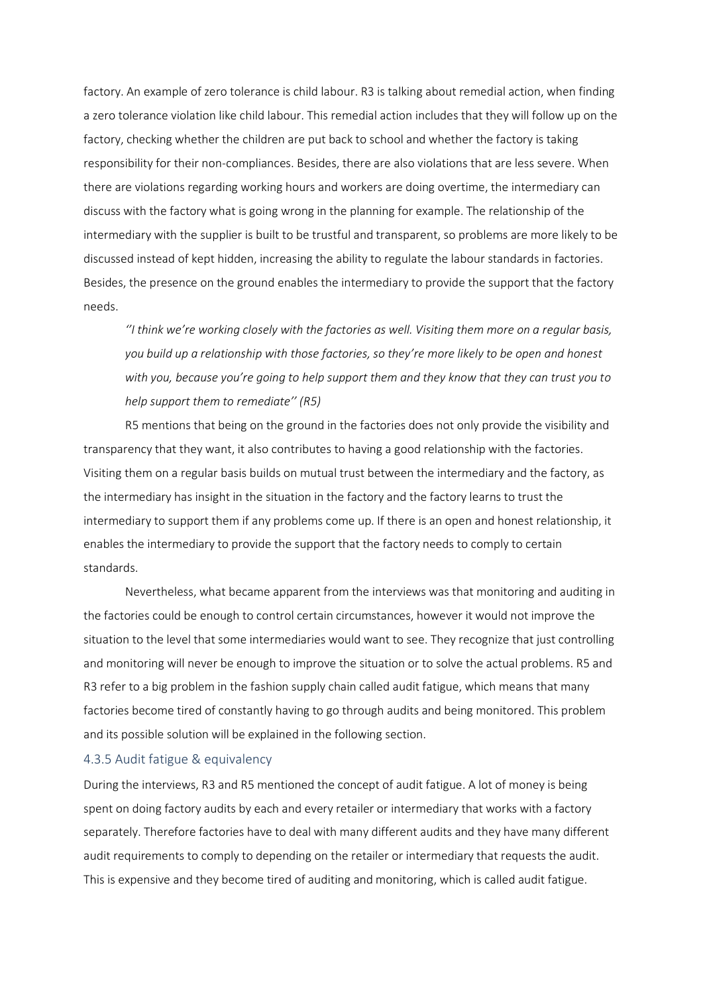factory. An example of zero tolerance is child labour. R3 is talking about remedial action, when finding a zero tolerance violation like child labour. This remedial action includes that they will follow up on the factory, checking whether the children are put back to school and whether the factory is taking responsibility for their non-compliances. Besides, there are also violations that are less severe. When there are violations regarding working hours and workers are doing overtime, the intermediary can discuss with the factory what is going wrong in the planning for example. The relationship of the intermediary with the supplier is built to be trustful and transparent, so problems are more likely to be discussed instead of kept hidden, increasing the ability to regulate the labour standards in factories. Besides, the presence on the ground enables the intermediary to provide the support that the factory needs.

*''I think we're working closely with the factories as well. Visiting them more on a regular basis, you build up a relationship with those factories, so they're more likely to be open and honest with you, because you're going to help support them and they know that they can trust you to help support them to remediate'' (R5)*

R5 mentions that being on the ground in the factories does not only provide the visibility and transparency that they want, it also contributes to having a good relationship with the factories. Visiting them on a regular basis builds on mutual trust between the intermediary and the factory, as the intermediary has insight in the situation in the factory and the factory learns to trust the intermediary to support them if any problems come up. If there is an open and honest relationship, it enables the intermediary to provide the support that the factory needs to comply to certain standards.

Nevertheless, what became apparent from the interviews was that monitoring and auditing in the factories could be enough to control certain circumstances, however it would not improve the situation to the level that some intermediaries would want to see. They recognize that just controlling and monitoring will never be enough to improve the situation or to solve the actual problems. R5 and R3 refer to a big problem in the fashion supply chain called audit fatigue, which means that many factories become tired of constantly having to go through audits and being monitored. This problem and its possible solution will be explained in the following section.

### 4.3.5 Audit fatigue & equivalency

During the interviews, R3 and R5 mentioned the concept of audit fatigue. A lot of money is being spent on doing factory audits by each and every retailer or intermediary that works with a factory separately. Therefore factories have to deal with many different audits and they have many different audit requirements to comply to depending on the retailer or intermediary that requests the audit. This is expensive and they become tired of auditing and monitoring, which is called audit fatigue.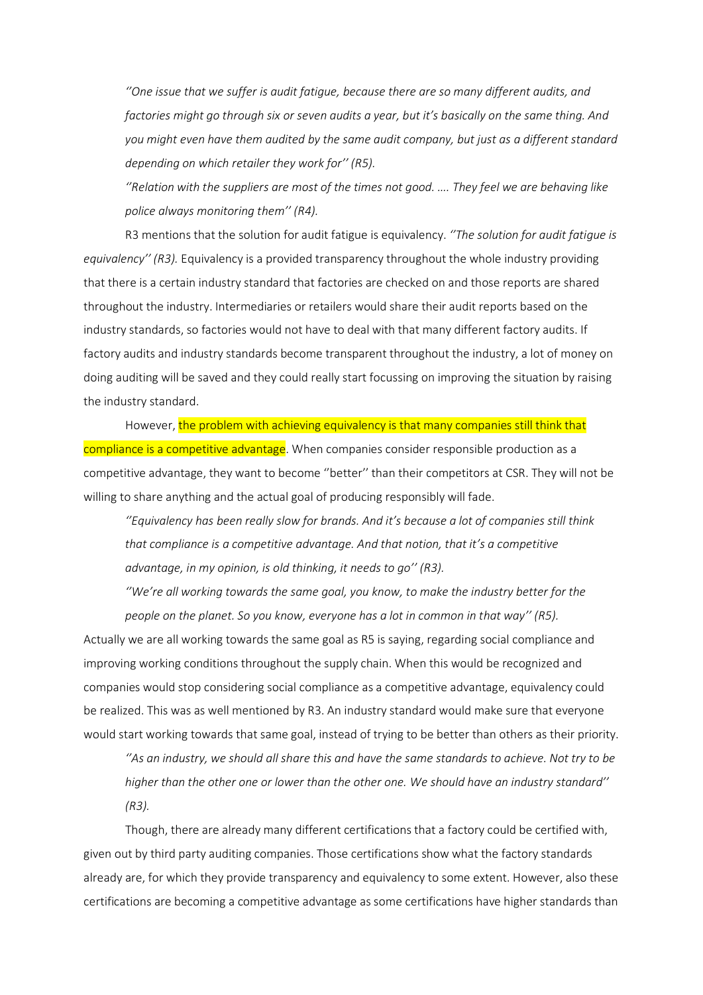*''One issue that we suffer is audit fatigue, because there are so many different audits, and factories might go through six or seven audits a year, but it's basically on the same thing. And you might even have them audited by the same audit company, but just as a different standard depending on which retailer they work for'' (R5).* 

*''Relation with the suppliers are most of the times not good. …. They feel we are behaving like police always monitoring them'' (R4).*

R3 mentions that the solution for audit fatigue is equivalency. *''The solution for audit fatigue is equivalency'' (R3).* Equivalency is a provided transparency throughout the whole industry providing that there is a certain industry standard that factories are checked on and those reports are shared throughout the industry. Intermediaries or retailers would share their audit reports based on the industry standards, so factories would not have to deal with that many different factory audits. If factory audits and industry standards become transparent throughout the industry, a lot of money on doing auditing will be saved and they could really start focussing on improving the situation by raising the industry standard.

However, the problem with achieving equivalency is that many companies still think that compliance is a competitive advantage. When companies consider responsible production as a competitive advantage, they want to become ''better'' than their competitors at CSR. They will not be willing to share anything and the actual goal of producing responsibly will fade.

*''Equivalency has been really slow for brands. And it's because a lot of companies still think that compliance is a competitive advantage. And that notion, that it's a competitive advantage, in my opinion, is old thinking, it needs to go'' (R3).* 

*''We're all working towards the same goal, you know, to make the industry better for the people on the planet. So you know, everyone has a lot in common in that way'' (R5).* 

Actually we are all working towards the same goal as R5 is saying, regarding social compliance and improving working conditions throughout the supply chain. When this would be recognized and companies would stop considering social compliance as a competitive advantage, equivalency could be realized. This was as well mentioned by R3. An industry standard would make sure that everyone would start working towards that same goal, instead of trying to be better than others as their priority.

*''As an industry, we should all share this and have the same standards to achieve. Not try to be higher than the other one or lower than the other one. We should have an industry standard'' (R3).*

Though, there are already many different certifications that a factory could be certified with, given out by third party auditing companies. Those certifications show what the factory standards already are, for which they provide transparency and equivalency to some extent. However, also these certifications are becoming a competitive advantage as some certifications have higher standards than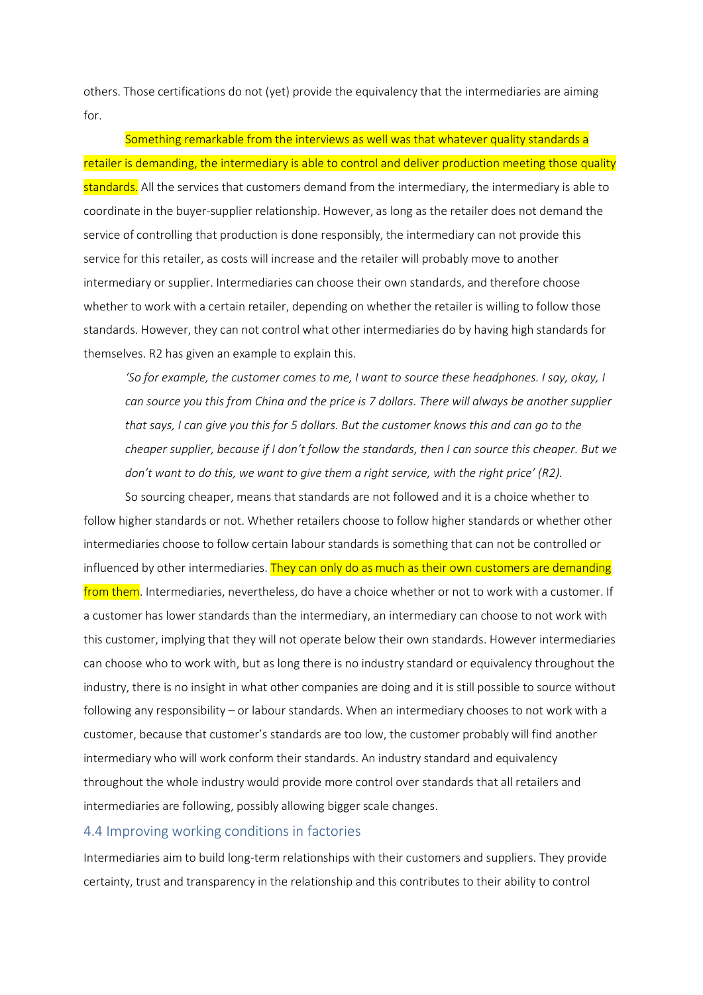others. Those certifications do not (yet) provide the equivalency that the intermediaries are aiming for.

Something remarkable from the interviews as well was that whatever quality standards a retailer is demanding, the intermediary is able to control and deliver production meeting those quality standards. All the services that customers demand from the intermediary, the intermediary is able to coordinate in the buyer-supplier relationship. However, as long as the retailer does not demand the service of controlling that production is done responsibly, the intermediary can not provide this service for this retailer, as costs will increase and the retailer will probably move to another intermediary or supplier. Intermediaries can choose their own standards, and therefore choose whether to work with a certain retailer, depending on whether the retailer is willing to follow those standards. However, they can not control what other intermediaries do by having high standards for themselves. R2 has given an example to explain this.

*'So for example, the customer comes to me, I want to source these headphones. I say, okay, I can source you this from China and the price is 7 dollars. There will always be another supplier that says, I can give you this for 5 dollars. But the customer knows this and can go to the cheaper supplier, because if I don't follow the standards, then I can source this cheaper. But we don't want to do this, we want to give them a right service, with the right price' (R2).* 

So sourcing cheaper, means that standards are not followed and it is a choice whether to follow higher standards or not. Whether retailers choose to follow higher standards or whether other intermediaries choose to follow certain labour standards is something that can not be controlled or influenced by other intermediaries. They can only do as much as their own customers are demanding from them. Intermediaries, nevertheless, do have a choice whether or not to work with a customer. If a customer has lower standards than the intermediary, an intermediary can choose to not work with this customer, implying that they will not operate below their own standards. However intermediaries can choose who to work with, but as long there is no industry standard or equivalency throughout the industry, there is no insight in what other companies are doing and it is still possible to source without following any responsibility – or labour standards. When an intermediary chooses to not work with a customer, because that customer's standards are too low, the customer probably will find another intermediary who will work conform their standards. An industry standard and equivalency throughout the whole industry would provide more control over standards that all retailers and intermediaries are following, possibly allowing bigger scale changes.

### 4.4 Improving working conditions in factories

Intermediaries aim to build long-term relationships with their customers and suppliers. They provide certainty, trust and transparency in the relationship and this contributes to their ability to control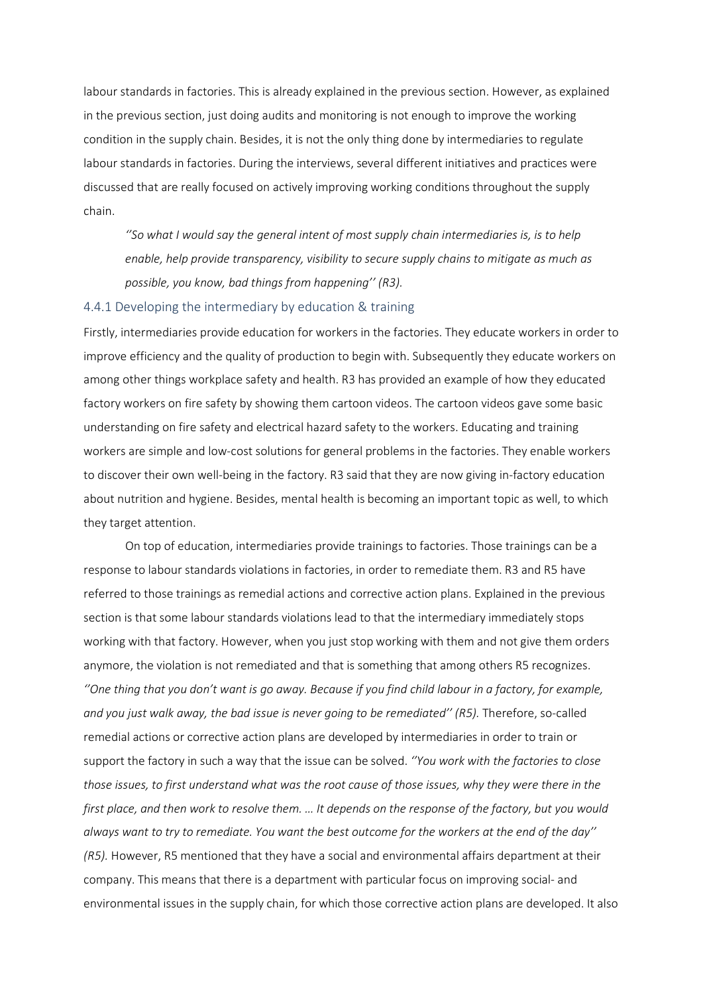labour standards in factories. This is already explained in the previous section. However, as explained in the previous section, just doing audits and monitoring is not enough to improve the working condition in the supply chain. Besides, it is not the only thing done by intermediaries to regulate labour standards in factories. During the interviews, several different initiatives and practices were discussed that are really focused on actively improving working conditions throughout the supply chain.

*''So what I would say the general intent of most supply chain intermediaries is, is to help enable, help provide transparency, visibility to secure supply chains to mitigate as much as possible, you know, bad things from happening'' (R3).* 

### 4.4.1 Developing the intermediary by education & training

Firstly, intermediaries provide education for workers in the factories. They educate workers in order to improve efficiency and the quality of production to begin with. Subsequently they educate workers on among other things workplace safety and health. R3 has provided an example of how they educated factory workers on fire safety by showing them cartoon videos. The cartoon videos gave some basic understanding on fire safety and electrical hazard safety to the workers. Educating and training workers are simple and low-cost solutions for general problems in the factories. They enable workers to discover their own well-being in the factory. R3 said that they are now giving in-factory education about nutrition and hygiene. Besides, mental health is becoming an important topic as well, to which they target attention.

On top of education, intermediaries provide trainings to factories. Those trainings can be a response to labour standards violations in factories, in order to remediate them. R3 and R5 have referred to those trainings as remedial actions and corrective action plans. Explained in the previous section is that some labour standards violations lead to that the intermediary immediately stops working with that factory. However, when you just stop working with them and not give them orders anymore, the violation is not remediated and that is something that among others R5 recognizes. *''One thing that you don't want is go away. Because if you find child labour in a factory, for example,*  and you just walk away, the bad issue is never going to be remediated" (R5). Therefore, so-called remedial actions or corrective action plans are developed by intermediaries in order to train or support the factory in such a way that the issue can be solved. *''You work with the factories to close those issues, to first understand what was the root cause of those issues, why they were there in the first place, and then work to resolve them. … It depends on the response of the factory, but you would always want to try to remediate. You want the best outcome for the workers at the end of the day'' (R5).* However, R5 mentioned that they have a social and environmental affairs department at their company. This means that there is a department with particular focus on improving social- and environmental issues in the supply chain, for which those corrective action plans are developed. It also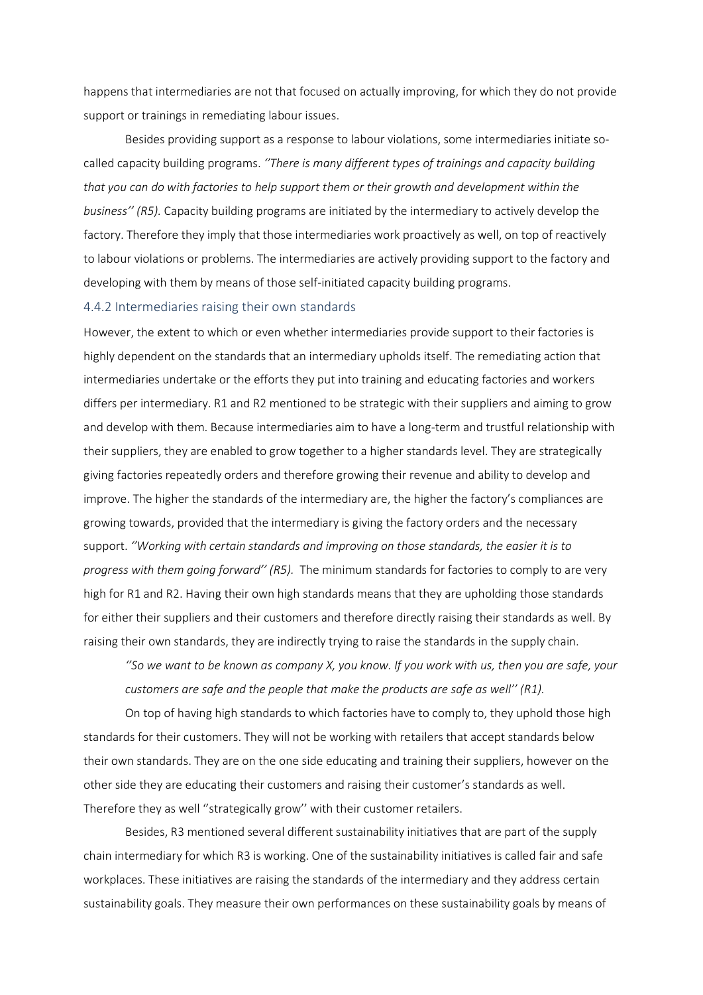happens that intermediaries are not that focused on actually improving, for which they do not provide support or trainings in remediating labour issues.

Besides providing support as a response to labour violations, some intermediaries initiate socalled capacity building programs. *''There is many different types of trainings and capacity building that you can do with factories to help support them or their growth and development within the business'' (R5).* Capacity building programs are initiated by the intermediary to actively develop the factory. Therefore they imply that those intermediaries work proactively as well, on top of reactively to labour violations or problems. The intermediaries are actively providing support to the factory and developing with them by means of those self-initiated capacity building programs.

### 4.4.2 Intermediaries raising their own standards

However, the extent to which or even whether intermediaries provide support to their factories is highly dependent on the standards that an intermediary upholds itself. The remediating action that intermediaries undertake or the efforts they put into training and educating factories and workers differs per intermediary. R1 and R2 mentioned to be strategic with their suppliers and aiming to grow and develop with them. Because intermediaries aim to have a long-term and trustful relationship with their suppliers, they are enabled to grow together to a higher standards level. They are strategically giving factories repeatedly orders and therefore growing their revenue and ability to develop and improve. The higher the standards of the intermediary are, the higher the factory's compliances are growing towards, provided that the intermediary is giving the factory orders and the necessary support. *''Working with certain standards and improving on those standards, the easier it is to progress with them going forward'' (R5).* The minimum standards for factories to comply to are very high for R1 and R2. Having their own high standards means that they are upholding those standards for either their suppliers and their customers and therefore directly raising their standards as well. By raising their own standards, they are indirectly trying to raise the standards in the supply chain.

*''So we want to be known as company X, you know. If you work with us, then you are safe, your customers are safe and the people that make the products are safe as well'' (R1).* 

On top of having high standards to which factories have to comply to, they uphold those high standards for their customers. They will not be working with retailers that accept standards below their own standards. They are on the one side educating and training their suppliers, however on the other side they are educating their customers and raising their customer's standards as well. Therefore they as well ''strategically grow'' with their customer retailers.

Besides, R3 mentioned several different sustainability initiatives that are part of the supply chain intermediary for which R3 is working. One of the sustainability initiatives is called fair and safe workplaces. These initiatives are raising the standards of the intermediary and they address certain sustainability goals. They measure their own performances on these sustainability goals by means of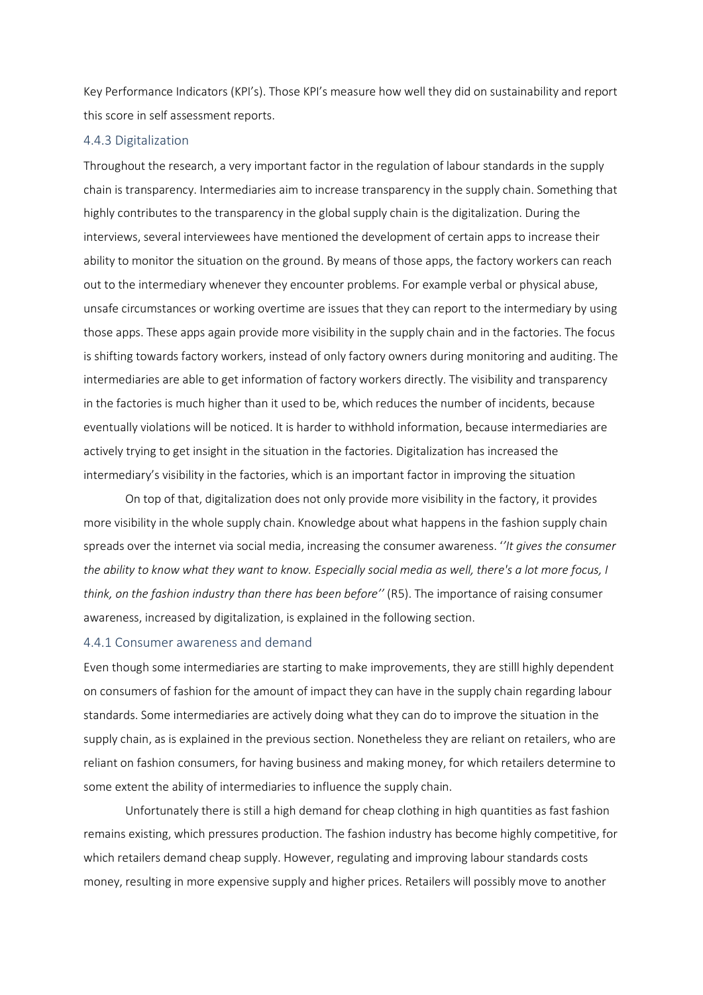Key Performance Indicators (KPI's). Those KPI's measure how well they did on sustainability and report this score in self assessment reports.

### 4.4.3 Digitalization

Throughout the research, a very important factor in the regulation of labour standards in the supply chain is transparency. Intermediaries aim to increase transparency in the supply chain. Something that highly contributes to the transparency in the global supply chain is the digitalization. During the interviews, several interviewees have mentioned the development of certain apps to increase their ability to monitor the situation on the ground. By means of those apps, the factory workers can reach out to the intermediary whenever they encounter problems. For example verbal or physical abuse, unsafe circumstances or working overtime are issues that they can report to the intermediary by using those apps. These apps again provide more visibility in the supply chain and in the factories. The focus is shifting towards factory workers, instead of only factory owners during monitoring and auditing. The intermediaries are able to get information of factory workers directly. The visibility and transparency in the factories is much higher than it used to be, which reduces the number of incidents, because eventually violations will be noticed. It is harder to withhold information, because intermediaries are actively trying to get insight in the situation in the factories. Digitalization has increased the intermediary's visibility in the factories, which is an important factor in improving the situation

On top of that, digitalization does not only provide more visibility in the factory, it provides more visibility in the whole supply chain. Knowledge about what happens in the fashion supply chain spreads over the internet via social media, increasing the consumer awareness. '*'It gives the consumer the ability to know what they want to know. Especially social media as well, there's a lot more focus, I think, on the fashion industry than there has been before''* (R5). The importance of raising consumer awareness, increased by digitalization, is explained in the following section.

### 4.4.1 Consumer awareness and demand

Even though some intermediaries are starting to make improvements, they are stilll highly dependent on consumers of fashion for the amount of impact they can have in the supply chain regarding labour standards. Some intermediaries are actively doing what they can do to improve the situation in the supply chain, as is explained in the previous section. Nonetheless they are reliant on retailers, who are reliant on fashion consumers, for having business and making money, for which retailers determine to some extent the ability of intermediaries to influence the supply chain.

Unfortunately there is still a high demand for cheap clothing in high quantities as fast fashion remains existing, which pressures production. The fashion industry has become highly competitive, for which retailers demand cheap supply. However, regulating and improving labour standards costs money, resulting in more expensive supply and higher prices. Retailers will possibly move to another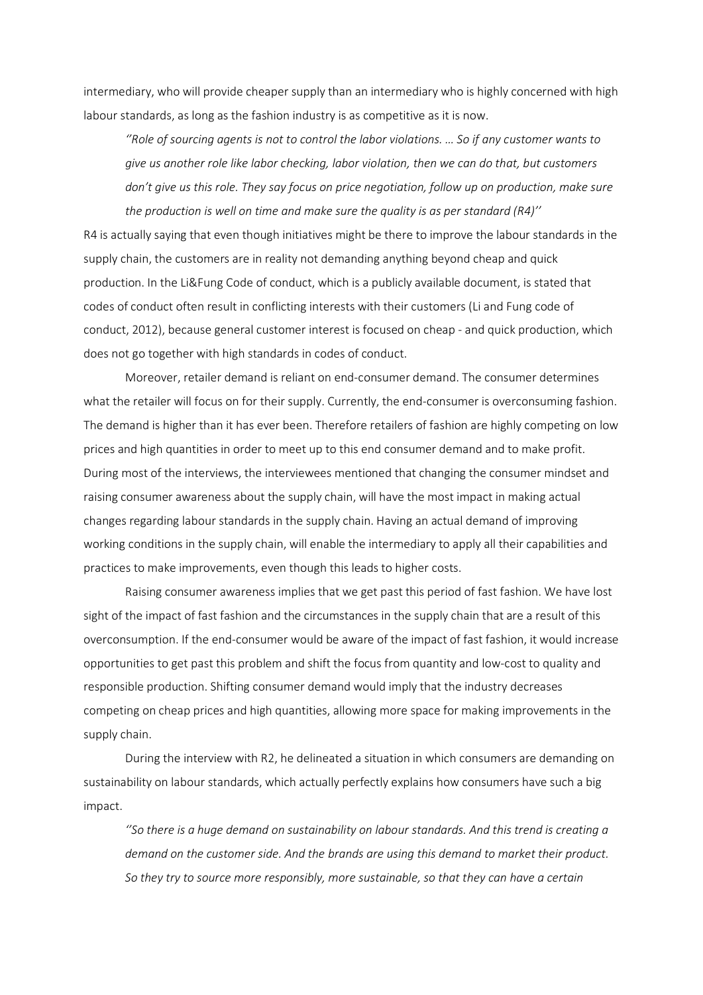intermediary, who will provide cheaper supply than an intermediary who is highly concerned with high labour standards, as long as the fashion industry is as competitive as it is now.

*''Role of sourcing agents is not to control the labor violations. … So if any customer wants to give us another role like labor checking, labor violation, then we can do that, but customers don't give us this role. They say focus on price negotiation, follow up on production, make sure the production is well on time and make sure the quality is as per standard (R4)''*

R4 is actually saying that even though initiatives might be there to improve the labour standards in the supply chain, the customers are in reality not demanding anything beyond cheap and quick production. In the Li&Fung Code of conduct, which is a publicly available document, is stated that codes of conduct often result in conflicting interests with their customers (Li and Fung code of conduct, 2012), because general customer interest is focused on cheap - and quick production, which does not go together with high standards in codes of conduct.

Moreover, retailer demand is reliant on end-consumer demand. The consumer determines what the retailer will focus on for their supply. Currently, the end-consumer is overconsuming fashion. The demand is higher than it has ever been. Therefore retailers of fashion are highly competing on low prices and high quantities in order to meet up to this end consumer demand and to make profit. During most of the interviews, the interviewees mentioned that changing the consumer mindset and raising consumer awareness about the supply chain, will have the most impact in making actual changes regarding labour standards in the supply chain. Having an actual demand of improving working conditions in the supply chain, will enable the intermediary to apply all their capabilities and practices to make improvements, even though this leads to higher costs.

Raising consumer awareness implies that we get past this period of fast fashion. We have lost sight of the impact of fast fashion and the circumstances in the supply chain that are a result of this overconsumption. If the end-consumer would be aware of the impact of fast fashion, it would increase opportunities to get past this problem and shift the focus from quantity and low-cost to quality and responsible production. Shifting consumer demand would imply that the industry decreases competing on cheap prices and high quantities, allowing more space for making improvements in the supply chain.

During the interview with R2, he delineated a situation in which consumers are demanding on sustainability on labour standards, which actually perfectly explains how consumers have such a big impact.

*''So there is a huge demand on sustainability on labour standards. And this trend is creating a demand on the customer side. And the brands are using this demand to market their product. So they try to source more responsibly, more sustainable, so that they can have a certain*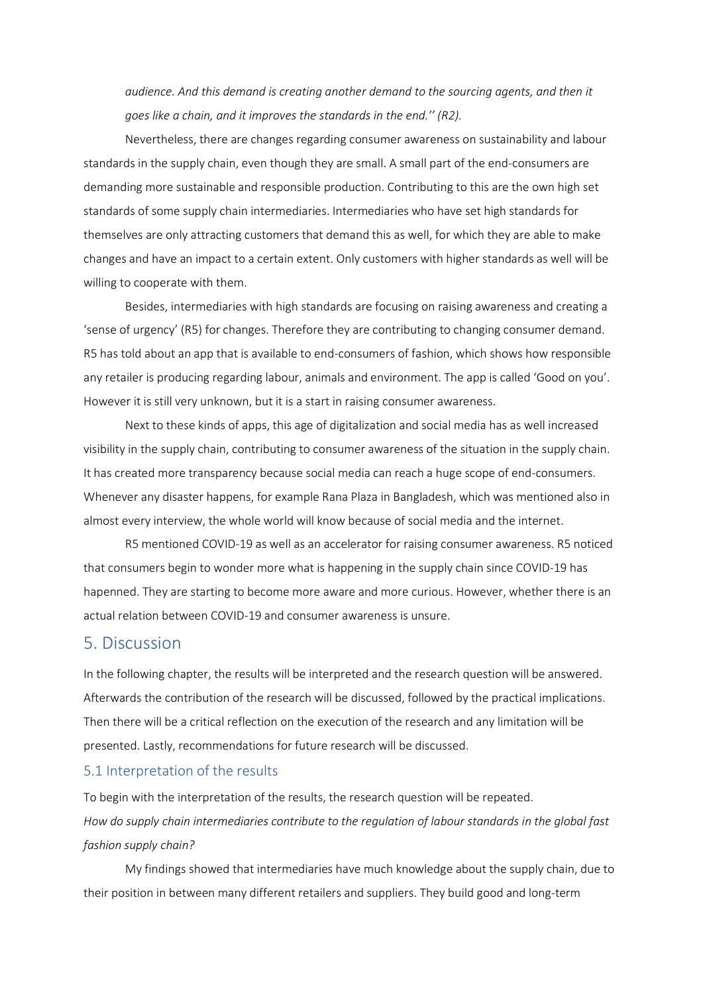*audience. And this demand is creating another demand to the sourcing agents, and then it goes like a chain, and it improves the standards in the end.'' (R2).* 

Nevertheless, there are changes regarding consumer awareness on sustainability and labour standards in the supply chain, even though they are small. A small part of the end-consumers are demanding more sustainable and responsible production. Contributing to this are the own high set standards of some supply chain intermediaries. Intermediaries who have set high standards for themselves are only attracting customers that demand this as well, for which they are able to make changes and have an impact to a certain extent. Only customers with higher standards as well will be willing to cooperate with them.

Besides, intermediaries with high standards are focusing on raising awareness and creating a 'sense of urgency' (R5) for changes. Therefore they are contributing to changing consumer demand. R5 has told about an app that is available to end-consumers of fashion, which shows how responsible any retailer is producing regarding labour, animals and environment. The app is called 'Good on you'. However it is still very unknown, but it is a start in raising consumer awareness.

Next to these kinds of apps, this age of digitalization and social media has as well increased visibility in the supply chain, contributing to consumer awareness of the situation in the supply chain. It has created more transparency because social media can reach a huge scope of end-consumers. Whenever any disaster happens, for example Rana Plaza in Bangladesh, which was mentioned also in almost every interview, the whole world will know because of social media and the internet.

R5 mentioned COVID-19 as well as an accelerator for raising consumer awareness. R5 noticed that consumers begin to wonder more what is happening in the supply chain since COVID-19 has hapenned. They are starting to become more aware and more curious. However, whether there is an actual relation between COVID-19 and consumer awareness is unsure.

### 5. Discussion

In the following chapter, the results will be interpreted and the research question will be answered. Afterwards the contribution of the research will be discussed, followed by the practical implications. Then there will be a critical reflection on the execution of the research and any limitation will be presented. Lastly, recommendations for future research will be discussed.

### 5.1 Interpretation of the results

To begin with the interpretation of the results, the research question will be repeated. *How do supply chain intermediaries contribute to the regulation of labour standards in the global fast fashion supply chain?*

My findings showed that intermediaries have much knowledge about the supply chain, due to their position in between many different retailers and suppliers. They build good and long-term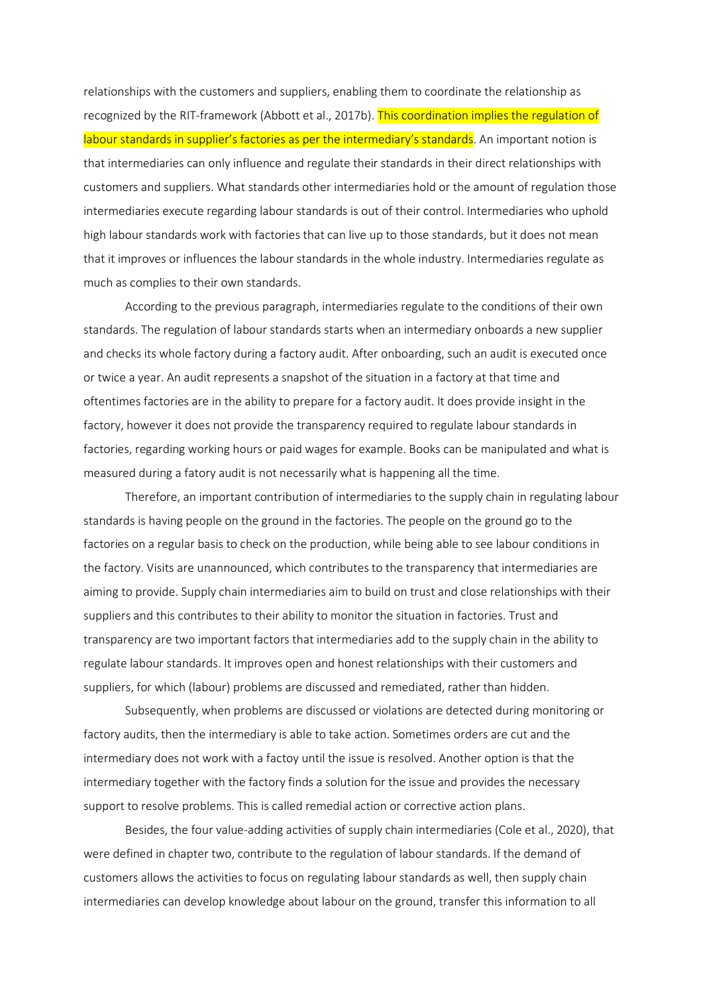relationships with the customers and suppliers, enabling them to coordinate the relationship as recognized by the RIT-framework (Abbott et al., 2017b). This coordination implies the regulation of labour standards in supplier's factories as per the intermediary's standards. An important notion is that intermediaries can only influence and regulate their standards in their direct relationships with customers and suppliers. What standards other intermediaries hold or the amount of regulation those intermediaries execute regarding labour standards is out of their control. Intermediaries who uphold high labour standards work with factories that can live up to those standards, but it does not mean that it improves or influences the labour standards in the whole industry. Intermediaries regulate as much as complies to their own standards.

According to the previous paragraph, intermediaries regulate to the conditions of their own standards. The regulation of labour standards starts when an intermediary onboards a new supplier and checks its whole factory during a factory audit. After onboarding, such an audit is executed once or twice a year. An audit represents a snapshot of the situation in a factory at that time and oftentimes factories are in the ability to prepare for a factory audit. It does provide insight in the factory, however it does not provide the transparency required to regulate labour standards in factories, regarding working hours or paid wages for example. Books can be manipulated and what is measured during a fatory audit is not necessarily what is happening all the time.

Therefore, an important contribution of intermediaries to the supply chain in regulating labour standards is having people on the ground in the factories. The people on the ground go to the factories on a regular basis to check on the production, while being able to see labour conditions in the factory. Visits are unannounced, which contributes to the transparency that intermediaries are aiming to provide. Supply chain intermediaries aim to build on trust and close relationships with their suppliers and this contributes to their ability to monitor the situation in factories. Trust and transparency are two important factors that intermediaries add to the supply chain in the ability to regulate labour standards. It improves open and honest relationships with their customers and suppliers, for which (labour) problems are discussed and remediated, rather than hidden.

Subsequently, when problems are discussed or violations are detected during monitoring or factory audits, then the intermediary is able to take action. Sometimes orders are cut and the intermediary does not work with a factoy until the issue is resolved. Another option is that the intermediary together with the factory finds a solution for the issue and provides the necessary support to resolve problems. This is called remedial action or corrective action plans.

Besides, the four value-adding activities of supply chain intermediaries (Cole et al., 2020), that were defined in chapter two, contribute to the regulation of labour standards. If the demand of customers allows the activities to focus on regulating labour standards as well, then supply chain intermediaries can develop knowledge about labour on the ground, transfer this information to all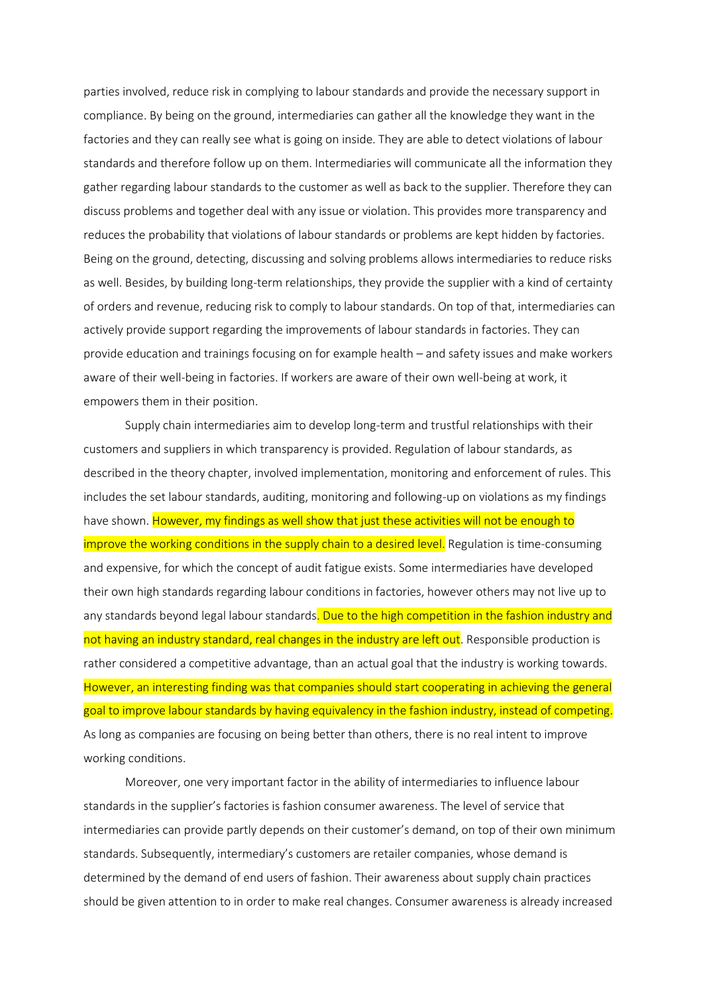parties involved, reduce risk in complying to labour standards and provide the necessary support in compliance. By being on the ground, intermediaries can gather all the knowledge they want in the factories and they can really see what is going on inside. They are able to detect violations of labour standards and therefore follow up on them. Intermediaries will communicate all the information they gather regarding labour standards to the customer as well as back to the supplier. Therefore they can discuss problems and together deal with any issue or violation. This provides more transparency and reduces the probability that violations of labour standards or problems are kept hidden by factories. Being on the ground, detecting, discussing and solving problems allows intermediaries to reduce risks as well. Besides, by building long-term relationships, they provide the supplier with a kind of certainty of orders and revenue, reducing risk to comply to labour standards. On top of that, intermediaries can actively provide support regarding the improvements of labour standards in factories. They can provide education and trainings focusing on for example health – and safety issues and make workers aware of their well-being in factories. If workers are aware of their own well-being at work, it empowers them in their position.

Supply chain intermediaries aim to develop long-term and trustful relationships with their customers and suppliers in which transparency is provided. Regulation of labour standards, as described in the theory chapter, involved implementation, monitoring and enforcement of rules. This includes the set labour standards, auditing, monitoring and following-up on violations as my findings have shown. However, my findings as well show that just these activities will not be enough to improve the working conditions in the supply chain to a desired level. Regulation is time-consuming and expensive, for which the concept of audit fatigue exists. Some intermediaries have developed their own high standards regarding labour conditions in factories, however others may not live up to any standards beyond legal labour standards. Due to the high competition in the fashion industry and not having an industry standard, real changes in the industry are left out. Responsible production is rather considered a competitive advantage, than an actual goal that the industry is working towards. However, an interesting finding was that companies should start cooperating in achieving the general goal to improve labour standards by having equivalency in the fashion industry, instead of competing. As long as companies are focusing on being better than others, there is no real intent to improve working conditions.

Moreover, one very important factor in the ability of intermediaries to influence labour standards in the supplier's factories is fashion consumer awareness. The level of service that intermediaries can provide partly depends on their customer's demand, on top of their own minimum standards. Subsequently, intermediary's customers are retailer companies, whose demand is determined by the demand of end users of fashion. Their awareness about supply chain practices should be given attention to in order to make real changes. Consumer awareness is already increased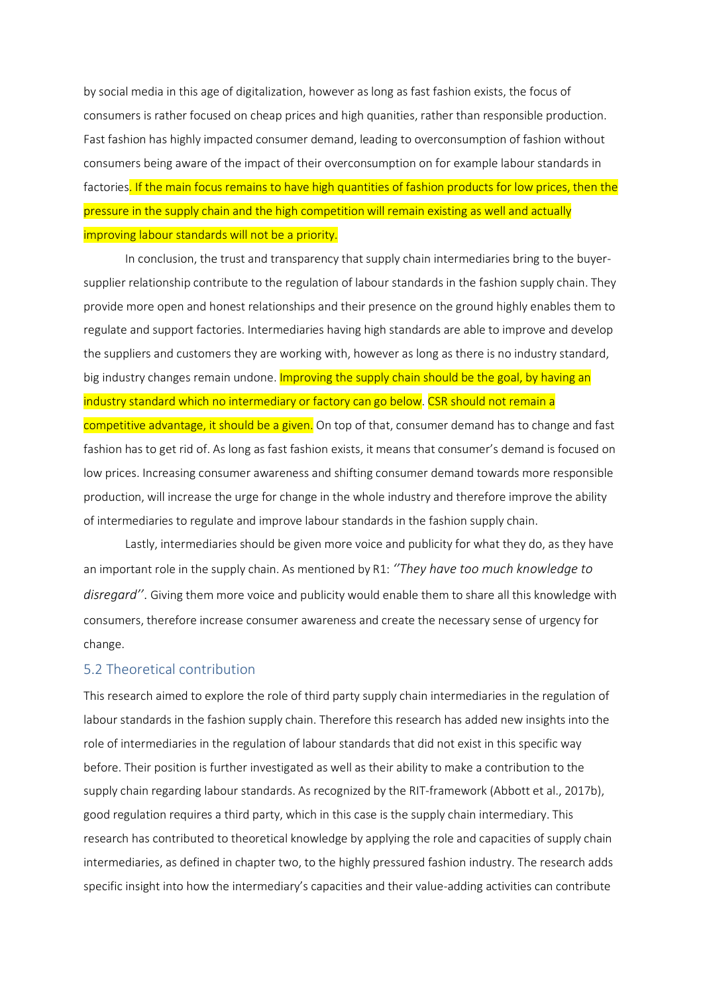by social media in this age of digitalization, however as long as fast fashion exists, the focus of consumers is rather focused on cheap prices and high quanities, rather than responsible production. Fast fashion has highly impacted consumer demand, leading to overconsumption of fashion without consumers being aware of the impact of their overconsumption on for example labour standards in factories. If the main focus remains to have high quantities of fashion products for low prices, then the pressure in the supply chain and the high competition will remain existing as well and actually improving labour standards will not be a priority.

In conclusion, the trust and transparency that supply chain intermediaries bring to the buyersupplier relationship contribute to the regulation of labour standards in the fashion supply chain. They provide more open and honest relationships and their presence on the ground highly enables them to regulate and support factories. Intermediaries having high standards are able to improve and develop the suppliers and customers they are working with, however as long as there is no industry standard, big industry changes remain undone. Improving the supply chain should be the goal, by having an industry standard which no intermediary or factory can go below. CSR should not remain a competitive advantage, it should be a given. On top of that, consumer demand has to change and fast fashion has to get rid of. As long as fast fashion exists, it means that consumer's demand is focused on low prices. Increasing consumer awareness and shifting consumer demand towards more responsible production, will increase the urge for change in the whole industry and therefore improve the ability of intermediaries to regulate and improve labour standards in the fashion supply chain.

Lastly, intermediaries should be given more voice and publicity for what they do, as they have an important role in the supply chain. As mentioned by R1: *''They have too much knowledge to disregard''*. Giving them more voice and publicity would enable them to share all this knowledge with consumers, therefore increase consumer awareness and create the necessary sense of urgency for change.

### 5.2 Theoretical contribution

This research aimed to explore the role of third party supply chain intermediaries in the regulation of labour standards in the fashion supply chain. Therefore this research has added new insights into the role of intermediaries in the regulation of labour standards that did not exist in this specific way before. Their position is further investigated as well as their ability to make a contribution to the supply chain regarding labour standards. As recognized by the RIT-framework (Abbott et al., 2017b), good regulation requires a third party, which in this case is the supply chain intermediary. This research has contributed to theoretical knowledge by applying the role and capacities of supply chain intermediaries, as defined in chapter two, to the highly pressured fashion industry. The research adds specific insight into how the intermediary's capacities and their value-adding activities can contribute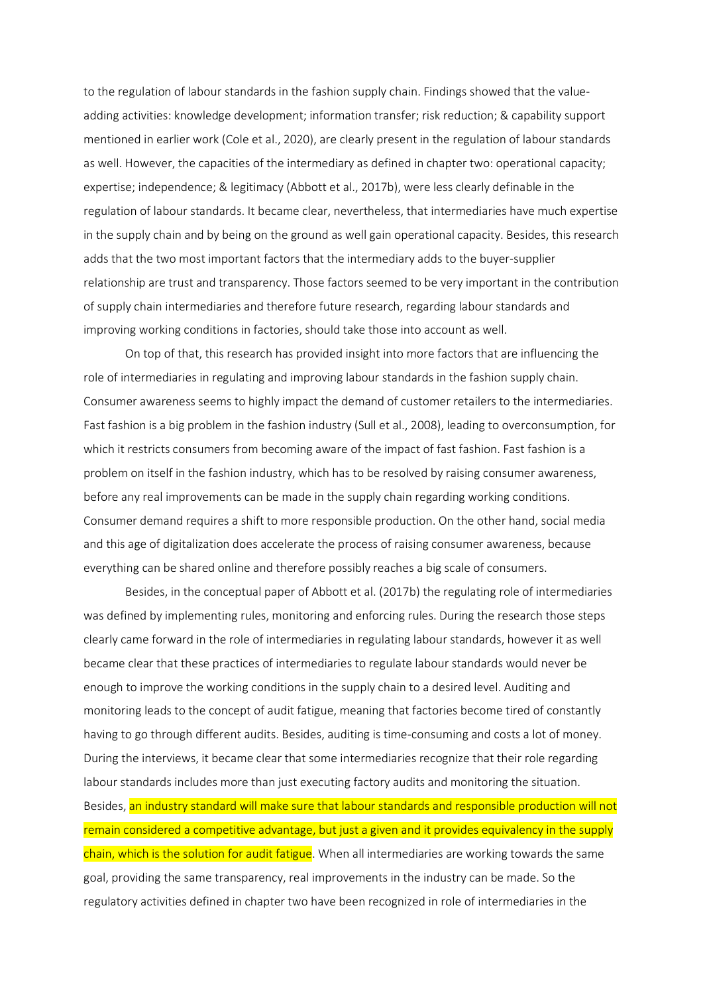to the regulation of labour standards in the fashion supply chain. Findings showed that the valueadding activities: knowledge development; information transfer; risk reduction; & capability support mentioned in earlier work (Cole et al., 2020), are clearly present in the regulation of labour standards as well. However, the capacities of the intermediary as defined in chapter two: operational capacity; expertise; independence; & legitimacy (Abbott et al., 2017b), were less clearly definable in the regulation of labour standards. It became clear, nevertheless, that intermediaries have much expertise in the supply chain and by being on the ground as well gain operational capacity. Besides, this research adds that the two most important factors that the intermediary adds to the buyer-supplier relationship are trust and transparency. Those factors seemed to be very important in the contribution of supply chain intermediaries and therefore future research, regarding labour standards and improving working conditions in factories, should take those into account as well.

On top of that, this research has provided insight into more factors that are influencing the role of intermediaries in regulating and improving labour standards in the fashion supply chain. Consumer awareness seems to highly impact the demand of customer retailers to the intermediaries. Fast fashion is a big problem in the fashion industry (Sull et al., 2008), leading to overconsumption, for which it restricts consumers from becoming aware of the impact of fast fashion. Fast fashion is a problem on itself in the fashion industry, which has to be resolved by raising consumer awareness, before any real improvements can be made in the supply chain regarding working conditions. Consumer demand requires a shift to more responsible production. On the other hand, social media and this age of digitalization does accelerate the process of raising consumer awareness, because everything can be shared online and therefore possibly reaches a big scale of consumers.

Besides, in the conceptual paper of Abbott et al. (2017b) the regulating role of intermediaries was defined by implementing rules, monitoring and enforcing rules. During the research those steps clearly came forward in the role of intermediaries in regulating labour standards, however it as well became clear that these practices of intermediaries to regulate labour standards would never be enough to improve the working conditions in the supply chain to a desired level. Auditing and monitoring leads to the concept of audit fatigue, meaning that factories become tired of constantly having to go through different audits. Besides, auditing is time-consuming and costs a lot of money. During the interviews, it became clear that some intermediaries recognize that their role regarding labour standards includes more than just executing factory audits and monitoring the situation. Besides, an industry standard will make sure that labour standards and responsible production will not remain considered a competitive advantage, but just a given and it provides equivalency in the supply chain, which is the solution for audit fatigue. When all intermediaries are working towards the same goal, providing the same transparency, real improvements in the industry can be made. So the regulatory activities defined in chapter two have been recognized in role of intermediaries in the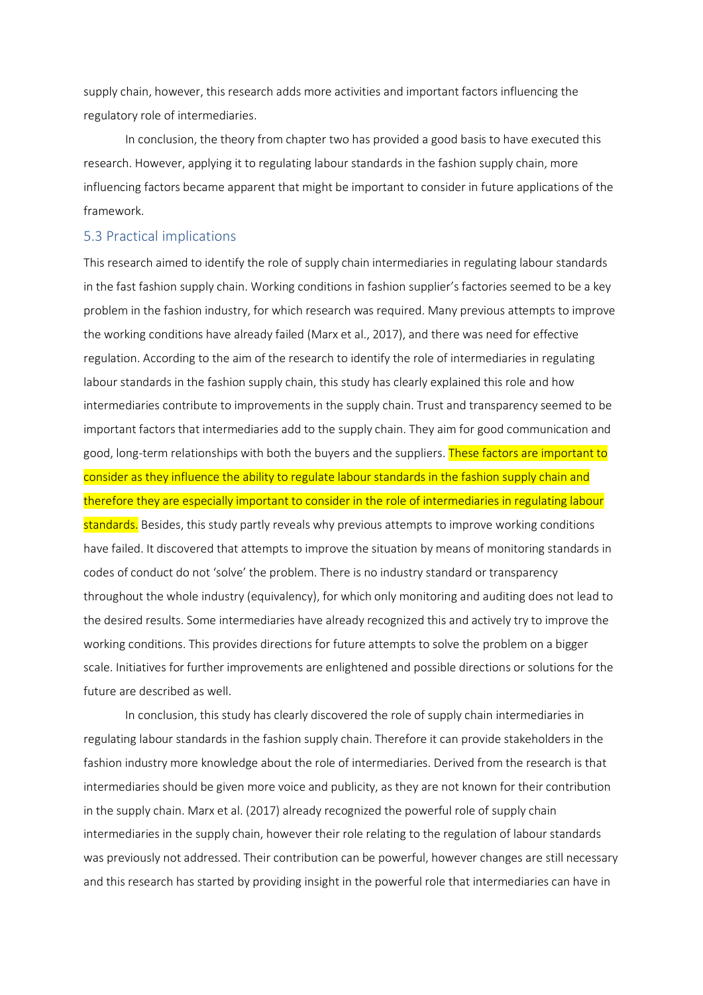supply chain, however, this research adds more activities and important factors influencing the regulatory role of intermediaries.

In conclusion, the theory from chapter two has provided a good basis to have executed this research. However, applying it to regulating labour standards in the fashion supply chain, more influencing factors became apparent that might be important to consider in future applications of the framework.

### 5.3 Practical implications

This research aimed to identify the role of supply chain intermediaries in regulating labour standards in the fast fashion supply chain. Working conditions in fashion supplier's factories seemed to be a key problem in the fashion industry, for which research was required. Many previous attempts to improve the working conditions have already failed (Marx et al., 2017), and there was need for effective regulation. According to the aim of the research to identify the role of intermediaries in regulating labour standards in the fashion supply chain, this study has clearly explained this role and how intermediaries contribute to improvements in the supply chain. Trust and transparency seemed to be important factors that intermediaries add to the supply chain. They aim for good communication and good, long-term relationships with both the buyers and the suppliers. These factors are important to consider as they influence the ability to regulate labour standards in the fashion supply chain and therefore they are especially important to consider in the role of intermediaries in regulating labour standards. Besides, this study partly reveals why previous attempts to improve working conditions have failed. It discovered that attempts to improve the situation by means of monitoring standards in codes of conduct do not 'solve' the problem. There is no industry standard or transparency throughout the whole industry (equivalency), for which only monitoring and auditing does not lead to the desired results. Some intermediaries have already recognized this and actively try to improve the working conditions. This provides directions for future attempts to solve the problem on a bigger scale. Initiatives for further improvements are enlightened and possible directions or solutions for the future are described as well.

In conclusion, this study has clearly discovered the role of supply chain intermediaries in regulating labour standards in the fashion supply chain. Therefore it can provide stakeholders in the fashion industry more knowledge about the role of intermediaries. Derived from the research is that intermediaries should be given more voice and publicity, as they are not known for their contribution in the supply chain. Marx et al. (2017) already recognized the powerful role of supply chain intermediaries in the supply chain, however their role relating to the regulation of labour standards was previously not addressed. Their contribution can be powerful, however changes are still necessary and this research has started by providing insight in the powerful role that intermediaries can have in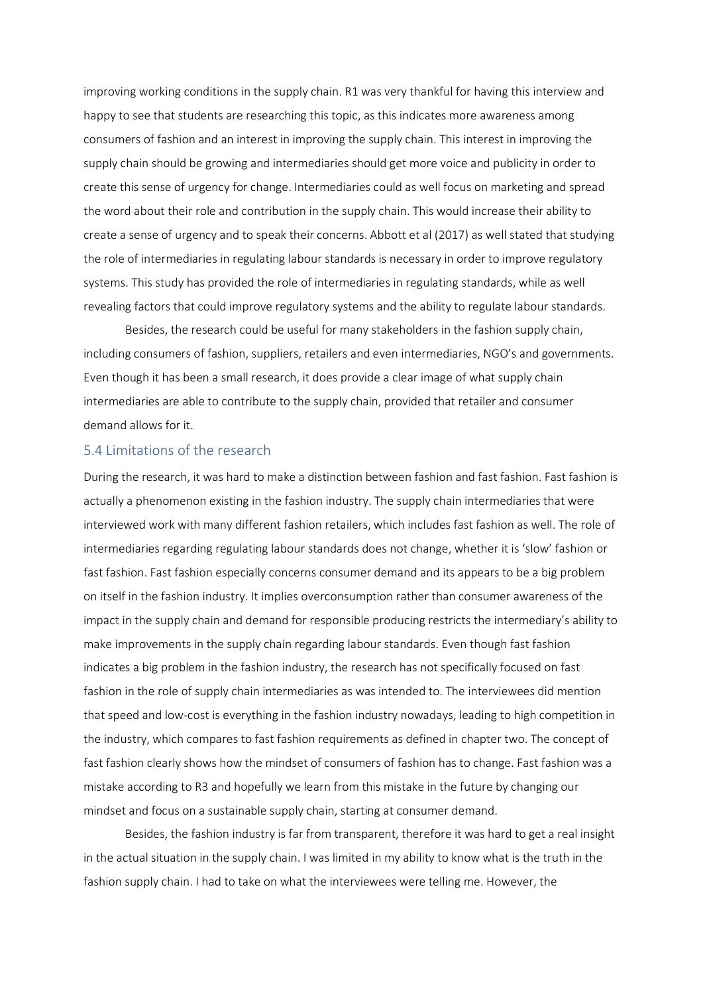improving working conditions in the supply chain. R1 was very thankful for having this interview and happy to see that students are researching this topic, as this indicates more awareness among consumers of fashion and an interest in improving the supply chain. This interest in improving the supply chain should be growing and intermediaries should get more voice and publicity in order to create this sense of urgency for change. Intermediaries could as well focus on marketing and spread the word about their role and contribution in the supply chain. This would increase their ability to create a sense of urgency and to speak their concerns. Abbott et al (2017) as well stated that studying the role of intermediaries in regulating labour standards is necessary in order to improve regulatory systems. This study has provided the role of intermediaries in regulating standards, while as well revealing factors that could improve regulatory systems and the ability to regulate labour standards.

Besides, the research could be useful for many stakeholders in the fashion supply chain, including consumers of fashion, suppliers, retailers and even intermediaries, NGO's and governments. Even though it has been a small research, it does provide a clear image of what supply chain intermediaries are able to contribute to the supply chain, provided that retailer and consumer demand allows for it.

### 5.4 Limitations of the research

During the research, it was hard to make a distinction between fashion and fast fashion. Fast fashion is actually a phenomenon existing in the fashion industry. The supply chain intermediaries that were interviewed work with many different fashion retailers, which includes fast fashion as well. The role of intermediaries regarding regulating labour standards does not change, whether it is 'slow' fashion or fast fashion. Fast fashion especially concerns consumer demand and its appears to be a big problem on itself in the fashion industry. It implies overconsumption rather than consumer awareness of the impact in the supply chain and demand for responsible producing restricts the intermediary's ability to make improvements in the supply chain regarding labour standards. Even though fast fashion indicates a big problem in the fashion industry, the research has not specifically focused on fast fashion in the role of supply chain intermediaries as was intended to. The interviewees did mention that speed and low-cost is everything in the fashion industry nowadays, leading to high competition in the industry, which compares to fast fashion requirements as defined in chapter two. The concept of fast fashion clearly shows how the mindset of consumers of fashion has to change. Fast fashion was a mistake according to R3 and hopefully we learn from this mistake in the future by changing our mindset and focus on a sustainable supply chain, starting at consumer demand.

Besides, the fashion industry is far from transparent, therefore it was hard to get a real insight in the actual situation in the supply chain. I was limited in my ability to know what is the truth in the fashion supply chain. I had to take on what the interviewees were telling me. However, the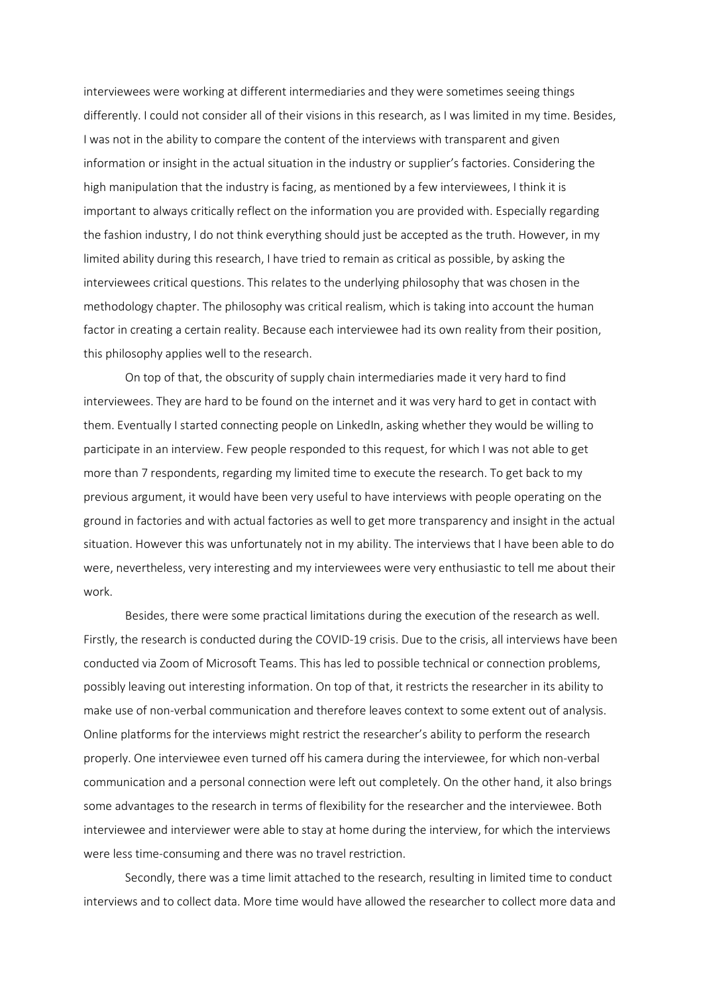interviewees were working at different intermediaries and they were sometimes seeing things differently. I could not consider all of their visions in this research, as I was limited in my time. Besides, I was not in the ability to compare the content of the interviews with transparent and given information or insight in the actual situation in the industry or supplier's factories. Considering the high manipulation that the industry is facing, as mentioned by a few interviewees, I think it is important to always critically reflect on the information you are provided with. Especially regarding the fashion industry, I do not think everything should just be accepted as the truth. However, in my limited ability during this research, I have tried to remain as critical as possible, by asking the interviewees critical questions. This relates to the underlying philosophy that was chosen in the methodology chapter. The philosophy was critical realism, which is taking into account the human factor in creating a certain reality. Because each interviewee had its own reality from their position, this philosophy applies well to the research.

On top of that, the obscurity of supply chain intermediaries made it very hard to find interviewees. They are hard to be found on the internet and it was very hard to get in contact with them. Eventually I started connecting people on LinkedIn, asking whether they would be willing to participate in an interview. Few people responded to this request, for which I was not able to get more than 7 respondents, regarding my limited time to execute the research. To get back to my previous argument, it would have been very useful to have interviews with people operating on the ground in factories and with actual factories as well to get more transparency and insight in the actual situation. However this was unfortunately not in my ability. The interviews that I have been able to do were, nevertheless, very interesting and my interviewees were very enthusiastic to tell me about their work.

Besides, there were some practical limitations during the execution of the research as well. Firstly, the research is conducted during the COVID-19 crisis. Due to the crisis, all interviews have been conducted via Zoom of Microsoft Teams. This has led to possible technical or connection problems, possibly leaving out interesting information. On top of that, it restricts the researcher in its ability to make use of non-verbal communication and therefore leaves context to some extent out of analysis. Online platforms for the interviews might restrict the researcher's ability to perform the research properly. One interviewee even turned off his camera during the interviewee, for which non-verbal communication and a personal connection were left out completely. On the other hand, it also brings some advantages to the research in terms of flexibility for the researcher and the interviewee. Both interviewee and interviewer were able to stay at home during the interview, for which the interviews were less time-consuming and there was no travel restriction.

Secondly, there was a time limit attached to the research, resulting in limited time to conduct interviews and to collect data. More time would have allowed the researcher to collect more data and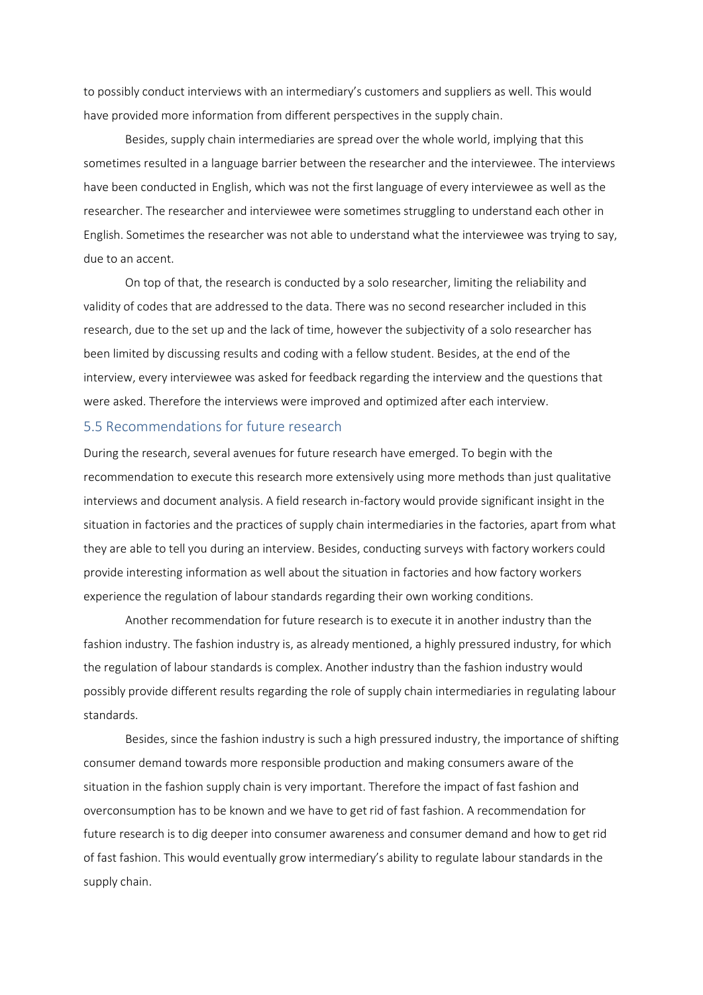to possibly conduct interviews with an intermediary's customers and suppliers as well. This would have provided more information from different perspectives in the supply chain.

Besides, supply chain intermediaries are spread over the whole world, implying that this sometimes resulted in a language barrier between the researcher and the interviewee. The interviews have been conducted in English, which was not the first language of every interviewee as well as the researcher. The researcher and interviewee were sometimes struggling to understand each other in English. Sometimes the researcher was not able to understand what the interviewee was trying to say, due to an accent.

On top of that, the research is conducted by a solo researcher, limiting the reliability and validity of codes that are addressed to the data. There was no second researcher included in this research, due to the set up and the lack of time, however the subjectivity of a solo researcher has been limited by discussing results and coding with a fellow student. Besides, at the end of the interview, every interviewee was asked for feedback regarding the interview and the questions that were asked. Therefore the interviews were improved and optimized after each interview.

### 5.5 Recommendations for future research

During the research, several avenues for future research have emerged. To begin with the recommendation to execute this research more extensively using more methods than just qualitative interviews and document analysis. A field research in-factory would provide significant insight in the situation in factories and the practices of supply chain intermediaries in the factories, apart from what they are able to tell you during an interview. Besides, conducting surveys with factory workers could provide interesting information as well about the situation in factories and how factory workers experience the regulation of labour standards regarding their own working conditions.

Another recommendation for future research is to execute it in another industry than the fashion industry. The fashion industry is, as already mentioned, a highly pressured industry, for which the regulation of labour standards is complex. Another industry than the fashion industry would possibly provide different results regarding the role of supply chain intermediaries in regulating labour standards.

Besides, since the fashion industry is such a high pressured industry, the importance of shifting consumer demand towards more responsible production and making consumers aware of the situation in the fashion supply chain is very important. Therefore the impact of fast fashion and overconsumption has to be known and we have to get rid of fast fashion. A recommendation for future research is to dig deeper into consumer awareness and consumer demand and how to get rid of fast fashion. This would eventually grow intermediary's ability to regulate labour standards in the supply chain.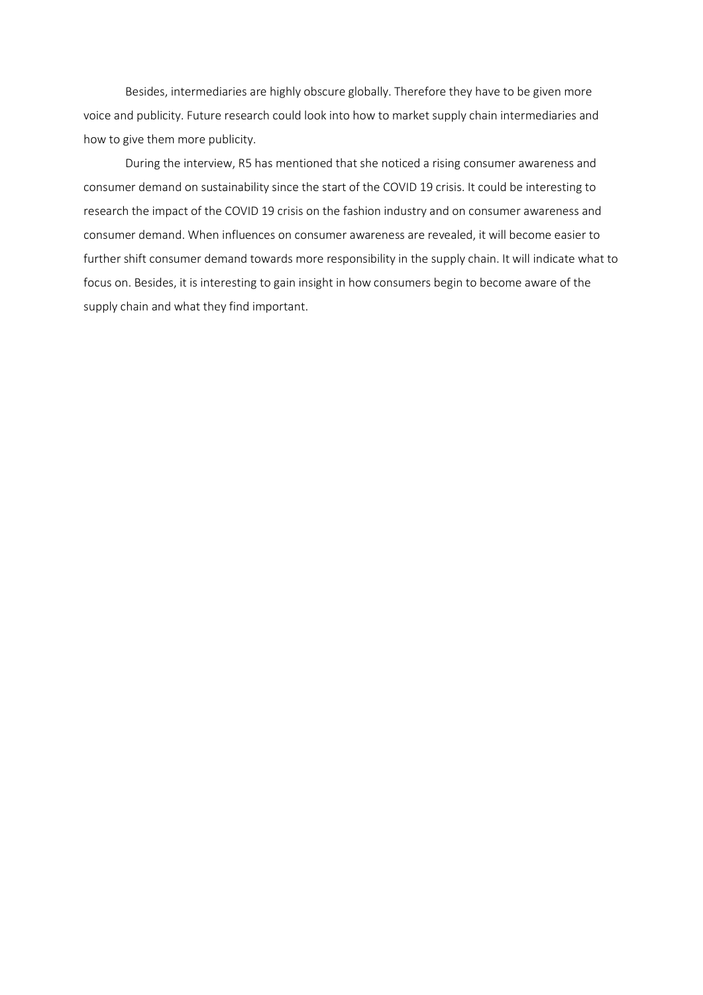Besides, intermediaries are highly obscure globally. Therefore they have to be given more voice and publicity. Future research could look into how to market supply chain intermediaries and how to give them more publicity.

During the interview, R5 has mentioned that she noticed a rising consumer awareness and consumer demand on sustainability since the start of the COVID 19 crisis. It could be interesting to research the impact of the COVID 19 crisis on the fashion industry and on consumer awareness and consumer demand. When influences on consumer awareness are revealed, it will become easier to further shift consumer demand towards more responsibility in the supply chain. It will indicate what to focus on. Besides, it is interesting to gain insight in how consumers begin to become aware of the supply chain and what they find important.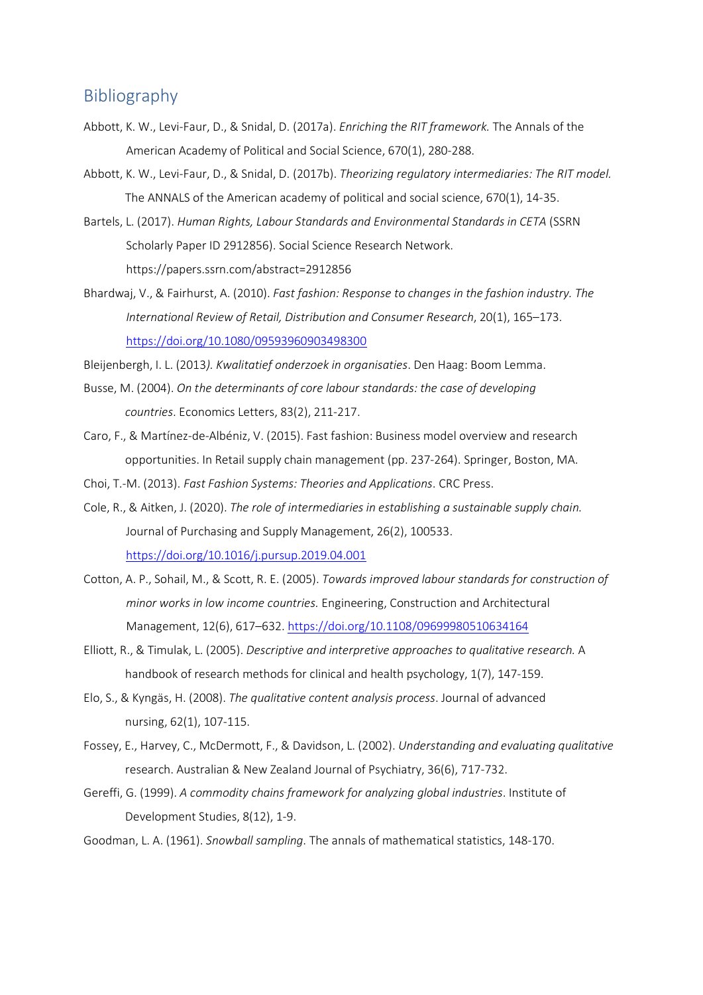### Bibliography

- Abbott, K. W., Levi-Faur, D., & Snidal, D. (2017a). *Enriching the RIT framework.* The Annals of the American Academy of Political and Social Science, 670(1), 280-288.
- Abbott, K. W., Levi-Faur, D., & Snidal, D. (2017b). *Theorizing regulatory intermediaries: The RIT model.* The ANNALS of the American academy of political and social science, 670(1), 14-35.
- Bartels, L. (2017). *Human Rights, Labour Standards and Environmental Standards in CETA* (SSRN Scholarly Paper ID 2912856). Social Science Research Network. https://papers.ssrn.com/abstract=2912856
- Bhardwaj, V., & Fairhurst, A. (2010). *Fast fashion: Response to changes in the fashion industry. The International Review of Retail, Distribution and Consumer Research*, 20(1), 165–173. <https://doi.org/10.1080/09593960903498300>

Bleijenbergh, I. L. (2013*). Kwalitatief onderzoek in organisaties*. Den Haag: Boom Lemma.

- Busse, M. (2004). *On the determinants of core labour standards: the case of developing countries*. Economics Letters, 83(2), 211-217.
- Caro, F., & Martínez-de-Albéniz, V. (2015). Fast fashion: Business model overview and research opportunities. In Retail supply chain management (pp. 237-264). Springer, Boston, MA.
- Choi, T.-M. (2013). *Fast Fashion Systems: Theories and Applications*. CRC Press.
- Cole, R., & Aitken, J. (2020). *The role of intermediaries in establishing a sustainable supply chain.* Journal of Purchasing and Supply Management, 26(2), 100533. <https://doi.org/10.1016/j.pursup.2019.04.001>
- Cotton, A. P., Sohail, M., & Scott, R. E. (2005). *Towards improved labour standards for construction of minor works in low income countries.* Engineering, Construction and Architectural Management, 12(6), 617–632.<https://doi.org/10.1108/09699980510634164>
- Elliott, R., & Timulak, L. (2005). *Descriptive and interpretive approaches to qualitative research.* A handbook of research methods for clinical and health psychology, 1(7), 147-159.
- Elo, S., & Kyngäs, H. (2008). *The qualitative content analysis process*. Journal of advanced nursing, 62(1), 107-115.
- Fossey, E., Harvey, C., McDermott, F., & Davidson, L. (2002). *Understanding and evaluating qualitative*  research. Australian & New Zealand Journal of Psychiatry, 36(6), 717-732.
- Gereffi, G. (1999). *A commodity chains framework for analyzing global industries*. Institute of Development Studies, 8(12), 1-9.
- Goodman, L. A. (1961). *Snowball sampling*. The annals of mathematical statistics, 148-170.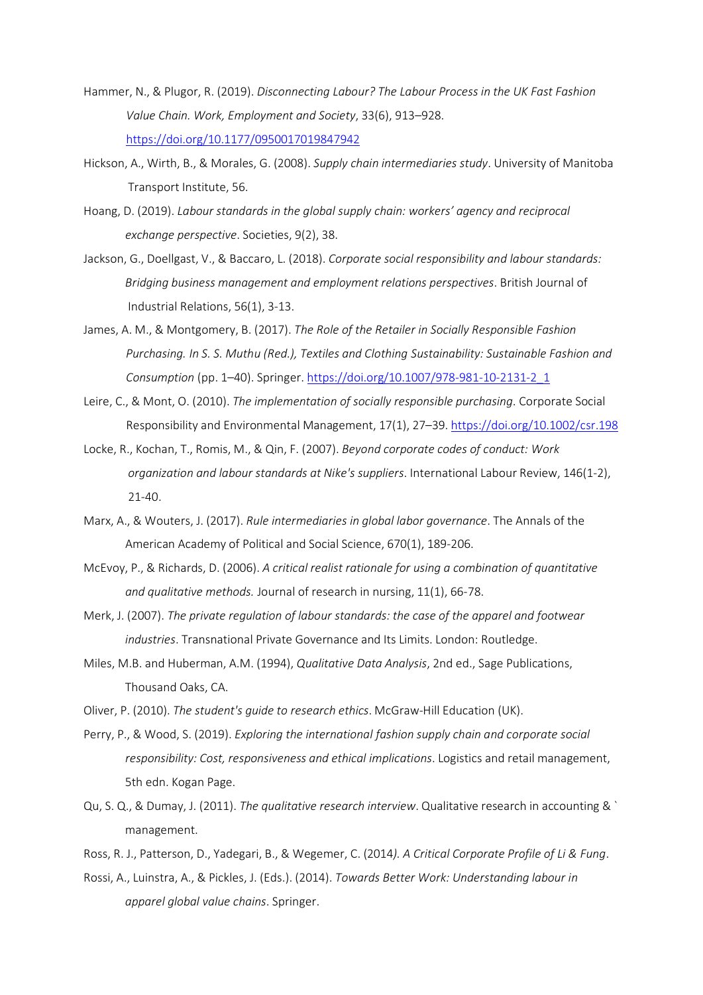- Hammer, N., & Plugor, R. (2019). *Disconnecting Labour? The Labour Process in the UK Fast Fashion Value Chain. Work, Employment and Society*, 33(6), 913–928. <https://doi.org/10.1177/0950017019847942>
- Hickson, A., Wirth, B., & Morales, G. (2008). *Supply chain intermediaries study*. University of Manitoba Transport Institute, 56.
- Hoang, D. (2019). *Labour standards in the global supply chain: workers' agency and reciprocal exchange perspective*. Societies, 9(2), 38.
- Jackson, G., Doellgast, V., & Baccaro, L. (2018). *Corporate social responsibility and labour standards: Bridging business management and employment relations perspectives*. British Journal of Industrial Relations, 56(1), 3-13.
- James, A. M., & Montgomery, B. (2017). *The Role of the Retailer in Socially Responsible Fashion Purchasing. In S. S. Muthu (Red.), Textiles and Clothing Sustainability: Sustainable Fashion and Consumption* (pp. 1–40). Springer. [https://doi.org/10.1007/978-981-10-2131-2\\_1](https://doi.org/10.1007/978-981-10-2131-2_1)
- Leire, C., & Mont, O. (2010). *The implementation of socially responsible purchasing*. Corporate Social Responsibility and Environmental Management, 17(1), 27–39.<https://doi.org/10.1002/csr.198>
- Locke, R., Kochan, T., Romis, M., & Qin, F. (2007). *Beyond corporate codes of conduct: Work organization and labour standards at Nike's suppliers*. International Labour Review, 146(1-2), 21-40.
- Marx, A., & Wouters, J. (2017). *Rule intermediaries in global labor governance*. The Annals of the American Academy of Political and Social Science, 670(1), 189-206.
- McEvoy, P., & Richards, D. (2006). *A critical realist rationale for using a combination of quantitative and qualitative methods.* Journal of research in nursing, 11(1), 66-78.
- Merk, J. (2007). *The private regulation of labour standards: the case of the apparel and footwear industries*. Transnational Private Governance and Its Limits. London: Routledge.
- Miles, M.B. and Huberman, A.M. (1994), *Qualitative Data Analysis*, 2nd ed., Sage Publications, Thousand Oaks, CA.
- Oliver, P. (2010). *The student's guide to research ethics*. McGraw-Hill Education (UK).
- Perry, P., & Wood, S. (2019). *Exploring the international fashion supply chain and corporate social responsibility: Cost, responsiveness and ethical implications*. Logistics and retail management, 5th edn. Kogan Page.
- Qu, S. Q., & Dumay, J. (2011). *The qualitative research interview*. Qualitative research in accounting & ` management.
- Ross, R. J., Patterson, D., Yadegari, B., & Wegemer, C. (2014*). A Critical Corporate Profile of Li & Fung*.
- Rossi, A., Luinstra, A., & Pickles, J. (Eds.). (2014). *Towards Better Work: Understanding labour in apparel global value chains*. Springer.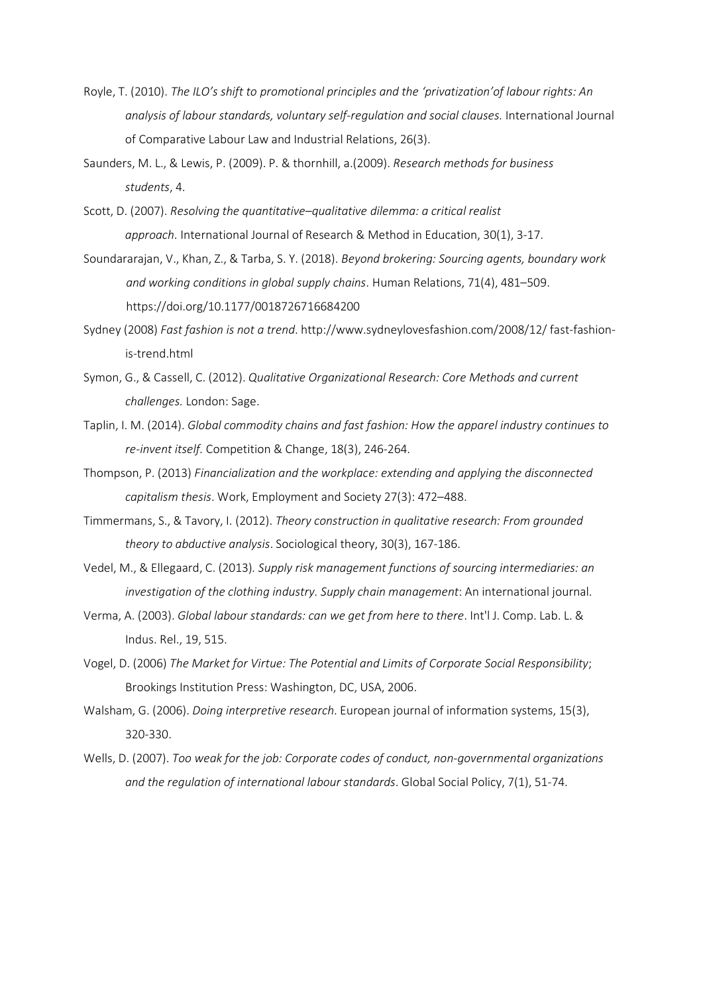- Royle, T. (2010). *The ILO's shift to promotional principles and the 'privatization'of labour rights: An analysis of labour standards, voluntary self-regulation and social clauses.* International Journal of Comparative Labour Law and Industrial Relations, 26(3).
- Saunders, M. L., & Lewis, P. (2009). P. & thornhill, a.(2009). *Research methods for business students*, 4.
- Scott, D. (2007). *Resolving the quantitative–qualitative dilemma: a critical realist approach*. International Journal of Research & Method in Education, 30(1), 3-17.
- Soundararajan, V., Khan, Z., & Tarba, S. Y. (2018). *Beyond brokering: Sourcing agents, boundary work and working conditions in global supply chains*. Human Relations, 71(4), 481–509. https://doi.org/10.1177/0018726716684200
- Sydney (2008) *Fast fashion is not a trend*. http://www.sydneylovesfashion.com/2008/12/ fast-fashionis-trend.html
- Symon, G., & Cassell, C. (2012). *Qualitative Organizational Research: Core Methods and current challenges.* London: Sage.
- Taplin, I. M. (2014). *Global commodity chains and fast fashion: How the apparel industry continues to re-invent itself.* Competition & Change, 18(3), 246-264.
- Thompson, P. (2013) *Financialization and the workplace: extending and applying the disconnected capitalism thesis*. Work, Employment and Society 27(3): 472–488.
- Timmermans, S., & Tavory, I. (2012). *Theory construction in qualitative research: From grounded theory to abductive analysis*. Sociological theory, 30(3), 167-186.
- Vedel, M., & Ellegaard, C. (2013)*. Supply risk management functions of sourcing intermediaries: an investigation of the clothing industry. Supply chain management*: An international journal.
- Verma, A. (2003). *Global labour standards: can we get from here to there*. Int'l J. Comp. Lab. L. & Indus. Rel., 19, 515.
- Vogel, D. (2006) *The Market for Virtue: The Potential and Limits of Corporate Social Responsibility*; Brookings Institution Press: Washington, DC, USA, 2006.
- Walsham, G. (2006). *Doing interpretive research*. European journal of information systems, 15(3), 320-330.
- Wells, D. (2007). *Too weak for the job: Corporate codes of conduct, non-governmental organizations and the regulation of international labour standards*. Global Social Policy, 7(1), 51-74.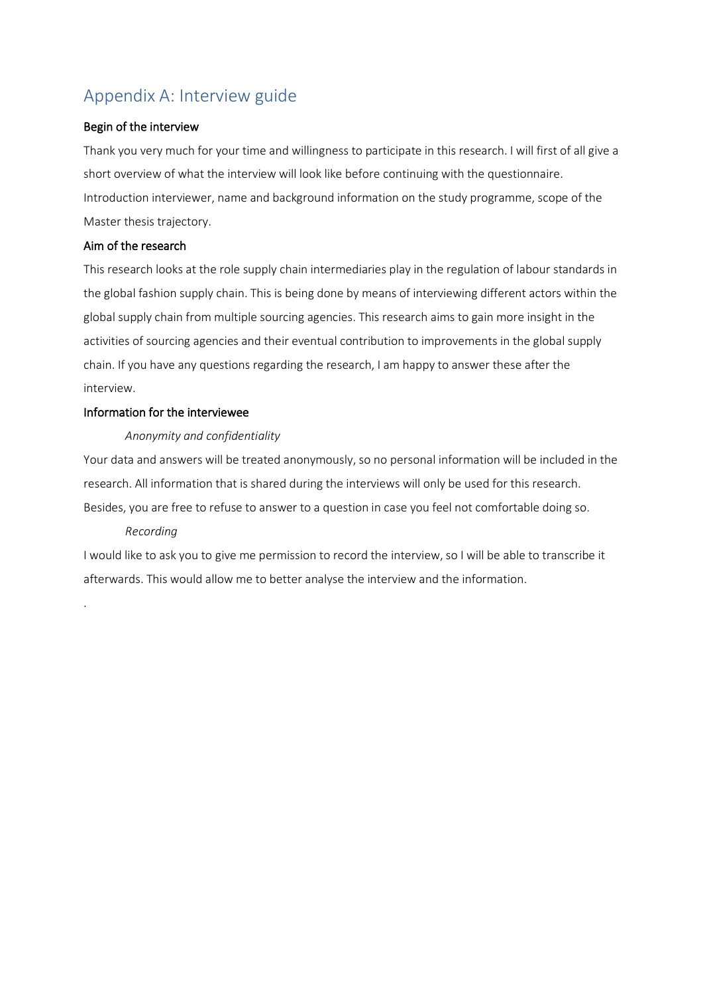## Appendix A: Interview guide

### Begin of the interview

Thank you very much for your time and willingness to participate in this research. I will first of all give a short overview of what the interview will look like before continuing with the questionnaire. Introduction interviewer, name and background information on the study programme, scope of the Master thesis trajectory.

### Aim of the research

This research looks at the role supply chain intermediaries play in the regulation of labour standards in the global fashion supply chain. This is being done by means of interviewing different actors within the global supply chain from multiple sourcing agencies. This research aims to gain more insight in the activities of sourcing agencies and their eventual contribution to improvements in the global supply chain. If you have any questions regarding the research, I am happy to answer these after the interview.

### Information for the interviewee

### *Anonymity and confidentiality*

Your data and answers will be treated anonymously, so no personal information will be included in the research. All information that is shared during the interviews will only be used for this research. Besides, you are free to refuse to answer to a question in case you feel not comfortable doing so.

### *Recording*

.

I would like to ask you to give me permission to record the interview, so I will be able to transcribe it afterwards. This would allow me to better analyse the interview and the information.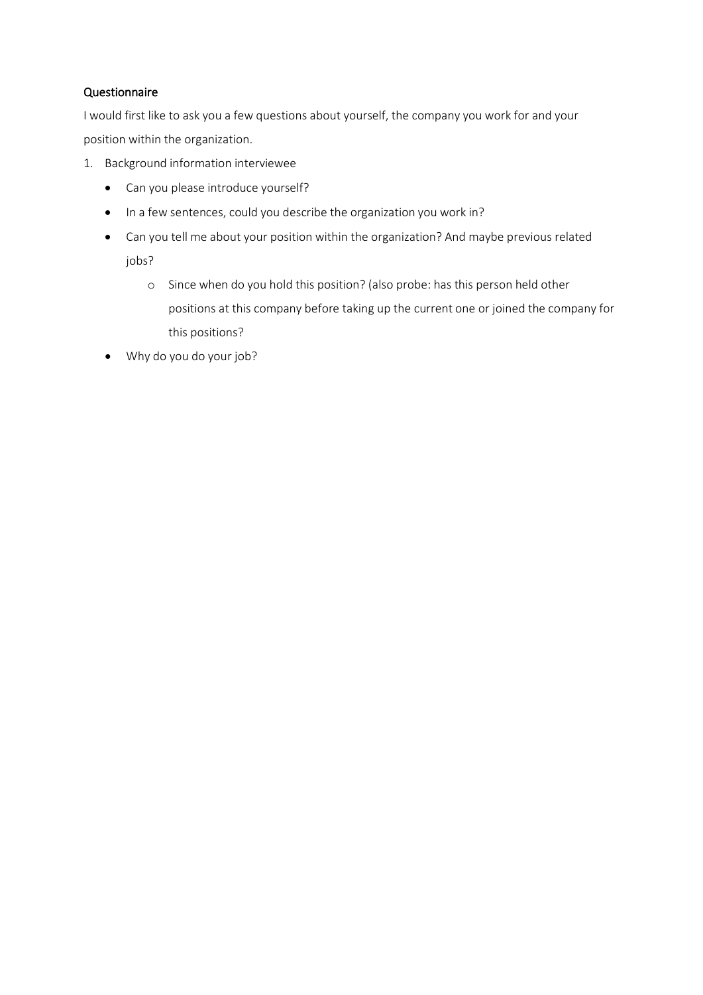### Questionnaire

I would first like to ask you a few questions about yourself, the company you work for and your position within the organization.

- 1. Background information interviewee
	- Can you please introduce yourself?
	- In a few sentences, could you describe the organization you work in?
	- Can you tell me about your position within the organization? And maybe previous related jobs?
		- o Since when do you hold this position? (also probe: has this person held other positions at this company before taking up the current one or joined the company for this positions?
	- Why do you do your job?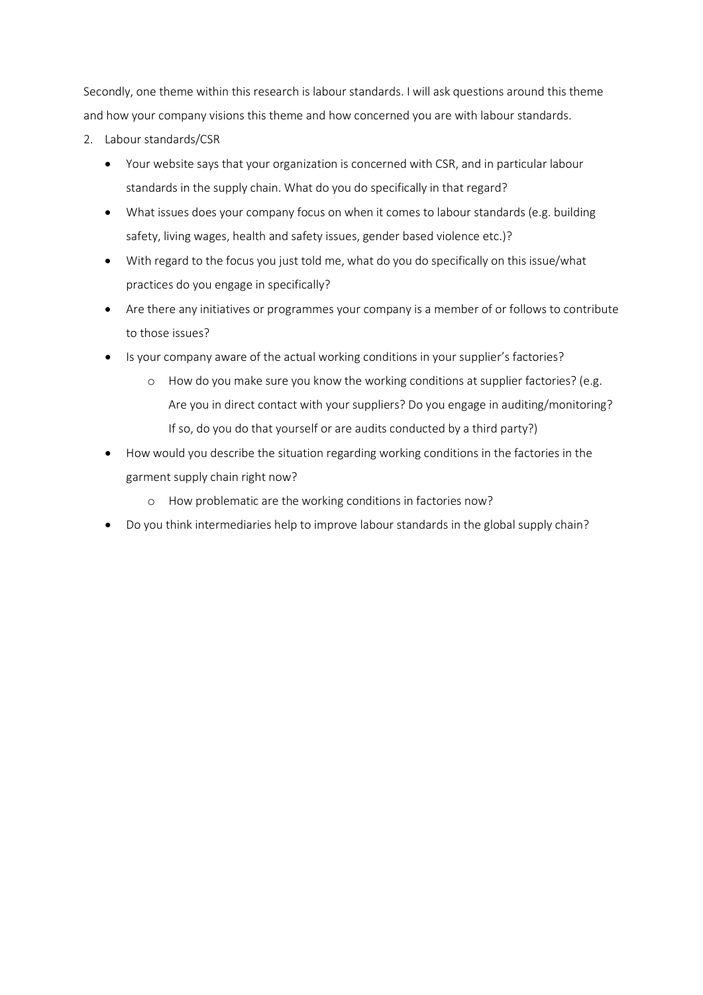Secondly, one theme within this research is labour standards. I will ask questions around this theme and how your company visions this theme and how concerned you are with labour standards.

- 2. Labour standards/CSR
	- Your website says that your organization is concerned with CSR, and in particular labour standards in the supply chain. What do you do specifically in that regard?
	- What issues does your company focus on when it comes to labour standards (e.g. building safety, living wages, health and safety issues, gender based violence etc.)?
	- With regard to the focus you just told me, what do you do specifically on this issue/what practices do you engage in specifically?
	- Are there any initiatives or programmes your company is a member of or follows to contribute to those issues?
	- Is your company aware of the actual working conditions in your supplier's factories?
		- o How do you make sure you know the working conditions at supplier factories? (e.g. Are you in direct contact with your suppliers? Do you engage in auditing/monitoring? If so, do you do that yourself or are audits conducted by a third party?)
	- How would you describe the situation regarding working conditions in the factories in the garment supply chain right now?
		- o How problematic are the working conditions in factories now?
	- Do you think intermediaries help to improve labour standards in the global supply chain?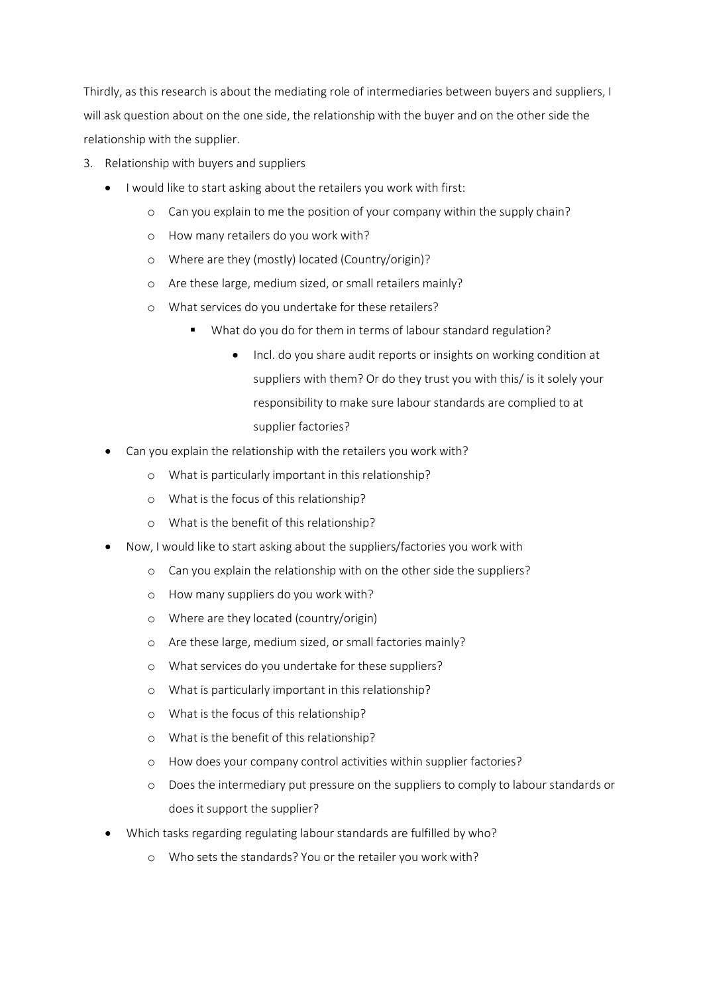Thirdly, as this research is about the mediating role of intermediaries between buyers and suppliers, I will ask question about on the one side, the relationship with the buyer and on the other side the relationship with the supplier.

- 3. Relationship with buyers and suppliers
	- I would like to start asking about the retailers you work with first:
		- o Can you explain to me the position of your company within the supply chain?
		- o How many retailers do you work with?
		- o Where are they (mostly) located (Country/origin)?
		- o Are these large, medium sized, or small retailers mainly?
		- o What services do you undertake for these retailers?
			- What do you do for them in terms of labour standard regulation?
				- Incl. do you share audit reports or insights on working condition at suppliers with them? Or do they trust you with this/ is it solely your responsibility to make sure labour standards are complied to at supplier factories?
	- Can you explain the relationship with the retailers you work with?
		- o What is particularly important in this relationship?
		- o What is the focus of this relationship?
		- o What is the benefit of this relationship?
	- Now, I would like to start asking about the suppliers/factories you work with
		- o Can you explain the relationship with on the other side the suppliers?
		- o How many suppliers do you work with?
		- o Where are they located (country/origin)
		- o Are these large, medium sized, or small factories mainly?
		- o What services do you undertake for these suppliers?
		- o What is particularly important in this relationship?
		- o What is the focus of this relationship?
		- o What is the benefit of this relationship?
		- o How does your company control activities within supplier factories?
		- o Does the intermediary put pressure on the suppliers to comply to labour standards or does it support the supplier?
	- Which tasks regarding regulating labour standards are fulfilled by who?
		- o Who sets the standards? You or the retailer you work with?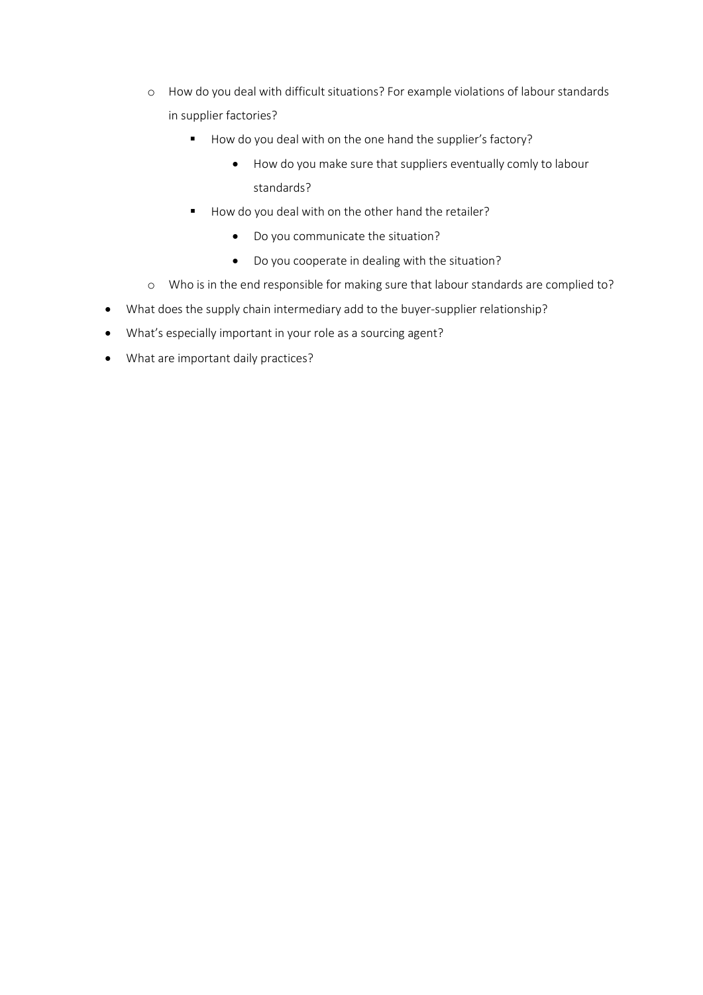- o How do you deal with difficult situations? For example violations of labour standards in supplier factories?
	- How do you deal with on the one hand the supplier's factory?
		- How do you make sure that suppliers eventually comly to labour standards?
	- How do you deal with on the other hand the retailer?
		- Do you communicate the situation?
		- Do you cooperate in dealing with the situation?
- o Who is in the end responsible for making sure that labour standards are complied to?
- What does the supply chain intermediary add to the buyer-supplier relationship?
- What's especially important in your role as a sourcing agent?
- What are important daily practices?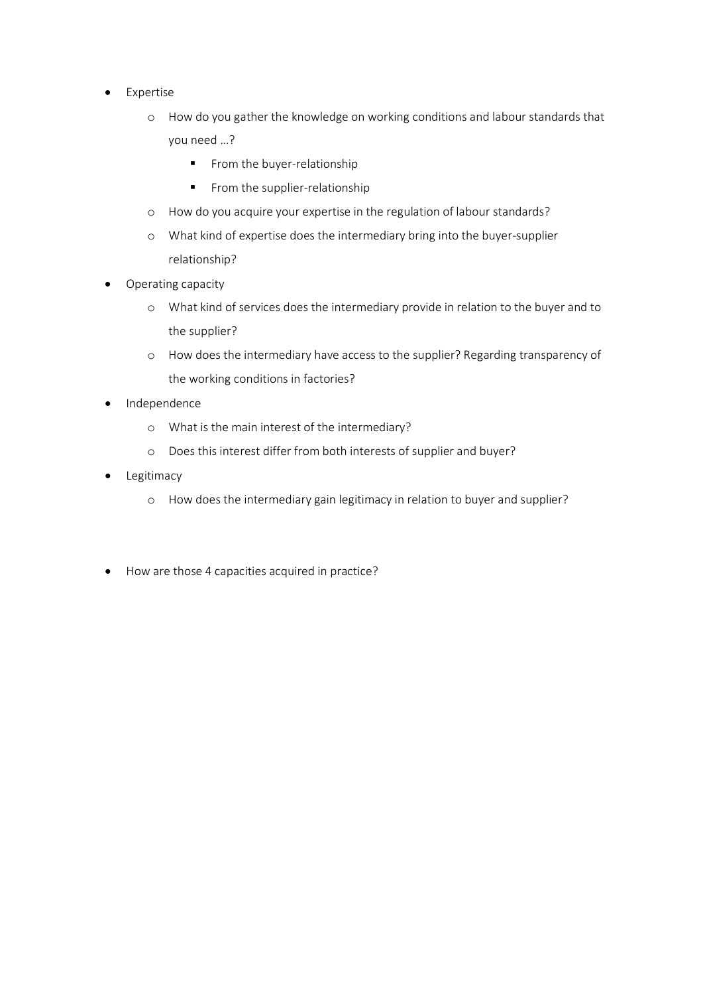- Expertise
	- o How do you gather the knowledge on working conditions and labour standards that you need …?
		- From the buyer-relationship
		- From the supplier-relationship
	- o How do you acquire your expertise in the regulation of labour standards?
	- o What kind of expertise does the intermediary bring into the buyer-supplier relationship?
- Operating capacity
	- o What kind of services does the intermediary provide in relation to the buyer and to the supplier?
	- o How does the intermediary have access to the supplier? Regarding transparency of the working conditions in factories?
- Independence
	- o What is the main interest of the intermediary?
	- o Does this interest differ from both interests of supplier and buyer?
- Legitimacy
	- o How does the intermediary gain legitimacy in relation to buyer and supplier?
- How are those 4 capacities acquired in practice?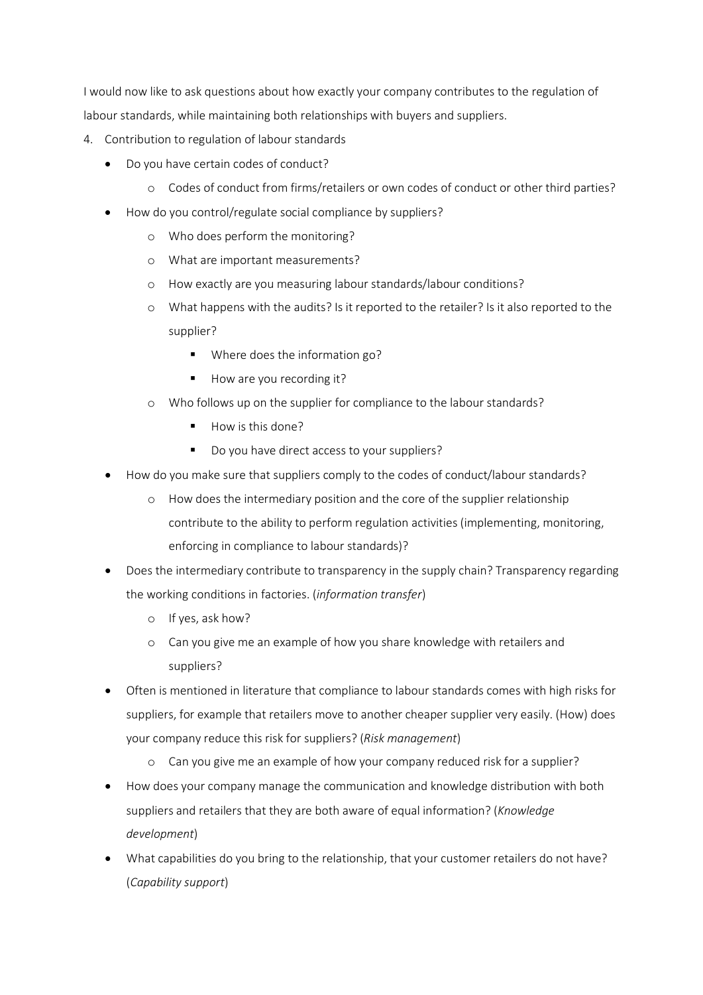I would now like to ask questions about how exactly your company contributes to the regulation of labour standards, while maintaining both relationships with buyers and suppliers.

- 4. Contribution to regulation of labour standards
	- Do you have certain codes of conduct?
		- o Codes of conduct from firms/retailers or own codes of conduct or other third parties?
	- How do you control/regulate social compliance by suppliers?
		- o Who does perform the monitoring?
		- o What are important measurements?
		- o How exactly are you measuring labour standards/labour conditions?
		- o What happens with the audits? Is it reported to the retailer? Is it also reported to the supplier?
			- **Where does the information go?**
			- How are you recording it?
		- o Who follows up on the supplier for compliance to the labour standards?
			- How is this done?
			- Do you have direct access to your suppliers?
	- How do you make sure that suppliers comply to the codes of conduct/labour standards?
		- o How does the intermediary position and the core of the supplier relationship contribute to the ability to perform regulation activities (implementing, monitoring, enforcing in compliance to labour standards)?
	- Does the intermediary contribute to transparency in the supply chain? Transparency regarding the working conditions in factories. (*information transfer*)
		- o If yes, ask how?
		- o Can you give me an example of how you share knowledge with retailers and suppliers?
	- Often is mentioned in literature that compliance to labour standards comes with high risks for suppliers, for example that retailers move to another cheaper supplier very easily. (How) does your company reduce this risk for suppliers? (*Risk management*)
		- o Can you give me an example of how your company reduced risk for a supplier?
	- How does your company manage the communication and knowledge distribution with both suppliers and retailers that they are both aware of equal information? (*Knowledge development*)
	- What capabilities do you bring to the relationship, that your customer retailers do not have? (*Capability support*)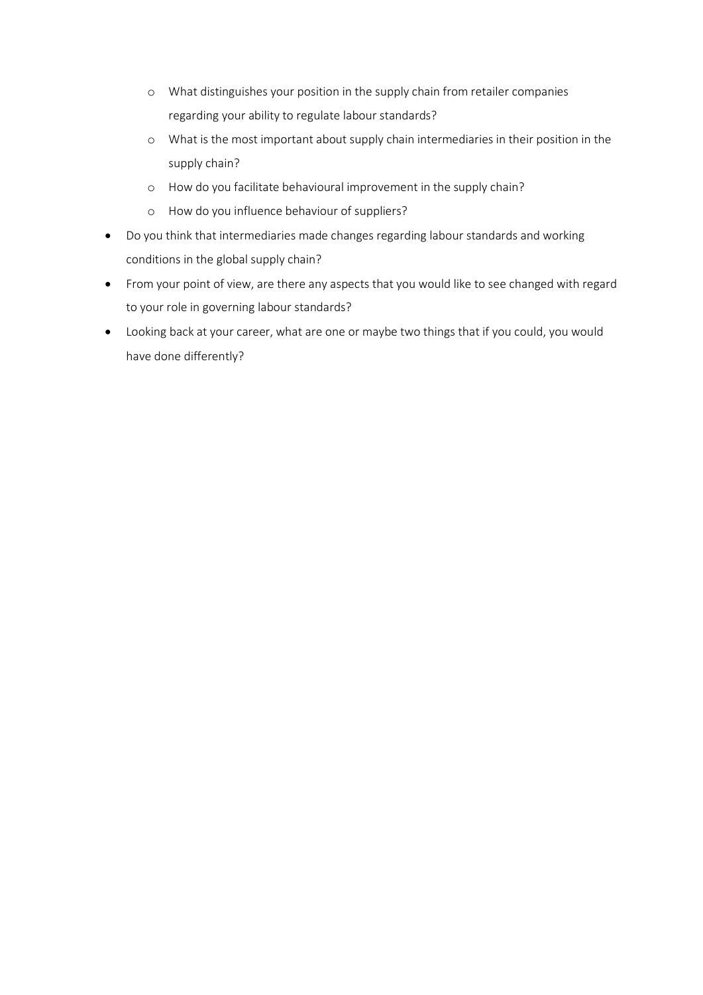- o What distinguishes your position in the supply chain from retailer companies regarding your ability to regulate labour standards?
- o What is the most important about supply chain intermediaries in their position in the supply chain?
- o How do you facilitate behavioural improvement in the supply chain?
- o How do you influence behaviour of suppliers?
- Do you think that intermediaries made changes regarding labour standards and working conditions in the global supply chain?
- From your point of view, are there any aspects that you would like to see changed with regard to your role in governing labour standards?
- Looking back at your career, what are one or maybe two things that if you could, you would have done differently?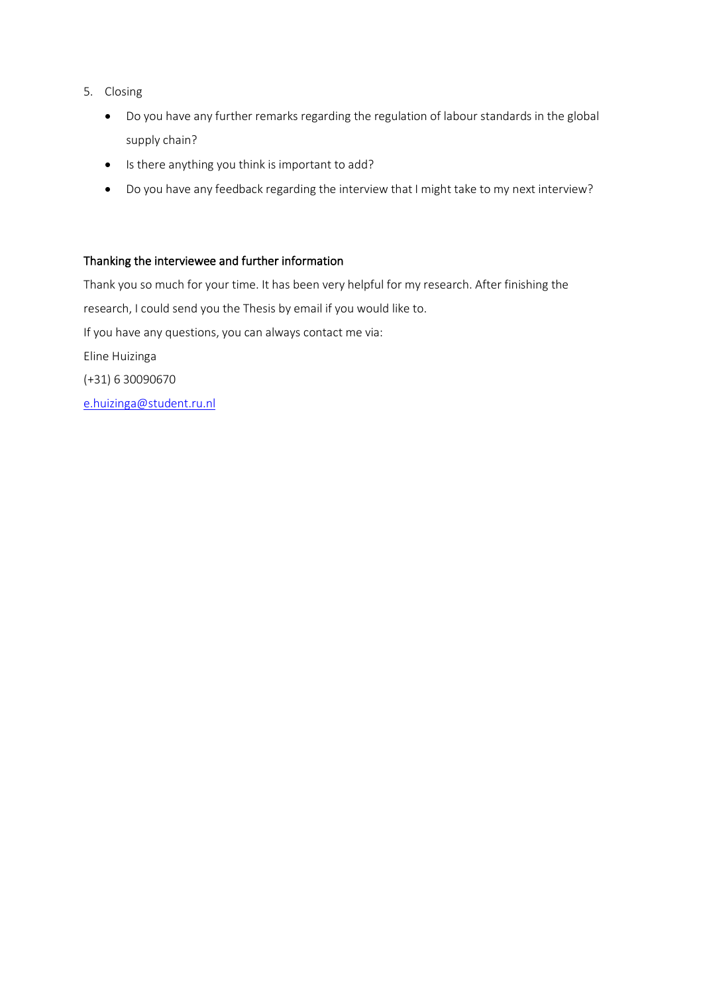- 5. Closing
	- Do you have any further remarks regarding the regulation of labour standards in the global supply chain?
	- Is there anything you think is important to add?
	- Do you have any feedback regarding the interview that I might take to my next interview?

### Thanking the interviewee and further information

Thank you so much for your time. It has been very helpful for my research. After finishing the research, I could send you the Thesis by email if you would like to. If you have any questions, you can always contact me via: Eline Huizinga (+31) 6 30090670 [e.huizinga@student.ru.nl](mailto:e.huizinga@student.ru.nl)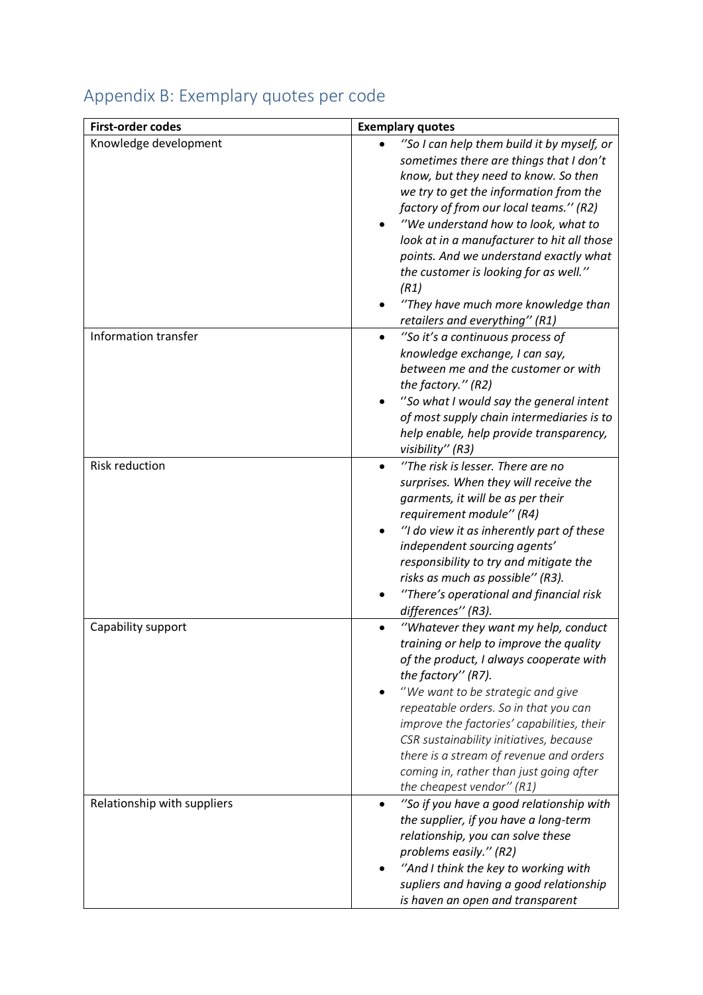| <b>First-order codes</b>    | <b>Exemplary quotes</b>                                                                                                                                                                                                                                                                                                                                                                                                                                                    |
|-----------------------------|----------------------------------------------------------------------------------------------------------------------------------------------------------------------------------------------------------------------------------------------------------------------------------------------------------------------------------------------------------------------------------------------------------------------------------------------------------------------------|
| Knowledge development       | "So I can help them build it by myself, or<br>sometimes there are things that I don't<br>know, but they need to know. So then<br>we try to get the information from the<br>factory of from our local teams." (R2)<br>"We understand how to look, what to<br>look at in a manufacturer to hit all those<br>points. And we understand exactly what<br>the customer is looking for as well."<br>(R1)<br>"They have much more knowledge than<br>retailers and everything" (R1) |
| Information transfer        | "So it's a continuous process of<br>knowledge exchange, I can say,<br>between me and the customer or with<br>the factory." (R2)<br>"So what I would say the general intent<br>of most supply chain intermediaries is to<br>help enable, help provide transparency,<br>visibility" (R3)                                                                                                                                                                                     |
| <b>Risk reduction</b>       | "The risk is lesser. There are no<br>surprises. When they will receive the<br>garments, it will be as per their<br>requirement module" (R4)<br>"I do view it as inherently part of these<br>independent sourcing agents'<br>responsibility to try and mitigate the<br>risks as much as possible" (R3).<br>"There's operational and financial risk<br>differences" (R3).                                                                                                    |
| Capability support          | "Whatever they want my help, conduct<br>training or help to improve the quality<br>of the product, I always cooperate with<br>the factory" (R7).<br>"We want to be strategic and give<br>repeatable orders. So in that you can<br>improve the factories' capabilities, their<br>CSR sustainability initiatives, because<br>there is a stream of revenue and orders<br>coming in, rather than just going after<br>the cheapest vendor" $(R1)$                               |
| Relationship with suppliers | "So if you have a good relationship with<br>the supplier, if you have a long-term<br>relationship, you can solve these<br>problems easily." (R2)<br>"And I think the key to working with<br>supliers and having a good relationship<br>is haven an open and transparent                                                                                                                                                                                                    |

# Appendix B: Exemplary quotes per code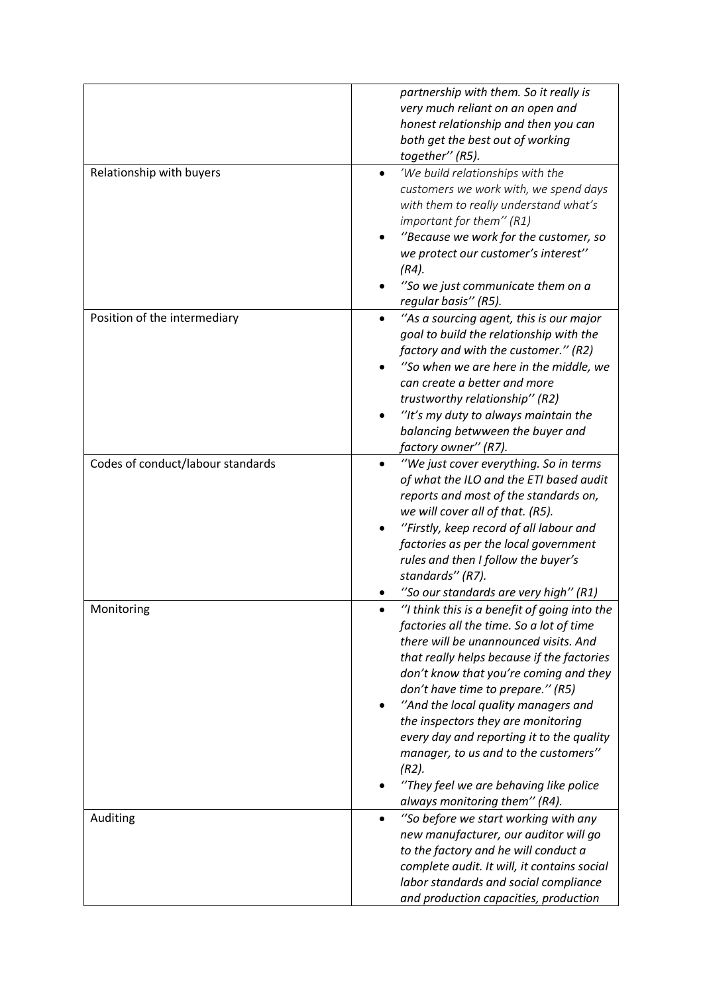|                                   | partnership with them. So it really is        |
|-----------------------------------|-----------------------------------------------|
|                                   | very much reliant on an open and              |
|                                   | honest relationship and then you can          |
|                                   | both get the best out of working              |
|                                   | together" (R5).                               |
| Relationship with buyers          | 'We build relationships with the<br>$\bullet$ |
|                                   | customers we work with, we spend days         |
|                                   | with them to really understand what's         |
|                                   | important for them" (R1)                      |
|                                   | "Because we work for the customer, so         |
|                                   | we protect our customer's interest"           |
|                                   |                                               |
|                                   | (R4).                                         |
|                                   | "So we just communicate them on a             |
|                                   | regular basis" (R5).                          |
| Position of the intermediary      | "As a sourcing agent, this is our major       |
|                                   | goal to build the relationship with the       |
|                                   | factory and with the customer." (R2)          |
|                                   | "So when we are here in the middle, we        |
|                                   | can create a better and more                  |
|                                   | trustworthy relationship" (R2)                |
|                                   | "It's my duty to always maintain the          |
|                                   | balancing betwween the buyer and              |
|                                   | factory owner'' (R7).                         |
| Codes of conduct/labour standards | "We just cover everything. So in terms        |
|                                   | of what the ILO and the ETI based audit       |
|                                   | reports and most of the standards on,         |
|                                   | we will cover all of that. (R5).              |
|                                   | "Firstly, keep record of all labour and       |
|                                   | factories as per the local government         |
|                                   | rules and then I follow the buyer's           |
|                                   | standards" (R7).                              |
|                                   | "So our standards are very high" (R1)         |
| Monitoring                        | "I think this is a benefit of going into the  |
|                                   | factories all the time. So a lot of time      |
|                                   | there will be unannounced visits. And         |
|                                   | that really helps because if the factories    |
|                                   | don't know that you're coming and they        |
|                                   | don't have time to prepare." (R5)             |
|                                   | "And the local quality managers and           |
|                                   | the inspectors they are monitoring            |
|                                   | every day and reporting it to the quality     |
|                                   | manager, to us and to the customers"          |
|                                   | $(R2)$ .                                      |
|                                   | "They feel we are behaving like police        |
|                                   | always monitoring them" (R4).                 |
| Auditing                          | "So before we start working with any          |
|                                   | new manufacturer, our auditor will go         |
|                                   | to the factory and he will conduct a          |
|                                   | complete audit. It will, it contains social   |
|                                   | labor standards and social compliance         |
|                                   | and production capacities, production         |
|                                   |                                               |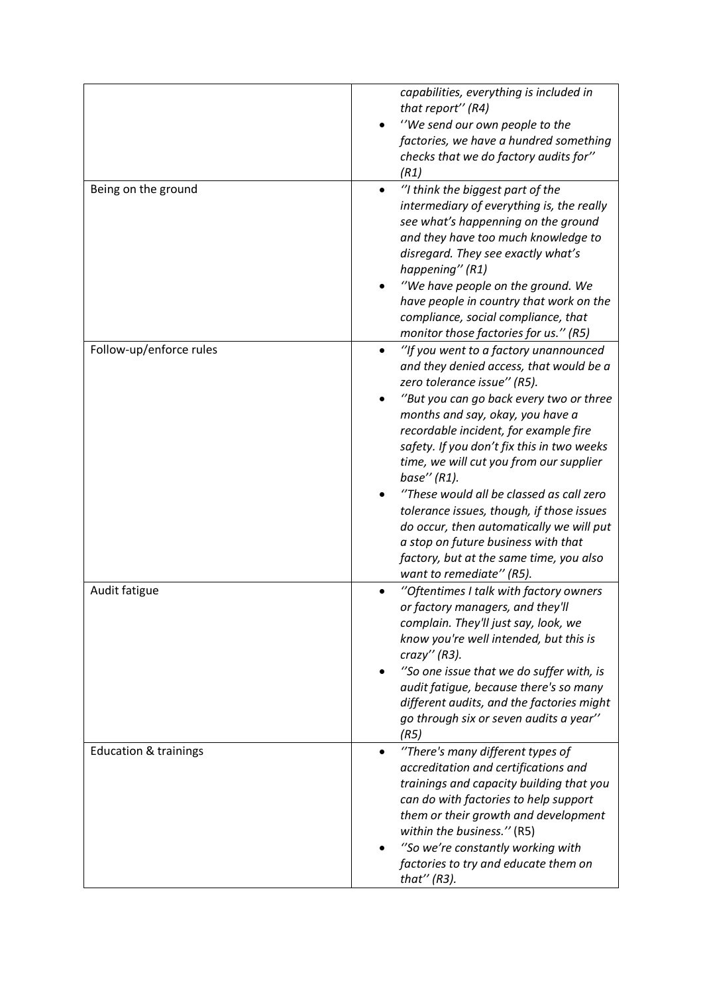|                                  | capabilities, everything is included in<br>that report" (R4)<br>"We send our own people to the<br>factories, we have a hundred something<br>checks that we do factory audits for"<br>(R1)                                                                                                                                                                                                                                                                                                                                                                                                             |
|----------------------------------|-------------------------------------------------------------------------------------------------------------------------------------------------------------------------------------------------------------------------------------------------------------------------------------------------------------------------------------------------------------------------------------------------------------------------------------------------------------------------------------------------------------------------------------------------------------------------------------------------------|
| Being on the ground              | "I think the biggest part of the<br>intermediary of everything is, the really<br>see what's happenning on the ground<br>and they have too much knowledge to<br>disregard. They see exactly what's<br>happening" (R1)<br>"We have people on the ground. We<br>have people in country that work on the<br>compliance, social compliance, that<br>monitor those factories for us." (R5)                                                                                                                                                                                                                  |
| Follow-up/enforce rules          | "If you went to a factory unannounced<br>and they denied access, that would be a<br>zero tolerance issue" (R5).<br>"But you can go back every two or three<br>months and say, okay, you have a<br>recordable incident, for example fire<br>safety. If you don't fix this in two weeks<br>time, we will cut you from our supplier<br>base" $(R1)$ .<br>"These would all be classed as call zero<br>tolerance issues, though, if those issues<br>do occur, then automatically we will put<br>a stop on future business with that<br>factory, but at the same time, you also<br>want to remediate" (R5). |
| Audit fatigue                    | "Oftentimes I talk with factory owners<br>or factory managers, and they'll<br>complain. They'll just say, look, we<br>know you're well intended, but this is<br>crazy'' (R3).<br>"So one issue that we do suffer with, is<br>audit fatigue, because there's so many<br>different audits, and the factories might<br>go through six or seven audits a year"<br>(R5)                                                                                                                                                                                                                                    |
| <b>Education &amp; trainings</b> | "There's many different types of<br>$\bullet$<br>accreditation and certifications and<br>trainings and capacity building that you<br>can do with factories to help support<br>them or their growth and development<br>within the business." (R5)<br>"So we're constantly working with<br>factories to try and educate them on<br>that" $(R3)$ .                                                                                                                                                                                                                                                       |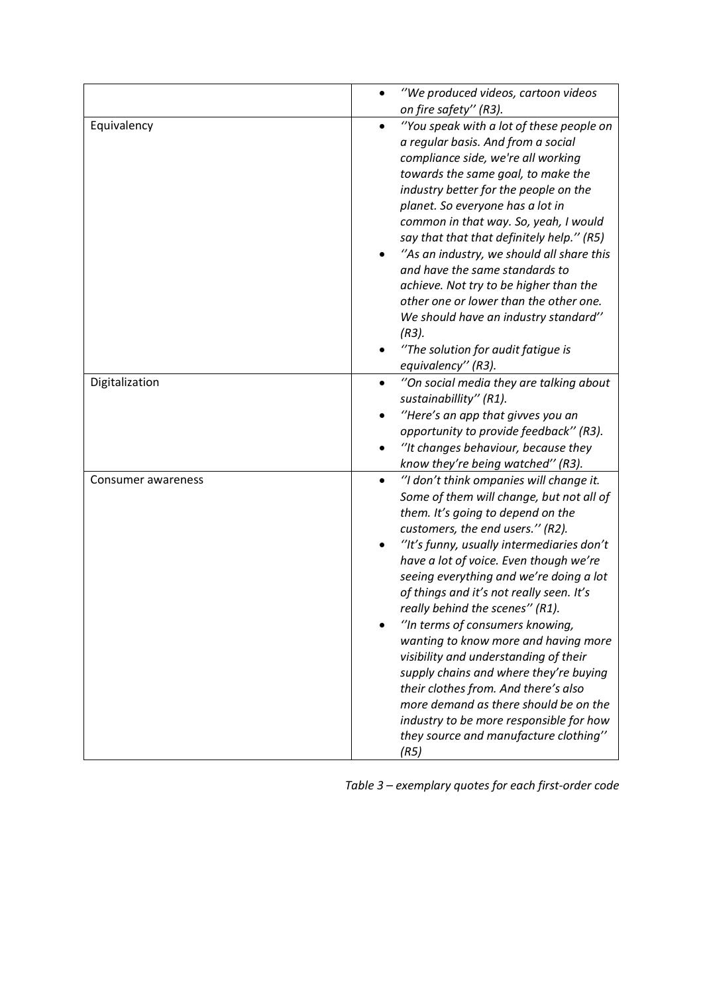|                    | "We produced videos, cartoon videos<br>on fire safety" (R3).                                                                                                                                                                                                                                                                                                                                                                                                                                                                                                                                                                                                                                                                          |
|--------------------|---------------------------------------------------------------------------------------------------------------------------------------------------------------------------------------------------------------------------------------------------------------------------------------------------------------------------------------------------------------------------------------------------------------------------------------------------------------------------------------------------------------------------------------------------------------------------------------------------------------------------------------------------------------------------------------------------------------------------------------|
| Equivalency        | "You speak with a lot of these people on<br>a regular basis. And from a social<br>compliance side, we're all working<br>towards the same goal, to make the<br>industry better for the people on the<br>planet. So everyone has a lot in<br>common in that way. So, yeah, I would<br>say that that that definitely help." (R5)<br>"As an industry, we should all share this<br>and have the same standards to<br>achieve. Not try to be higher than the<br>other one or lower than the other one.<br>We should have an industry standard"<br>$(R3)$ .<br>"The solution for audit fatigue is<br>equivalency" (R3).                                                                                                                      |
| Digitalization     | "On social media they are talking about<br>$\bullet$<br>sustainabillity" (R1).<br>"Here's an app that givves you an<br>opportunity to provide feedback" (R3).<br>"It changes behaviour, because they<br>know they're being watched" (R3).                                                                                                                                                                                                                                                                                                                                                                                                                                                                                             |
| Consumer awareness | "I don't think ompanies will change it.<br>$\bullet$<br>Some of them will change, but not all of<br>them. It's going to depend on the<br>customers, the end users." (R2).<br>"It's funny, usually intermediaries don't<br>have a lot of voice. Even though we're<br>seeing everything and we're doing a lot<br>of things and it's not really seen. It's<br>really behind the scenes" (R1).<br>"In terms of consumers knowing,<br>wanting to know more and having more<br>visibility and understanding of their<br>supply chains and where they're buying<br>their clothes from. And there's also<br>more demand as there should be on the<br>industry to be more responsible for how<br>they source and manufacture clothing"<br>(R5) |

*Table 3 – exemplary quotes for each first-order code*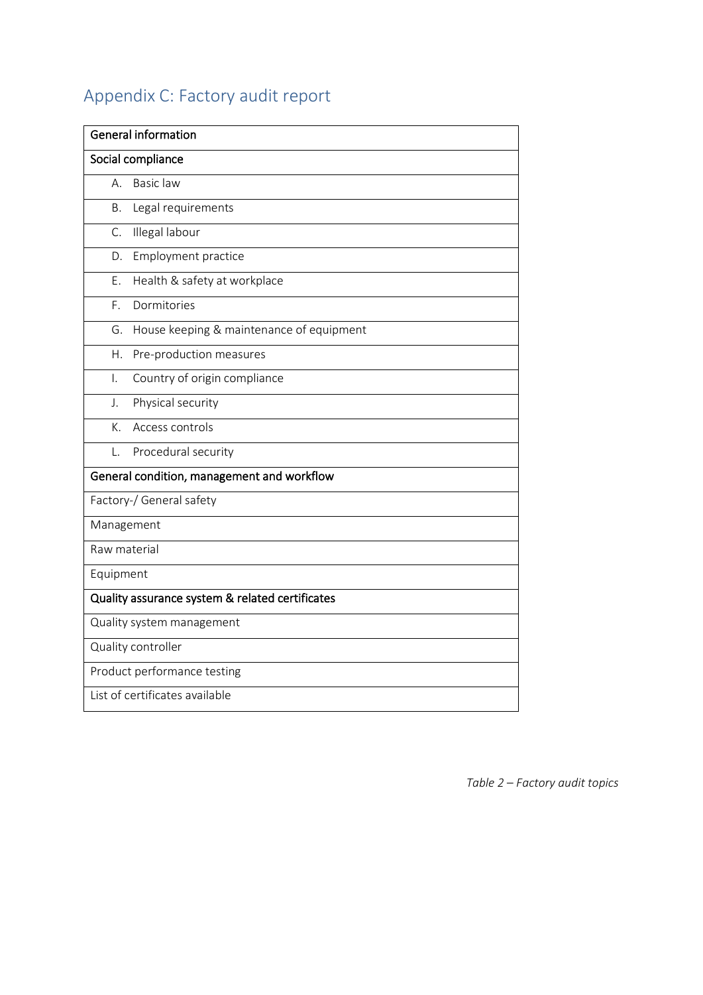# Appendix C: Factory audit report

| <b>General information</b>                      |
|-------------------------------------------------|
| Social compliance                               |
| Basic law<br>А.                                 |
| Legal requirements<br><b>B.</b>                 |
| C.<br>Illegal labour                            |
| Employment practice<br>D.                       |
| Health & safety at workplace<br>Ε.              |
| Dormitories<br>F.                               |
| House keeping & maintenance of equipment<br>G.  |
| Η.<br>Pre-production measures                   |
| Country of origin compliance<br>I.              |
| Physical security<br>J.                         |
| K.<br>Access controls                           |
| Procedural security<br>L.                       |
| General condition, management and workflow      |
| Factory-/ General safety                        |
| Management                                      |
| Raw material                                    |
| Equipment                                       |
| Quality assurance system & related certificates |
| Quality system management                       |
| Quality controller                              |
| Product performance testing                     |
| List of certificates available                  |

*Table 2 – Factory audit topics*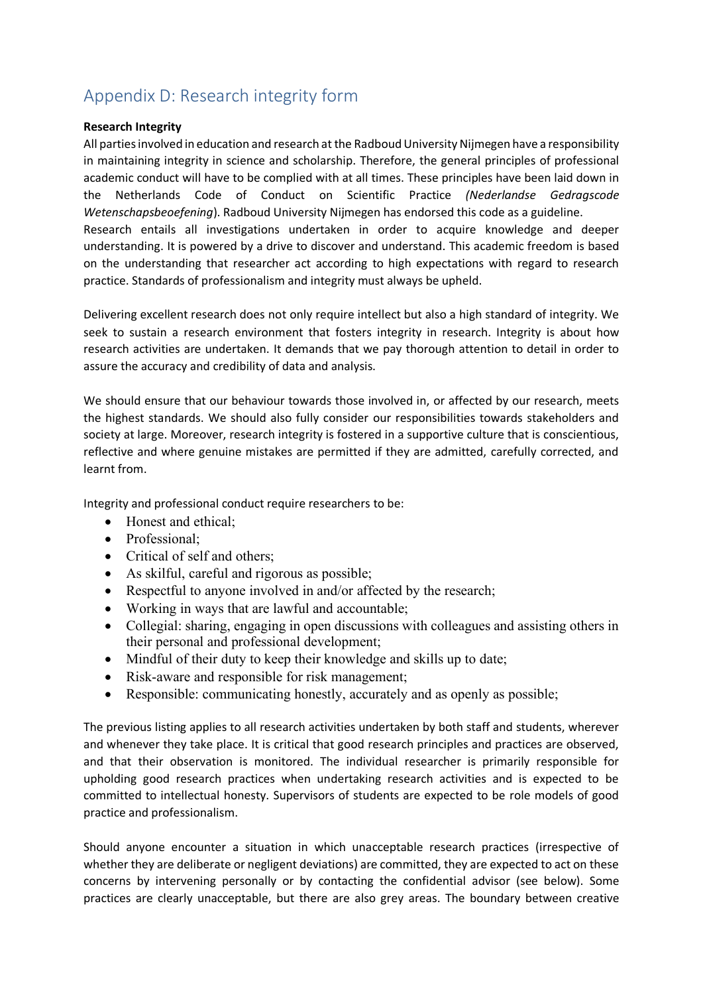## Appendix D: Research integrity form

### **Research Integrity**

All parties involved in education and research at the Radboud University Nijmegen have a responsibility in maintaining integrity in science and scholarship. Therefore, the general principles of professional academic conduct will have to be complied with at all times. These principles have been laid down in the Netherlands Code of Conduct on Scientific Practice *(Nederlandse Gedragscode Wetenschapsbeoefening*). Radboud University Nijmegen has endorsed this code as a guideline.

Research entails all investigations undertaken in order to acquire knowledge and deeper understanding. It is powered by a drive to discover and understand. This academic freedom is based on the understanding that researcher act according to high expectations with regard to research practice. Standards of professionalism and integrity must always be upheld.

Delivering excellent research does not only require intellect but also a high standard of integrity. We seek to sustain a research environment that fosters integrity in research. Integrity is about how research activities are undertaken. It demands that we pay thorough attention to detail in order to assure the accuracy and credibility of data and analysis.

We should ensure that our behaviour towards those involved in, or affected by our research, meets the highest standards. We should also fully consider our responsibilities towards stakeholders and society at large. Moreover, research integrity is fostered in a supportive culture that is conscientious, reflective and where genuine mistakes are permitted if they are admitted, carefully corrected, and learnt from.

Integrity and professional conduct require researchers to be:

- Honest and ethical;
- Professional;
- Critical of self and others;
- As skilful, careful and rigorous as possible;
- Respectful to anyone involved in and/or affected by the research;
- Working in ways that are lawful and accountable;
- Collegial: sharing, engaging in open discussions with colleagues and assisting others in their personal and professional development;
- Mindful of their duty to keep their knowledge and skills up to date;
- Risk-aware and responsible for risk management;
- Responsible: communicating honestly, accurately and as openly as possible;

The previous listing applies to all research activities undertaken by both staff and students, wherever and whenever they take place. It is critical that good research principles and practices are observed, and that their observation is monitored. The individual researcher is primarily responsible for upholding good research practices when undertaking research activities and is expected to be committed to intellectual honesty. Supervisors of students are expected to be role models of good practice and professionalism.

Should anyone encounter a situation in which unacceptable research practices (irrespective of whether they are deliberate or negligent deviations) are committed, they are expected to act on these concerns by intervening personally or by contacting the confidential advisor (see below). Some practices are clearly unacceptable, but there are also grey areas. The boundary between creative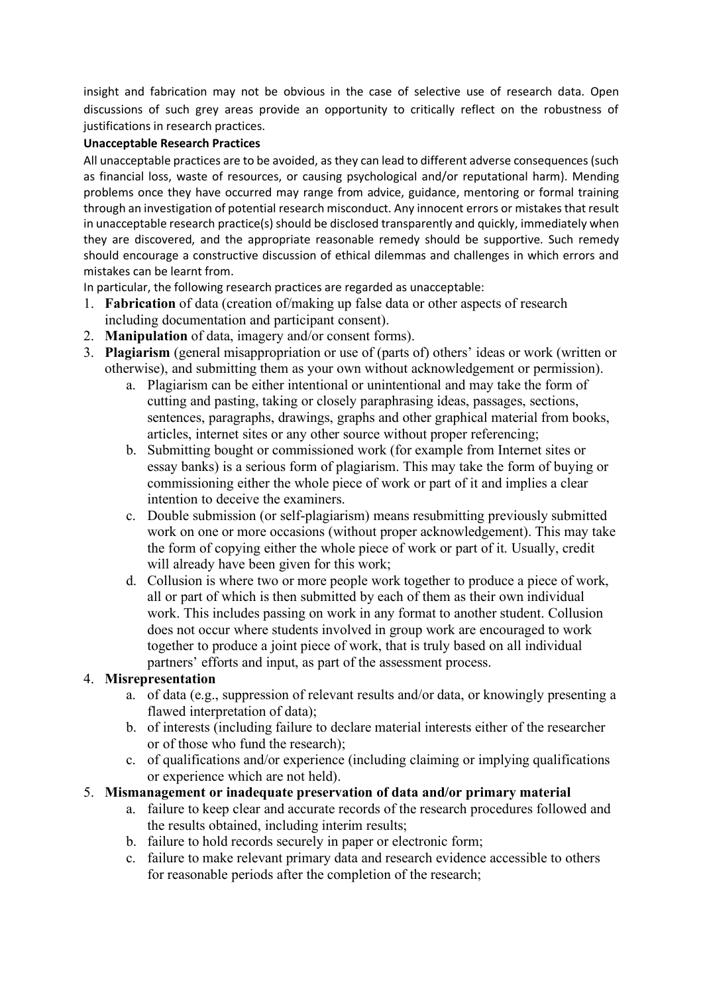insight and fabrication may not be obvious in the case of selective use of research data. Open discussions of such grey areas provide an opportunity to critically reflect on the robustness of justifications in research practices.

## **Unacceptable Research Practices**

All unacceptable practices are to be avoided, as they can lead to different adverse consequences (such as financial loss, waste of resources, or causing psychological and/or reputational harm). Mending problems once they have occurred may range from advice, guidance, mentoring or formal training through an investigation of potential research misconduct. Any innocent errors or mistakes that result in unacceptable research practice(s) should be disclosed transparently and quickly, immediately when they are discovered, and the appropriate reasonable remedy should be supportive. Such remedy should encourage a constructive discussion of ethical dilemmas and challenges in which errors and mistakes can be learnt from.

In particular, the following research practices are regarded as unacceptable:

- 1. **Fabrication** of data (creation of/making up false data or other aspects of research including documentation and participant consent).
- 2. **Manipulation** of data, imagery and/or consent forms).
- 3. **Plagiarism** (general misappropriation or use of (parts of) others' ideas or work (written or otherwise), and submitting them as your own without acknowledgement or permission).
	- a. Plagiarism can be either intentional or unintentional and may take the form of cutting and pasting, taking or closely paraphrasing ideas, passages, sections, sentences, paragraphs, drawings, graphs and other graphical material from books, articles, internet sites or any other source without proper referencing;
	- b. Submitting bought or commissioned work (for example from Internet sites or essay banks) is a serious form of plagiarism. This may take the form of buying or commissioning either the whole piece of work or part of it and implies a clear intention to deceive the examiners.
	- c. Double submission (or self-plagiarism) means resubmitting previously submitted work on one or more occasions (without proper acknowledgement). This may take the form of copying either the whole piece of work or part of it. Usually, credit will already have been given for this work;
	- d. Collusion is where two or more people work together to produce a piece of work, all or part of which is then submitted by each of them as their own individual work. This includes passing on work in any format to another student. Collusion does not occur where students involved in group work are encouraged to work together to produce a joint piece of work, that is truly based on all individual partners' efforts and input, as part of the assessment process.

## 4. **Misrepresentation**

- a. of data (e.g., suppression of relevant results and/or data, or knowingly presenting a flawed interpretation of data);
- b. of interests (including failure to declare material interests either of the researcher or of those who fund the research);
- c. of qualifications and/or experience (including claiming or implying qualifications or experience which are not held).

## 5. **Mismanagement or inadequate preservation of data and/or primary material**

- a. failure to keep clear and accurate records of the research procedures followed and the results obtained, including interim results;
- b. failure to hold records securely in paper or electronic form;
- c. failure to make relevant primary data and research evidence accessible to others for reasonable periods after the completion of the research;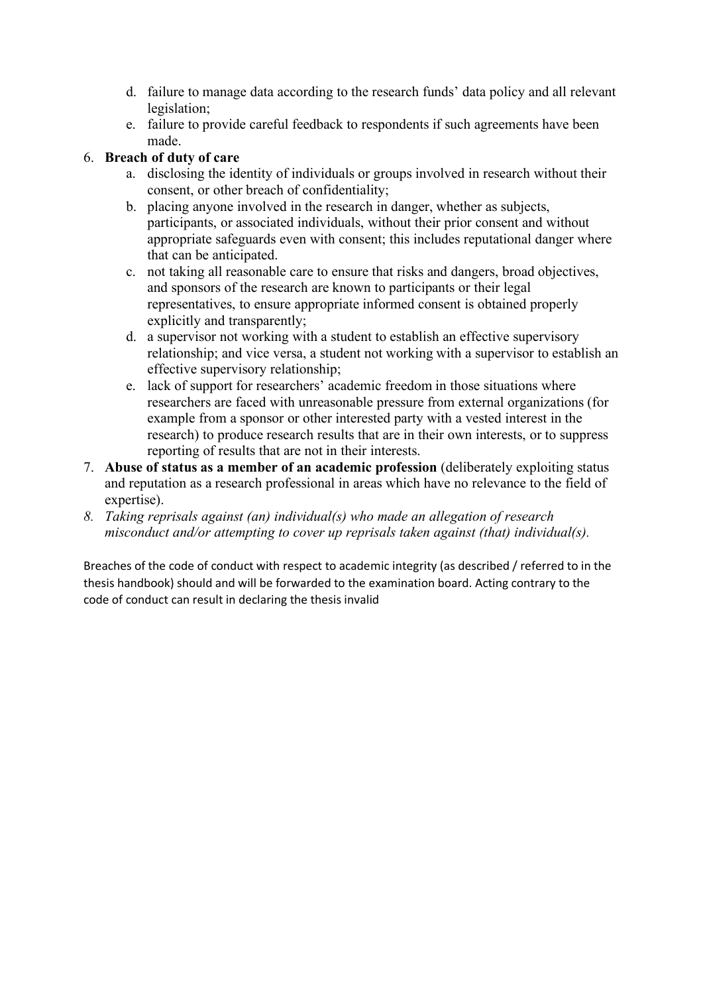- d. failure to manage data according to the research funds' data policy and all relevant legislation;
- e. failure to provide careful feedback to respondents if such agreements have been made.

# 6. **Breach of duty of care**

- a. disclosing the identity of individuals or groups involved in research without their consent, or other breach of confidentiality;
- b. placing anyone involved in the research in danger, whether as subjects, participants, or associated individuals, without their prior consent and without appropriate safeguards even with consent; this includes reputational danger where that can be anticipated.
- c. not taking all reasonable care to ensure that risks and dangers, broad objectives, and sponsors of the research are known to participants or their legal representatives, to ensure appropriate informed consent is obtained properly explicitly and transparently;
- d. a supervisor not working with a student to establish an effective supervisory relationship; and vice versa, a student not working with a supervisor to establish an effective supervisory relationship;
- e. lack of support for researchers' academic freedom in those situations where researchers are faced with unreasonable pressure from external organizations (for example from a sponsor or other interested party with a vested interest in the research) to produce research results that are in their own interests, or to suppress reporting of results that are not in their interests.
- 7. **Abuse of status as a member of an academic profession** (deliberately exploiting status and reputation as a research professional in areas which have no relevance to the field of expertise).
- *8. Taking reprisals against (an) individual(s) who made an allegation of research misconduct and/or attempting to cover up reprisals taken against (that) individual(s).*

Breaches of the code of conduct with respect to academic integrity (as described / referred to in the thesis handbook) should and will be forwarded to the examination board. Acting contrary to the code of conduct can result in declaring the thesis invalid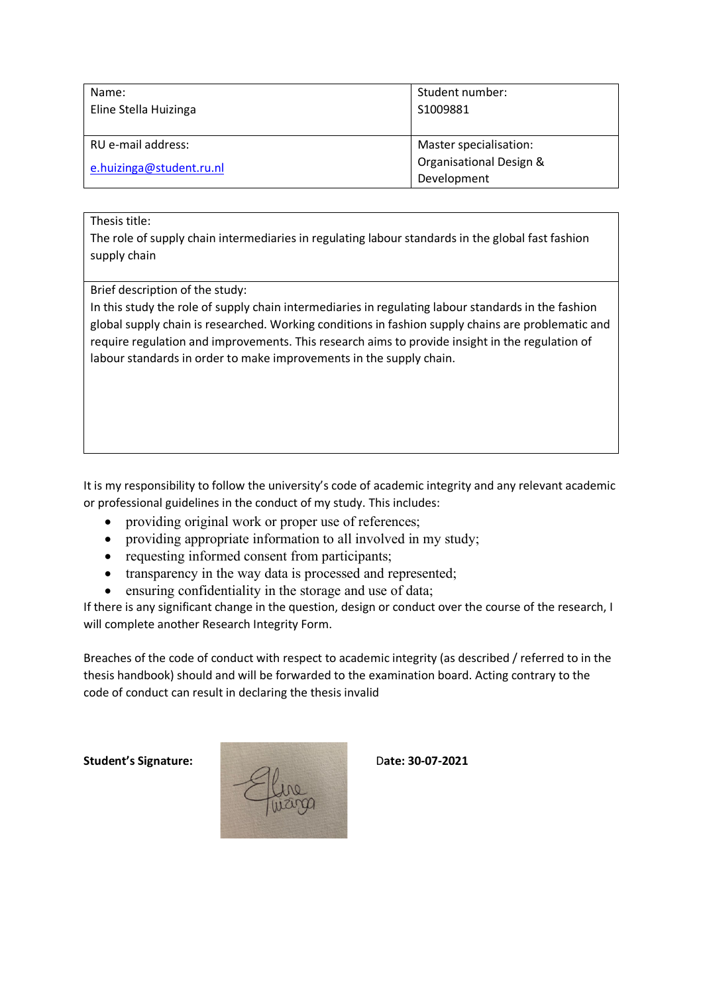| Name:                    | Student number:         |
|--------------------------|-------------------------|
| Eline Stella Huizinga    | S1009881                |
|                          |                         |
| RU e-mail address:       | Master specialisation:  |
| e.huizinga@student.ru.nl | Organisational Design & |
|                          | Development             |

### Thesis title:

The role of supply chain intermediaries in regulating labour standards in the global fast fashion supply chain

Brief description of the study:

In this study the role of supply chain intermediaries in regulating labour standards in the fashion global supply chain is researched. Working conditions in fashion supply chains are problematic and require regulation and improvements. This research aims to provide insight in the regulation of labour standards in order to make improvements in the supply chain.

It is my responsibility to follow the university's code of academic integrity and any relevant academic or professional guidelines in the conduct of my study. This includes:

- providing original work or proper use of references;
- providing appropriate information to all involved in my study;
- requesting informed consent from participants;
- transparency in the way data is processed and represented;
- ensuring confidentiality in the storage and use of data;

If there is any significant change in the question, design or conduct over the course of the research, I will complete another Research Integrity Form.

Breaches of the code of conduct with respect to academic integrity (as described / referred to in the thesis handbook) should and will be forwarded to the examination board. Acting contrary to the code of conduct can result in declaring the thesis invalid

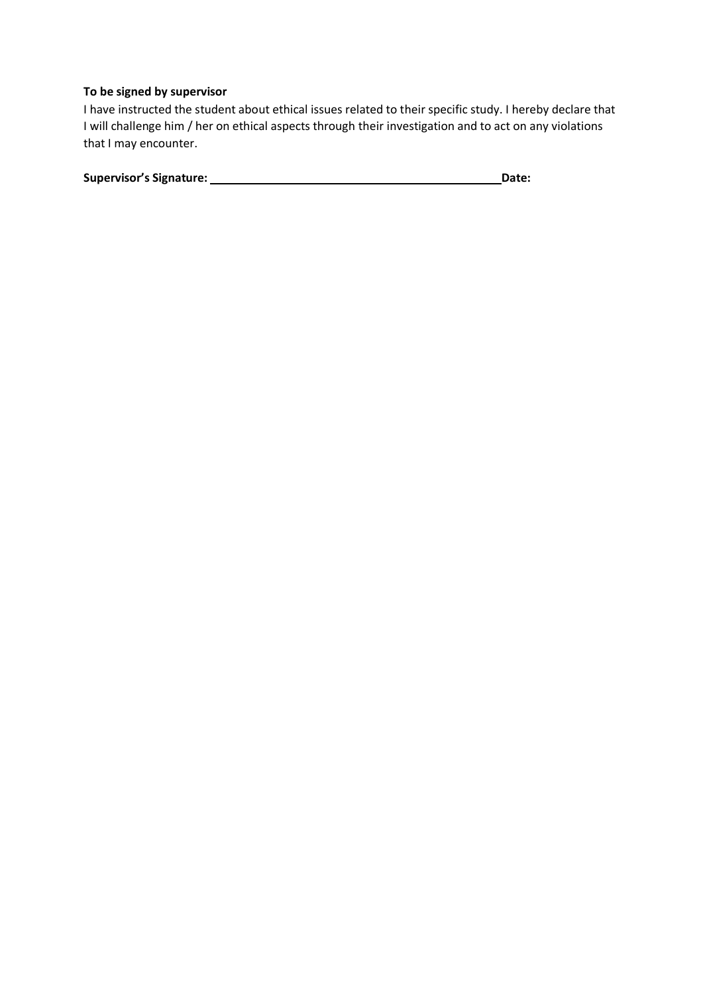## **To be signed by supervisor**

I have instructed the student about ethical issues related to their specific study. I hereby declare that I will challenge him / her on ethical aspects through their investigation and to act on any violations that I may encounter.

| <b>Supervisor's Signature:</b> | Date: |
|--------------------------------|-------|
|                                |       |